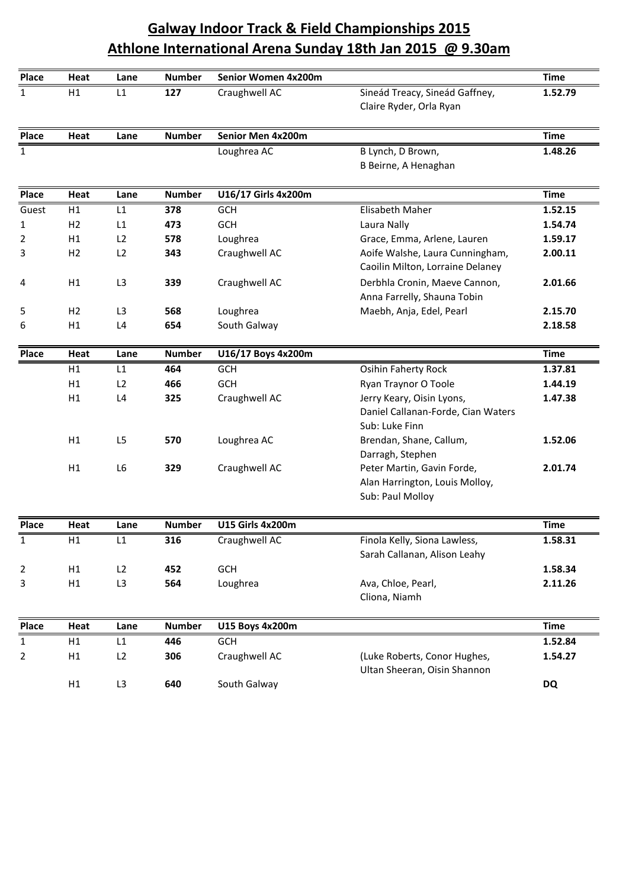## **Athlone International Arena Sunday 18th Jan 2015**<br>
<u>Heat</u> Lane Number Senior Women 4x200m<br>
Time Galway Indoor Track & Field Championships 2015<br>Athlone International Arena Sunday 18th Jan 2015 @ 9.30am<br>Heat Lane Number Senior Women 4x200m<br>H1 L1 127 Craughwell AC Sineád Treacy, Sineád Gaffney, **Indoor Track & Field Championships <sup>2015</sup> International Arena Sunday 18th Jan <sup>2015</sup> @ 9.30am**

|              |                |                |               |                         | <b>Galway Indoor Track &amp; Field Championships 2015</b>                         |             |
|--------------|----------------|----------------|---------------|-------------------------|-----------------------------------------------------------------------------------|-------------|
|              |                |                |               |                         | Athlone International Arena Sunday 18th Jan 2015 @ 9.30am                         |             |
| Place        | Heat           | Lane           | <b>Number</b> | Senior Women 4x200m     |                                                                                   | <b>Time</b> |
| $\mathbf{1}$ | H1             | L1             | 127           | Craughwell AC           | Sineád Treacy, Sineád Gaffney,<br>Claire Ryder, Orla Ryan                         | 1.52.79     |
| <b>Place</b> | Heat           | Lane           | <b>Number</b> | Senior Men 4x200m       |                                                                                   | <b>Time</b> |
| $\mathbf{1}$ |                |                |               | Loughrea AC             | B Lynch, D Brown,<br>B Beirne, A Henaghan                                         | 1.48.26     |
| Place        | Heat           | Lane           | <b>Number</b> | U16/17 Girls 4x200m     |                                                                                   | <b>Time</b> |
| Guest        | H1             | L1             | 378           | GCH                     | Elisabeth Maher                                                                   | 1.52.15     |
| 1            | H <sub>2</sub> | L1             | 473           | <b>GCH</b>              | Laura Nally                                                                       | 1.54.74     |
| 2            | H1             | L <sub>2</sub> | 578           | Loughrea                | Grace, Emma, Arlene, Lauren                                                       | 1.59.17     |
| 3            | H <sub>2</sub> | L2             | 343           | Craughwell AC           | Aoife Walshe, Laura Cunningham,<br>Caoilin Milton, Lorraine Delaney               | 2.00.11     |
| 4            | H1             | L3             | 339           | Craughwell AC           | Derbhla Cronin, Maeve Cannon,<br>Anna Farrelly, Shauna Tobin                      | 2.01.66     |
| 5            | H2             | L3             | 568           | Loughrea                | Maebh, Anja, Edel, Pearl                                                          | 2.15.70     |
| 6            | H1             | L <sub>4</sub> | 654           | South Galway            |                                                                                   | 2.18.58     |
| Place        | Heat           | Lane           | <b>Number</b> | U16/17 Boys 4x200m      |                                                                                   | <b>Time</b> |
|              | H1             | L1             | 464           | <b>GCH</b>              | Osihin Faherty Rock                                                               | 1.37.81     |
|              | H1             | L2             | 466           | <b>GCH</b>              | Ryan Traynor O Toole                                                              | 1.44.19     |
|              | H1             | L <sub>4</sub> | 325           | Craughwell AC           | Jerry Keary, Oisin Lyons,<br>Daniel Callanan-Forde, Cian Waters<br>Sub: Luke Finn | 1.47.38     |
|              | H1             | L <sub>5</sub> | 570           | Loughrea AC             | Brendan, Shane, Callum,<br>Darragh, Stephen                                       | 1.52.06     |
|              | H1             | L <sub>6</sub> | 329           | Craughwell AC           | Peter Martin, Gavin Forde,<br>Alan Harrington, Louis Molloy,<br>Sub: Paul Molloy  | 2.01.74     |
| Place        | Heat           | Lane           | <b>Number</b> | <b>U15 Girls 4x200m</b> |                                                                                   | <b>Time</b> |
| $\mathbf{1}$ | H1             | L1             | 316           | Craughwell AC           | Finola Kelly, Siona Lawless,<br>Sarah Callanan, Alison Leahy                      | 1.58.31     |
| 2            | H1             | L2             | 452           | GCH                     |                                                                                   | 1.58.34     |
| 3            | H1             | L3             | 564           | Loughrea                | Ava, Chloe, Pearl,<br>Cliona, Niamh                                               | 2.11.26     |
| Place        | Heat           | Lane           | <b>Number</b> | <b>U15 Boys 4x200m</b>  |                                                                                   | <b>Time</b> |
| $\mathbf{1}$ | H1             | L1             | 446           | <b>GCH</b>              |                                                                                   | 1.52.84     |
| 2            | H1             | L2             | 306           | Craughwell AC           | (Luke Roberts, Conor Hughes,<br>Ultan Sheeran, Oisin Shannon                      | 1.54.27     |
|              | H1             | L3             | 640           | South Galway            |                                                                                   | DQ          |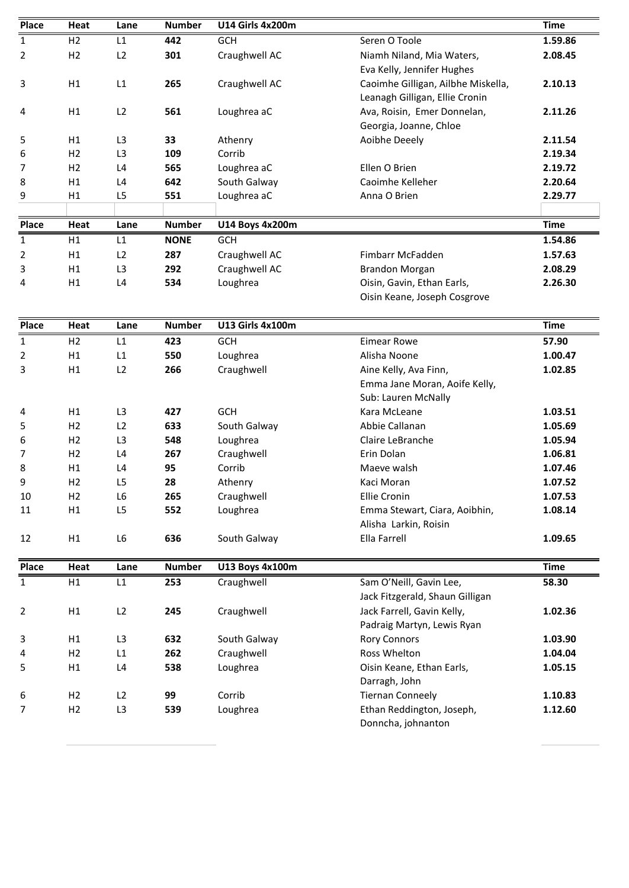| Place        | Heat           | Lane           | <b>Number</b> | <b>U14 Girls 4x200m</b> |                                                       | <b>Time</b> |
|--------------|----------------|----------------|---------------|-------------------------|-------------------------------------------------------|-------------|
| 1            | H <sub>2</sub> | L1             | 442           | <b>GCH</b>              | Seren O Toole                                         | 1.59.86     |
| 2            | H2             | L2             | 301           | Craughwell AC           | Niamh Niland, Mia Waters,                             | 2.08.45     |
|              |                |                |               |                         | Eva Kelly, Jennifer Hughes                            |             |
| 3            | H1             | L1             | 265           | Craughwell AC           | Caoimhe Gilligan, Ailbhe Miskella,                    | 2.10.13     |
|              |                |                |               |                         | Leanagh Gilligan, Ellie Cronin                        |             |
| 4            | H1             | L2             | 561           | Loughrea aC             | Ava, Roisin, Emer Donnelan,<br>Georgia, Joanne, Chloe | 2.11.26     |
| 5            | H1             | L <sub>3</sub> | 33            | Athenry                 | Aoibhe Deeely                                         | 2.11.54     |
| 6            | H <sub>2</sub> | L <sub>3</sub> | 109           | Corrib                  |                                                       | 2.19.34     |
| 7            | H <sub>2</sub> | L <sub>4</sub> | 565           | Loughrea aC             | Ellen O Brien                                         | 2.19.72     |
| 8            | H1             | L4             | 642           | South Galway            | Caoimhe Kelleher                                      | 2.20.64     |
| 9            | H1             | L <sub>5</sub> | 551           | Loughrea aC             | Anna O Brien                                          | 2.29.77     |
|              |                |                |               |                         |                                                       |             |
| Place        | Heat           | Lane           | <b>Number</b> | <b>U14 Boys 4x200m</b>  |                                                       | <b>Time</b> |
| $\mathbf{1}$ | H1             | L1             | <b>NONE</b>   | <b>GCH</b>              |                                                       | 1.54.86     |
| 2            | H1             | L2             | 287           | Craughwell AC           | Fimbarr McFadden                                      | 1.57.63     |
| 3            | H1             | L3             | 292           | Craughwell AC           | <b>Brandon Morgan</b>                                 | 2.08.29     |
| 4            | H1             | L4             | 534           | Loughrea                | Oisin, Gavin, Ethan Earls,                            | 2.26.30     |
|              |                |                |               |                         | Oisin Keane, Joseph Cosgrove                          |             |
| Place        | Heat           | Lane           | <b>Number</b> | <b>U13 Girls 4x100m</b> |                                                       | <b>Time</b> |
| $\mathbf{1}$ | H2             | L1             | 423           | <b>GCH</b>              | <b>Eimear Rowe</b>                                    | 57.90       |
| 2            | H1             | L1             | 550           | Loughrea                | Alisha Noone                                          | 1.00.47     |
| 3            | H1             | L2             | 266           | Craughwell              | Aine Kelly, Ava Finn,                                 | 1.02.85     |
|              |                |                |               |                         | Emma Jane Moran, Aoife Kelly,                         |             |
|              |                |                |               |                         | Sub: Lauren McNally                                   |             |
| 4            | H1             | L <sub>3</sub> | 427           | <b>GCH</b>              | Kara McLeane                                          | 1.03.51     |
| 5            | H <sub>2</sub> | L2             | 633           | South Galway            | Abbie Callanan                                        | 1.05.69     |
| 6            | H <sub>2</sub> | L3             | 548           | Loughrea                | Claire LeBranche                                      | 1.05.94     |
| 7            | H2             | L4             | 267           | Craughwell              | Erin Dolan                                            | 1.06.81     |
| 8            | H1             | L4             | 95            | Corrib                  | Maeve walsh                                           | 1.07.46     |
| 9            | H2             | L5             | 28            | Athenry                 | Kaci Moran                                            | 1.07.52     |
| 10           | H <sub>2</sub> | L6             | 265           | Craughwell              | <b>Ellie Cronin</b>                                   | 1.07.53     |
| 11           | H1             | L <sub>5</sub> | 552           | Loughrea                | Emma Stewart, Ciara, Aoibhin,                         | 1.08.14     |
|              |                |                |               |                         | Alisha Larkin, Roisin                                 |             |
| 12           | H1             | L6             | 636           | South Galway            | Ella Farrell                                          | 1.09.65     |
| Place        | Heat           | Lane           | <b>Number</b> | U13 Boys 4x100m         |                                                       | <b>Time</b> |
| $\mathbf{1}$ | H1             | L1             | 253           | Craughwell              | Sam O'Neill, Gavin Lee,                               | 58.30       |
|              |                |                |               |                         | Jack Fitzgerald, Shaun Gilligan                       |             |
| 2            | H1             | L2             | 245           | Craughwell              | Jack Farrell, Gavin Kelly,                            | 1.02.36     |
|              |                |                |               |                         | Padraig Martyn, Lewis Ryan                            |             |
| 3            | H1             | L3             | 632           | South Galway            | <b>Rory Connors</b>                                   | 1.03.90     |
| 4            | H <sub>2</sub> | L1             | 262           | Craughwell              | Ross Whelton                                          | 1.04.04     |
| 5            | H1             | L <sub>4</sub> | 538           | Loughrea                | Oisin Keane, Ethan Earls,                             | 1.05.15     |
|              |                |                |               |                         | Darragh, John                                         |             |
|              | H <sub>2</sub> | L2             | 99            | Corrib                  | <b>Tiernan Conneely</b>                               | 1.10.83     |
| 6            |                |                |               |                         |                                                       |             |
| 7            | H <sub>2</sub> | L <sub>3</sub> | 539           | Loughrea                | Ethan Reddington, Joseph,                             | 1.12.60     |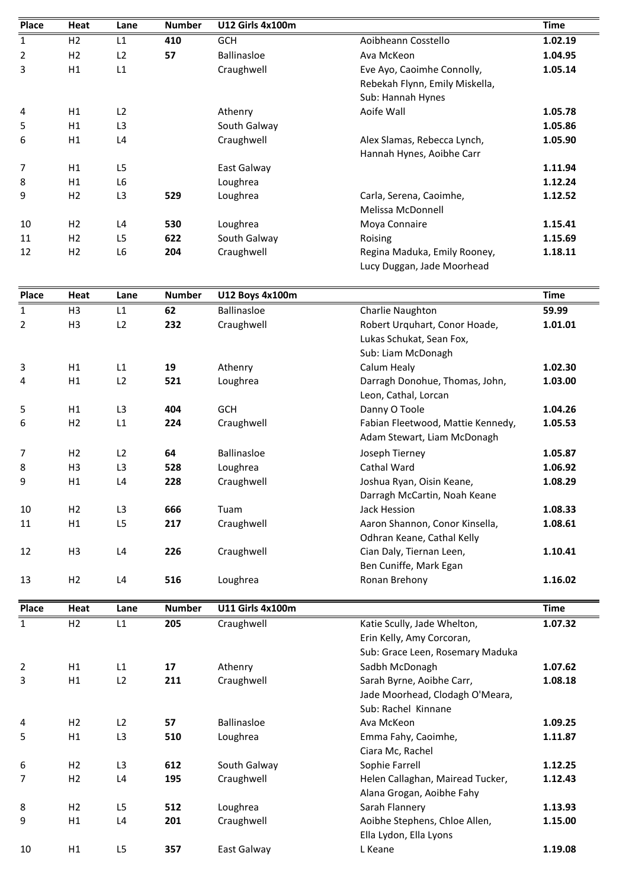| Place        | Heat           | Lane           | <b>Number</b> | <b>U12 Girls 4x100m</b> |                                                                  | <b>Time</b> |
|--------------|----------------|----------------|---------------|-------------------------|------------------------------------------------------------------|-------------|
| $\mathbf{1}$ | H <sub>2</sub> | L1             | 410           | <b>GCH</b>              | Aoibheann Cosstello                                              | 1.02.19     |
| 2            | H2             | L2             | 57            | Ballinasloe             | Ava McKeon                                                       | 1.04.95     |
| 3            | H1             | L1             |               | Craughwell              | Eve Ayo, Caoimhe Connolly,                                       | 1.05.14     |
|              |                |                |               |                         | Rebekah Flynn, Emily Miskella,<br>Sub: Hannah Hynes              |             |
| 4            | H1             | L2             |               | Athenry                 | Aoife Wall                                                       | 1.05.78     |
| 5            | H1             | L <sub>3</sub> |               | South Galway            |                                                                  | 1.05.86     |
| 6            | H1             | L4             |               | Craughwell              | Alex Slamas, Rebecca Lynch,<br>Hannah Hynes, Aoibhe Carr         | 1.05.90     |
| 7            | H1             | L <sub>5</sub> |               | East Galway             |                                                                  | 1.11.94     |
| 8            | H1             | L <sub>6</sub> |               | Loughrea                |                                                                  | 1.12.24     |
| 9            | H <sub>2</sub> | L <sub>3</sub> | 529           | Loughrea                | Carla, Serena, Caoimhe,                                          | 1.12.52     |
|              |                |                |               |                         | Melissa McDonnell                                                |             |
| 10           | H <sub>2</sub> | L <sub>4</sub> | 530           | Loughrea                | Moya Connaire                                                    | 1.15.41     |
| 11           | H <sub>2</sub> | L <sub>5</sub> | 622           | South Galway            | Roising                                                          | 1.15.69     |
| 12           | H <sub>2</sub> | L <sub>6</sub> | 204           | Craughwell              | Regina Maduka, Emily Rooney,                                     | 1.18.11     |
|              |                |                |               |                         | Lucy Duggan, Jade Moorhead                                       |             |
| Place        | Heat           | Lane           | <b>Number</b> | U12 Boys 4x100m         |                                                                  | <b>Time</b> |
| $\mathbf 1$  | H <sub>3</sub> | L1             | 62            | Ballinasloe             | Charlie Naughton                                                 | 59.99       |
| 2            | H <sub>3</sub> | L2             | 232           | Craughwell              | Robert Urquhart, Conor Hoade,<br>Lukas Schukat, Sean Fox,        | 1.01.01     |
|              |                |                |               |                         | Sub: Liam McDonagh                                               |             |
| 3            | H1             | L1             | 19            | Athenry                 | Calum Healy                                                      | 1.02.30     |
| 4            | H1             | L2             | 521           | Loughrea                | Darragh Donohue, Thomas, John,<br>Leon, Cathal, Lorcan           | 1.03.00     |
| 5            | H1             | L <sub>3</sub> | 404           | <b>GCH</b>              | Danny O Toole                                                    | 1.04.26     |
| 6            | H <sub>2</sub> | L1             | 224           | Craughwell              | Fabian Fleetwood, Mattie Kennedy,<br>Adam Stewart, Liam McDonagh | 1.05.53     |
| 7            | H <sub>2</sub> | L2             | 64            | Ballinasloe             | Joseph Tierney                                                   | 1.05.87     |
| 8            | H <sub>3</sub> | L <sub>3</sub> | 528           | Loughrea                | Cathal Ward                                                      | 1.06.92     |
| 9            | H1             | L <sub>4</sub> | 228           | Craughwell              | Joshua Ryan, Oisin Keane,<br>Darragh McCartin, Noah Keane        | 1.08.29     |
| 10           | H <sub>2</sub> | L <sub>3</sub> | 666           | Tuam                    | Jack Hession                                                     | 1.08.33     |
| 11           | H1             | L5             | 217           | Craughwell              | Aaron Shannon, Conor Kinsella,<br>Odhran Keane, Cathal Kelly     | 1.08.61     |
| 12           | H <sub>3</sub> | L <sub>4</sub> | 226           | Craughwell              | Cian Daly, Tiernan Leen,<br>Ben Cuniffe, Mark Egan               | 1.10.41     |
| 13           | H <sub>2</sub> | L <sub>4</sub> | 516           | Loughrea                | Ronan Brehony                                                    | 1.16.02     |
| Place        | Heat           | Lane           | <b>Number</b> | <b>U11 Girls 4x100m</b> |                                                                  | <b>Time</b> |
| $\mathbf{1}$ | H <sub>2</sub> | L1             | 205           | Craughwell              | Katie Scully, Jade Whelton,                                      | 1.07.32     |
|              |                |                |               |                         | Erin Kelly, Amy Corcoran,                                        |             |
|              |                |                |               |                         | Sub: Grace Leen, Rosemary Maduka                                 |             |
| 2            | H1             | L1             | 17            | Athenry                 | Sadbh McDonagh                                                   | 1.07.62     |
| 3            | H1             | L2             | 211           | Craughwell              | Sarah Byrne, Aoibhe Carr,                                        | 1.08.18     |
|              |                |                |               |                         | Jade Moorhead, Clodagh O'Meara,<br>Sub: Rachel Kinnane           |             |
| 4            | H <sub>2</sub> | L2             | 57            | Ballinasloe             | Ava McKeon                                                       | 1.09.25     |
| 5            | H1             | L <sub>3</sub> | 510           | Loughrea                | Emma Fahy, Caoimhe,<br>Ciara Mc, Rachel                          | 1.11.87     |
| 6            | H <sub>2</sub> | L3             | 612           | South Galway            | Sophie Farrell                                                   | 1.12.25     |
| 7            | H <sub>2</sub> | L <sub>4</sub> | 195           | Craughwell              | Helen Callaghan, Mairead Tucker,<br>Alana Grogan, Aoibhe Fahy    | 1.12.43     |
| 8            | H <sub>2</sub> | L <sub>5</sub> | 512           | Loughrea                | Sarah Flannery                                                   | 1.13.93     |
| 9            | H1             | L <sub>4</sub> | 201           | Craughwell              | Aoibhe Stephens, Chloe Allen,<br>Ella Lydon, Ella Lyons          | 1.15.00     |
|              |                |                |               |                         |                                                                  |             |
| 10           | H1             | L5             | 357           | East Galway             | L Keane                                                          | 1.19.08     |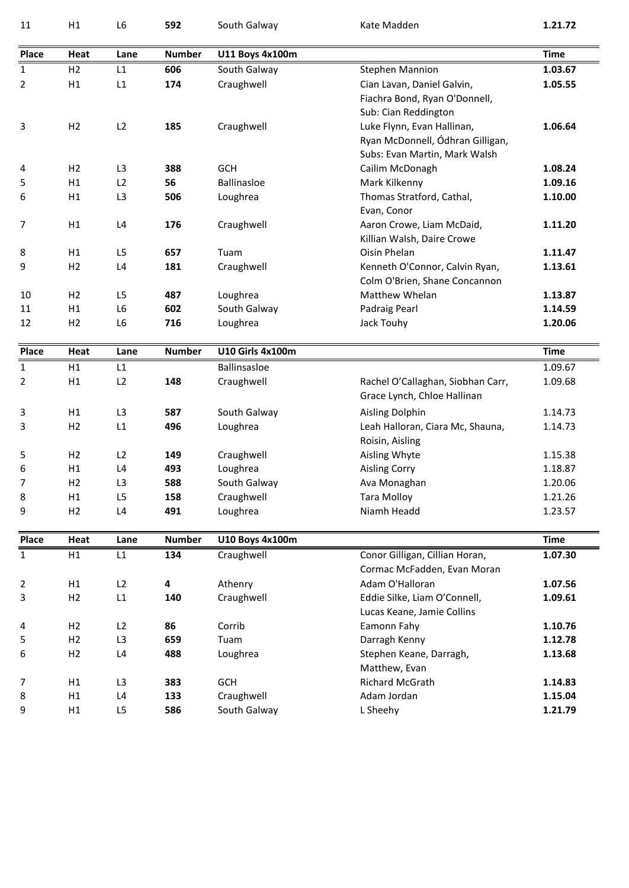| 11           | H1             | L <sub>6</sub> | 592                     | South Galway            | Kate Madden                                                                                     | 1.21.72                                             |
|--------------|----------------|----------------|-------------------------|-------------------------|-------------------------------------------------------------------------------------------------|-----------------------------------------------------|
| Place        | Heat           | Lane           | <b>Number</b>           | U11 Boys 4x100m         |                                                                                                 | <b>Time</b>                                         |
| $\mathbf{1}$ | H2             | L1             | 606                     | South Galway            | <b>Stephen Mannion</b>                                                                          | 1.03.67                                             |
|              |                | L1             |                         | Craughwell              |                                                                                                 |                                                     |
| 2            | H1             |                | 174                     |                         | Cian Lavan, Daniel Galvin,<br>Fiachra Bond, Ryan O'Donnell,<br>Sub: Cian Reddington             | 1.05.55                                             |
| 3            | H <sub>2</sub> | L2             | 185                     | Craughwell              | Luke Flynn, Evan Hallinan,<br>Ryan McDonnell, Ódhran Gilligan,<br>Subs: Evan Martin, Mark Walsh | 1.06.64                                             |
| 4            | H <sub>2</sub> | L <sub>3</sub> | 388                     | <b>GCH</b>              | Cailim McDonagh                                                                                 | 1.08.24                                             |
| 5            | H1             | L2             | 56                      | Ballinasloe             | Mark Kilkenny                                                                                   | 1.09.16                                             |
| 6            | H1             | L <sub>3</sub> | 506                     | Loughrea                | Thomas Stratford, Cathal,<br>Evan, Conor                                                        | 1.10.00                                             |
| 7            | H1             | L4             | 176                     | Craughwell              | Aaron Crowe, Liam McDaid,<br>Killian Walsh, Daire Crowe                                         | 1.11.20                                             |
| 8            | H1             | L <sub>5</sub> | 657                     | Tuam                    | Oisin Phelan                                                                                    | 1.11.47                                             |
| 9            | H <sub>2</sub> | L4             | 181                     | Craughwell              | Kenneth O'Connor, Calvin Ryan,<br>Colm O'Brien, Shane Concannon                                 | 1.13.61                                             |
| 10           | H <sub>2</sub> | L <sub>5</sub> | 487                     | Loughrea                | Matthew Whelan                                                                                  | 1.13.87                                             |
| 11           | H1             | L <sub>6</sub> | 602                     | South Galway            | Padraig Pearl                                                                                   | 1.14.59                                             |
| 12           | H <sub>2</sub> | L <sub>6</sub> | 716                     | Loughrea                | Jack Touhy                                                                                      | 1.20.06                                             |
| Place        | Heat           | Lane           | <b>Number</b>           | <b>U10 Girls 4x100m</b> |                                                                                                 | <b>Time</b>                                         |
| $\mathbf{1}$ | H1             | L1             |                         | Ballinsasloe            |                                                                                                 | 1.09.67                                             |
| 2            | H1             | L2             | 148                     | Craughwell              | Rachel O'Callaghan, Siobhan Carr,<br>Grace Lynch, Chloe Hallinan                                | 1.09.68                                             |
| 3            | H1             | L3             | 587                     | South Galway            | Aisling Dolphin                                                                                 | 1.14.73                                             |
| 3            | H2             | L1             | 496                     | Loughrea                | Leah Halloran, Ciara Mc, Shauna,<br>Roisin, Aisling                                             | 1.14.73                                             |
| 5            | H <sub>2</sub> | L2             | 149                     | Craughwell              | Aisling Whyte                                                                                   | 1.15.38                                             |
| 6            | H1             | L4             | 493                     | Loughrea                | <b>Aisling Corry</b>                                                                            | 1.18.87                                             |
| 7            | H <sub>2</sub> | L3             | 588                     | South Galway            | Ava Monaghan                                                                                    | 1.20.06                                             |
| 8            | H1             | L5             | 158                     | Craughwell              | <b>Tara Molloy</b>                                                                              | 1.21.26                                             |
| 9            | H2             | L4             | 491                     | Loughrea                | Niamh Headd                                                                                     | 1.23.57                                             |
| <b>Place</b> | Heat           | Lane           | <b>Number</b>           | U10 Boys 4x100m         |                                                                                                 | <b>Time</b>                                         |
|              | H1             | L1             | 134                     | Craughwell              | Conor Gilligan, Cillian Horan,<br>Cormac McFadden, Evan Moran                                   | 1.07.30                                             |
| $\mathbf{1}$ |                |                | $\overline{\mathbf{4}}$ | Athenry                 | Adam O'Halloran                                                                                 | 1.07.56                                             |
| 2            | H1             | L2             |                         |                         | Eddie Silke, Liam O'Connell,                                                                    | 1.09.61                                             |
| 3            | H <sub>2</sub> | L1             | 140                     | Craughwell              | Lucas Keane, Jamie Collins                                                                      |                                                     |
| 4            | H <sub>2</sub> | L2             | 86                      | Corrib                  | Eamonn Fahy                                                                                     |                                                     |
| 5            | H <sub>2</sub> | L <sub>3</sub> | 659                     | Tuam                    | Darragh Kenny                                                                                   |                                                     |
| 6            | H <sub>2</sub> | L4             | 488                     | Loughrea                | Stephen Keane, Darragh,<br>Matthew, Evan                                                        |                                                     |
| 7            | H1             | L <sub>3</sub> | 383                     | GCH                     | Richard McGrath                                                                                 |                                                     |
| 8            | H1             | L4             | 133                     | Craughwell              | Adam Jordan                                                                                     | 1.10.76<br>1.12.78<br>1.13.68<br>1.14.83<br>1.15.04 |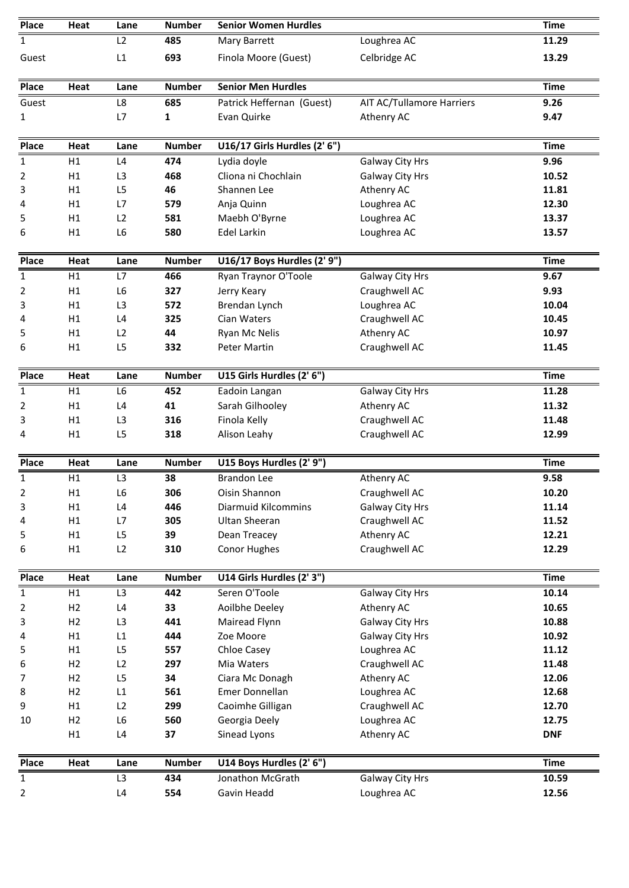| Place          | Heat           | Lane           | <b>Number</b> | <b>Senior Women Hurdles</b>  |                           | <b>Time</b> |
|----------------|----------------|----------------|---------------|------------------------------|---------------------------|-------------|
| 1              |                | L <sub>2</sub> | 485           | Mary Barrett                 | Loughrea AC               | 11.29       |
| Guest          |                | L1             | 693           | Finola Moore (Guest)         | Celbridge AC              | 13.29       |
| Place          | Heat           | Lane           | <b>Number</b> | <b>Senior Men Hurdles</b>    |                           | <b>Time</b> |
| Guest          |                | L8             | 685           | Patrick Heffernan (Guest)    | AIT AC/Tullamore Harriers | 9.26        |
| 1              |                | L7             | 1             | Evan Quirke                  | Athenry AC                | 9.47        |
| <b>Place</b>   | Heat           | Lane           | <b>Number</b> | U16/17 Girls Hurdles (2' 6") |                           | <b>Time</b> |
| 1              | Η1             | L4             | 474           | Lydia doyle                  | Galway City Hrs           | 9.96        |
| 2              | H1             | L3             | 468           | Cliona ni Chochlain          | Galway City Hrs           | 10.52       |
| 3              | H1             | L <sub>5</sub> | 46            | Shannen Lee                  | Athenry AC                | 11.81       |
| 4              | H1             | L7             | 579           | Anja Quinn                   | Loughrea AC               | 12.30       |
| 5              | H1             | L2             | 581           | Maebh O'Byrne                | Loughrea AC               | 13.37       |
| 6              | H1             | L <sub>6</sub> | 580           | Edel Larkin                  | Loughrea AC               | 13.57       |
| Place          | Heat           | Lane           | <b>Number</b> | U16/17 Boys Hurdles (2' 9")  |                           | <b>Time</b> |
| $\mathbf{1}$   | H1             | L7             | 466           | Ryan Traynor O'Toole         | <b>Galway City Hrs</b>    | 9.67        |
| 2              | H1             | L <sub>6</sub> | 327           | Jerry Keary                  | Craughwell AC             | 9.93        |
| 3              | H1             | L <sub>3</sub> | 572           | Brendan Lynch                | Loughrea AC               | 10.04       |
| 4              | H1             | L4             | 325           | Cian Waters                  | Craughwell AC             | 10.45       |
| 5              | H1             | L2             | 44            | Ryan Mc Nelis                | Athenry AC                | 10.97       |
| 6              | H1             | L <sub>5</sub> | 332           | Peter Martin                 | Craughwell AC             | 11.45       |
| <b>Place</b>   | Heat           | Lane           | <b>Number</b> | U15 Girls Hurdles (2' 6")    |                           | <b>Time</b> |
| 1              | H1             | L <sub>6</sub> | 452           | Eadoin Langan                | Galway City Hrs           | 11.28       |
| 2              | H1             | L4             | 41            | Sarah Gilhooley              | Athenry AC                | 11.32       |
| 3              | H1             | L <sub>3</sub> | 316           | Finola Kelly                 | Craughwell AC             | 11.48       |
| 4              | H1             | L5             | 318           | Alison Leahy                 | Craughwell AC             | 12.99       |
| Place          | Heat           | Lane           | <b>Number</b> | U15 Boys Hurdles (2' 9")     |                           | <b>Time</b> |
| $\mathbf{1}$   | H1             | L <sub>3</sub> | 38            | <b>Brandon Lee</b>           | Athenry AC                | 9.58        |
| 2              | H1             | L6             | 306           | Oisin Shannon                | Craughwell AC             | 10.20       |
| 3              | H1             | L4             | 446           | <b>Diarmuid Kilcommins</b>   | Galway City Hrs           | 11.14       |
| 4              | H1             | L7             | 305           | <b>Ultan Sheeran</b>         | Craughwell AC             | 11.52       |
| 5              | H1             | L5             | 39            | Dean Treacey                 | Athenry AC                | 12.21       |
| 6              | H1             | L2             | 310           | Conor Hughes                 | Craughwell AC             | 12.29       |
| Place          | Heat           | Lane           | <b>Number</b> | U14 Girls Hurdles (2' 3")    |                           | <b>Time</b> |
| $\mathbf{1}$   | H1             | L3             | 442           | Seren O'Toole                | <b>Galway City Hrs</b>    | 10.14       |
| $\overline{2}$ | H2             | L4             | 33            | Aoilbhe Deeley               | Athenry AC                | 10.65       |
| 3              | H2             | L <sub>3</sub> | 441           | Mairead Flynn                | <b>Galway City Hrs</b>    | 10.88       |
| 4              | H1             | L1             | 444           | Zoe Moore                    | <b>Galway City Hrs</b>    | 10.92       |
| 5              | H1             | L5             | 557           | Chloe Casey                  | Loughrea AC               | 11.12       |
| 6              | H2             | L2             | 297           | Mia Waters                   | Craughwell AC             | 11.48       |
| 7              | H <sub>2</sub> | L <sub>5</sub> | 34            | Ciara Mc Donagh              | Athenry AC                | 12.06       |
| 8              | H2             | L1             | 561           | Emer Donnellan               | Loughrea AC               | 12.68       |
| 9              | H1             | L2             | 299           | Caoimhe Gilligan             | Craughwell AC             | 12.70       |
| 10             | H2             | L6             | 560           | Georgia Deely                | Loughrea AC               | 12.75       |
|                | H1             | L4             | 37            | Sinead Lyons                 | Athenry AC                | <b>DNF</b>  |
| <b>Place</b>   | Heat           | Lane           | <b>Number</b> | U14 Boys Hurdles (2' 6")     |                           | <b>Time</b> |
| $\mathbf{1}$   |                | L3             | 434           | Jonathon McGrath             | Galway City Hrs           | 10.59       |
| $\overline{2}$ |                | L4             | 554           | Gavin Headd                  | Loughrea AC               | 12.56       |
|                |                |                |               |                              |                           |             |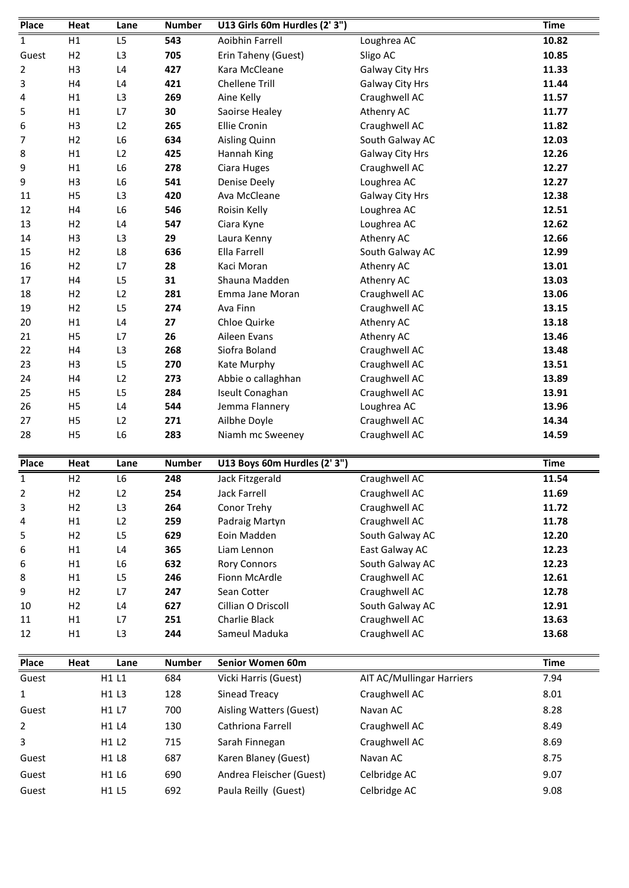| Place          | Heat           | Lane           | <b>Number</b> | U13 Girls 60m Hurdles (2' 3") |                           | <b>Time</b> |
|----------------|----------------|----------------|---------------|-------------------------------|---------------------------|-------------|
| $\mathbf{1}$   | H1             | L <sub>5</sub> | 543           | Aoibhin Farrell               | Loughrea AC               | 10.82       |
| Guest          | H <sub>2</sub> | L3             | 705           | Erin Taheny (Guest)           | Sligo AC                  | 10.85       |
| $\overline{2}$ | H <sub>3</sub> | L4             | 427           | Kara McCleane                 | Galway City Hrs           | 11.33       |
| 3              | H4             | L4             | 421           | <b>Chellene Trill</b>         | Galway City Hrs           | 11.44       |
| 4              | H1             | L3             | 269           | Aine Kelly                    | Craughwell AC             | 11.57       |
| 5              | H1             | L7             | 30            | Saoirse Healey                | Athenry AC                | 11.77       |
| 6              | H <sub>3</sub> | L2             | 265           | <b>Ellie Cronin</b>           | Craughwell AC             | 11.82       |
| 7              | H2             | L <sub>6</sub> | 634           | Aisling Quinn                 | South Galway AC           | 12.03       |
| 8              | H1             | L2             | 425           | Hannah King                   | <b>Galway City Hrs</b>    | 12.26       |
| 9              | H1             | L <sub>6</sub> | 278           | Ciara Huges                   | Craughwell AC             | 12.27       |
| 9              | H <sub>3</sub> | L <sub>6</sub> | 541           | <b>Denise Deely</b>           | Loughrea AC               | 12.27       |
| 11             | H <sub>5</sub> | L3             | 420           | Ava McCleane                  | Galway City Hrs           | 12.38       |
| 12             | H4             | L <sub>6</sub> | 546           | Roisin Kelly                  | Loughrea AC               | 12.51       |
| 13             | H2             | L4             | 547           | Ciara Kyne                    | Loughrea AC               | 12.62       |
| 14             | H <sub>3</sub> | L <sub>3</sub> | 29            | Laura Kenny                   | Athenry AC                | 12.66       |
| 15             | H2             | L8             | 636           | Ella Farrell                  | South Galway AC           | 12.99       |
| 16             | H <sub>2</sub> | L7             | 28            | Kaci Moran                    | Athenry AC                | 13.01       |
| 17             | H4             | L <sub>5</sub> | 31            | Shauna Madden                 | Athenry AC                | 13.03       |
| 18             | H <sub>2</sub> | L2             | 281           | Emma Jane Moran               | Craughwell AC             | 13.06       |
| 19             | H2             | L5             | 274           | Ava Finn                      | Craughwell AC             | 13.15       |
| 20             | H1             | L4             | 27            | Chloe Quirke                  | Athenry AC                | 13.18       |
| 21             | H <sub>5</sub> | L7             | 26            | Aileen Evans                  | Athenry AC                | 13.46       |
| 22             | H4             | L <sub>3</sub> | 268           | Siofra Boland                 | Craughwell AC             | 13.48       |
| 23             | H <sub>3</sub> | L <sub>5</sub> | 270           | Kate Murphy                   | Craughwell AC             | 13.51       |
| 24             | H4             | L2             | 273           | Abbie o callaghhan            | Craughwell AC             | 13.89       |
| 25             | H <sub>5</sub> | L5             | 284           | Iseult Conaghan               | Craughwell AC             | 13.91       |
| 26             | H <sub>5</sub> | L4             | 544           | Jemma Flannery                | Loughrea AC               | 13.96       |
| 27             | H <sub>5</sub> | L2             | 271           | Ailbhe Doyle                  | Craughwell AC             | 14.34       |
| 28             | H <sub>5</sub> | L <sub>6</sub> | 283           | Niamh mc Sweeney              | Craughwell AC             | 14.59       |
| <b>Place</b>   | Heat           | Lane           | <b>Number</b> | U13 Boys 60m Hurdles (2'3")   |                           | <b>Time</b> |
| $\mathbf{1}$   | H <sub>2</sub> | L6             | 248           | Jack Fitzgerald               | Craughwell AC             | 11.54       |
| 2              | H2             | L2             | 254           | <b>Jack Farrell</b>           | Craughwell AC             | 11.69       |
| 3              | H2             | L <sub>3</sub> | 264           | Conor Trehy                   | Craughwell AC             | 11.72       |
| 4              | H1             | L2             | 259           | Padraig Martyn                | Craughwell AC             | 11.78       |
| 5              | H2             | L <sub>5</sub> | 629           | Eoin Madden                   | South Galway AC           | 12.20       |
| 6              | H1             | L4             | 365           | Liam Lennon                   | East Galway AC            | 12.23       |
| 6              | H1             | L6             | 632           | <b>Rory Connors</b>           | South Galway AC           | 12.23       |
| 8              | H1             | L5             | 246           | Fionn McArdle                 | Craughwell AC             | 12.61       |
| 9              | H <sub>2</sub> | L7             | 247           | Sean Cotter                   | Craughwell AC             | 12.78       |
| 10             | H <sub>2</sub> | L4             | 627           | Cillian O Driscoll            | South Galway AC           | 12.91       |
| 11             | H1             | L7             | 251           | Charlie Black                 | Craughwell AC             | 13.63       |
| 12             | H1             | L <sub>3</sub> | 244           | Sameul Maduka                 | Craughwell AC             | 13.68       |
| Place          | Heat           | Lane           | <b>Number</b> | Senior Women 60m              |                           | <b>Time</b> |
| Guest          |                | H1 L1          | 684           | Vicki Harris (Guest)          | AIT AC/Mullingar Harriers | 7.94        |
| $\mathbf{1}$   |                | H1 L3          | 128           | Sinead Treacy                 | Craughwell AC             | 8.01        |
| Guest          |                | H1 L7          | 700           | Aisling Watters (Guest)       | Navan AC                  | 8.28        |
| $\overline{2}$ |                | H1 L4          | 130           | Cathriona Farrell             | Craughwell AC             | 8.49        |
| 3              |                | H1 L2          | 715           | Sarah Finnegan                | Craughwell AC             | 8.69        |
| Guest          |                | H1 L8          | 687           | Karen Blaney (Guest)          | Navan AC                  | 8.75        |
|                |                |                |               |                               |                           |             |
| Guest          |                | H1 L6          | 690           | Andrea Fleischer (Guest)      | Celbridge AC              | 9.07        |
| Guest          |                | H1 L5          | 692           | Paula Reilly (Guest)          | Celbridge AC              | 9.08        |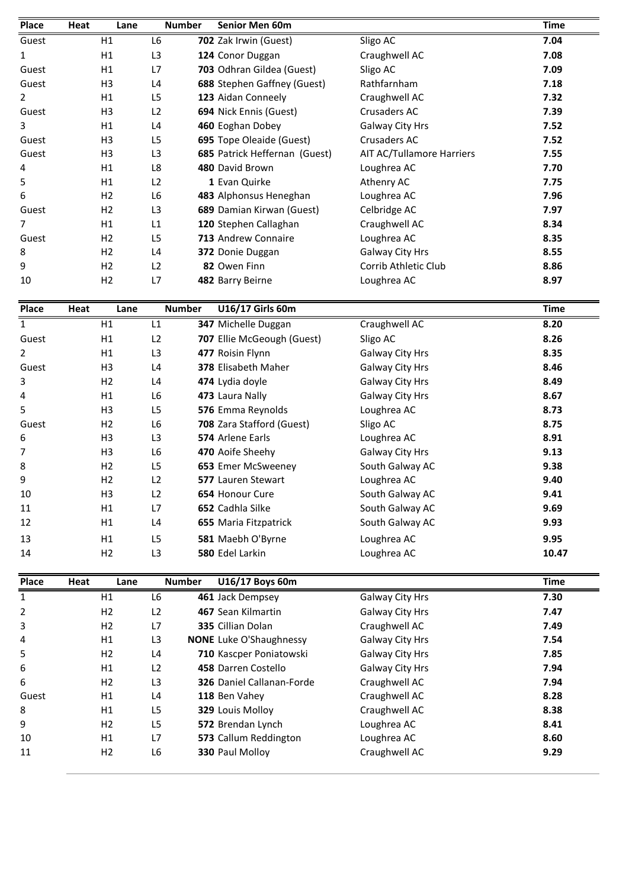| Place | Heat | Lane           | <b>Number</b>  | <b>Senior Men 60m</b>         |                                  | <b>Time</b> |
|-------|------|----------------|----------------|-------------------------------|----------------------------------|-------------|
| Guest |      | H1             | L6             | 702 Zak Irwin (Guest)         | Sligo AC                         | 7.04        |
| 1     |      | H1             | L <sub>3</sub> | 124 Conor Duggan              | Craughwell AC                    | 7.08        |
| Guest |      | H1             | L7             | 703 Odhran Gildea (Guest)     | Sligo AC                         | 7.09        |
| Guest |      | H <sub>3</sub> | L <sub>4</sub> | 688 Stephen Gaffney (Guest)   | Rathfarnham                      | 7.18        |
| 2     |      | H1             | L <sub>5</sub> | 123 Aidan Conneely            | Craughwell AC                    | 7.32        |
| Guest |      | H <sub>3</sub> | L2             | 694 Nick Ennis (Guest)        | Crusaders AC                     | 7.39        |
| 3     |      | H1             | L <sub>4</sub> | 460 Eoghan Dobey              | Galway City Hrs                  | 7.52        |
| Guest |      | H <sub>3</sub> | L <sub>5</sub> | 695 Tope Oleaide (Guest)      | Crusaders AC                     | 7.52        |
| Guest |      | H <sub>3</sub> | L <sub>3</sub> | 685 Patrick Heffernan (Guest) | <b>AIT AC/Tullamore Harriers</b> | 7.55        |
| 4     |      | H1             | L8             | 480 David Brown               | Loughrea AC                      | 7.70        |
| 5     |      | H1             | L2             | 1 Evan Quirke                 | Athenry AC                       | 7.75        |
| 6     |      | H <sub>2</sub> | L <sub>6</sub> | 483 Alphonsus Heneghan        | Loughrea AC                      | 7.96        |
| Guest |      | H <sub>2</sub> | L3             | 689 Damian Kirwan (Guest)     | Celbridge AC                     | 7.97        |
| 7     |      | H1             | L1             | 120 Stephen Callaghan         | Craughwell AC                    | 8.34        |
| Guest |      | H <sub>2</sub> | L <sub>5</sub> | 713 Andrew Connaire           | Loughrea AC                      | 8.35        |
| 8     |      | H <sub>2</sub> | L4             | 372 Donie Duggan              | Galway City Hrs                  | 8.55        |
| 9     |      | H <sub>2</sub> | L2             | 82 Owen Finn                  | Corrib Athletic Club             | 8.86        |
| 10    |      | H <sub>2</sub> | L7             | 482 Barry Beirne              | Loughrea AC                      | 8.97        |
| Place | Heat | Lane           | <b>Number</b>  | U16/17 Girls 60m              |                                  | <b>Time</b> |
| 1     |      | H1             | L1             | <b>347 Michelle Duggan</b>    | Craughwell AC                    | 8.20        |

| ୪              |      | HZ             | L4             |               | 372 Donie Duggan           | <b>Galway City Hrs</b> | 8.55        |
|----------------|------|----------------|----------------|---------------|----------------------------|------------------------|-------------|
| 9              |      | H <sub>2</sub> | L2             |               | 82 Owen Finn               | Corrib Athletic Club   | 8.86        |
| 10             |      | H <sub>2</sub> | L7             |               | 482 Barry Beirne           | Loughrea AC            | 8.97        |
| Place          | Heat | Lane           |                | <b>Number</b> | U16/17 Girls 60m           |                        | <b>Time</b> |
| $\mathbf{1}$   |      | H1             | L1             |               | 347 Michelle Duggan        | Craughwell AC          | 8.20        |
| Guest          |      | H1             | L <sub>2</sub> |               | 707 Ellie McGeough (Guest) | Sligo AC               | 8.26        |
| $\overline{2}$ |      | H1             | L <sub>3</sub> |               | 477 Roisin Flynn           | Galway City Hrs        | 8.35        |
| Guest          |      | H <sub>3</sub> | L4             |               | 378 Elisabeth Maher        | Galway City Hrs        | 8.46        |
| 3              |      | H <sub>2</sub> | L4             |               | 474 Lydia doyle            | Galway City Hrs        | 8.49        |
| 4              |      | H1             | L <sub>6</sub> |               | 473 Laura Nally            | Galway City Hrs        | 8.67        |
| 5              |      | H <sub>3</sub> | L <sub>5</sub> |               | 576 Emma Reynolds          | Loughrea AC            | 8.73        |
| Guest          |      | H <sub>2</sub> | L6             |               | 708 Zara Stafford (Guest)  | Sligo AC               | 8.75        |
| 6              |      | H <sub>3</sub> | L <sub>3</sub> |               | 574 Arlene Earls           | Loughrea AC            | 8.91        |
| 7              |      | H <sub>3</sub> | L <sub>6</sub> |               | 470 Aoife Sheehy           | Galway City Hrs        | 9.13        |
| 8              |      | H <sub>2</sub> | L <sub>5</sub> |               | 653 Emer McSweeney         | South Galway AC        | 9.38        |
| 9              |      | H <sub>2</sub> | L2             |               | 577 Lauren Stewart         | Loughrea AC            | 9.40        |
| 10             |      | H <sub>3</sub> | L2             |               | 654 Honour Cure            | South Galway AC        | 9.41        |
| 11             |      | H1             | L7             |               | 652 Cadhla Silke           | South Galway AC        | 9.69        |
| 12             |      | H1             | L <sub>4</sub> |               | 655 Maria Fitzpatrick      | South Galway AC        | 9.93        |
| 13             |      | H1             | L <sub>5</sub> |               | 581 Maebh O'Byrne          | Loughrea AC            | 9.95        |
| 14             |      | H <sub>2</sub> | L <sub>3</sub> |               | 580 Edel Larkin            | Loughrea AC            | 10.47       |
| Place          | Heat | Lane           |                | <b>Number</b> | U16/17 Boys 60m            |                        | <b>Time</b> |
| 1              |      | H1             | L <sub>6</sub> |               | 461 Jack Dempsey           | Galway City Hrs        | 7.30        |
| $\overline{2}$ |      | H <sub>2</sub> | 12             |               | 467 Sean Kilmartin         | <b>Galway City Hrs</b> | 7.47        |

| 13             | нı             | ᇅ              | <b>581</b> Maeph O Byrne         | Loughrea AC     | 9.95        |
|----------------|----------------|----------------|----------------------------------|-----------------|-------------|
| 14             | H <sub>2</sub> | L <sub>3</sub> | 580 Edel Larkin                  | Loughrea AC     | 10.47       |
| Place          | Heat<br>Lane   |                | <b>Number</b><br>U16/17 Boys 60m |                 | <b>Time</b> |
| 1              | H1             | L6             | 461 Jack Dempsey                 | Galway City Hrs | 7.30        |
| $\overline{2}$ | H2             | L <sub>2</sub> | 467 Sean Kilmartin               | Galway City Hrs | 7.47        |
| 3              | H <sub>2</sub> | L7             | 335 Cillian Dolan                | Craughwell AC   | 7.49        |
| 4              | H1             | L3             | <b>NONE</b> Luke O'Shaughnessy   | Galway City Hrs | 7.54        |
| 5              | H <sub>2</sub> | L4             | 710 Kascper Poniatowski          | Galway City Hrs | 7.85        |
| 6              | H1             | L <sub>2</sub> | 458 Darren Costello              | Galway City Hrs | 7.94        |
| 6              | H <sub>2</sub> | L <sub>3</sub> | <b>326</b> Daniel Callanan-Forde | Craughwell AC   | 7.94        |
| Guest          | H1             | L4             | 118 Ben Vahev                    | Craughwell AC   | 8.28        |
| 8              | H1             | L5             | 329 Louis Molloy                 | Craughwell AC   | 8.38        |
| 9              | H <sub>2</sub> | L5             | 572 Brendan Lynch                | Loughrea AC     | 8.41        |
| 10             | H1             | L7             | 573 Callum Reddington            | Loughrea AC     | 8.60        |
| 11             | H2             | L6             | 330 Paul Molloy                  | Craughwell AC   | 9.29        |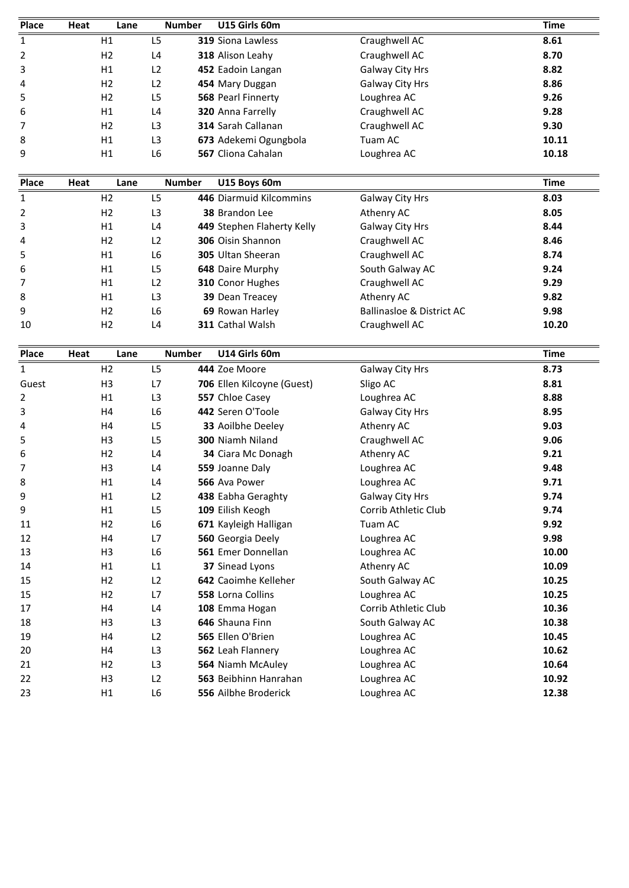| Place | Heat | Lane           |                | <b>Number</b> | U15 Girls 60m            |                 | <b>Time</b> |
|-------|------|----------------|----------------|---------------|--------------------------|-----------------|-------------|
| 1     |      | H1             | L5             |               | <b>319 Siona Lawless</b> | Craughwell AC   | 8.61        |
| 2     |      | H <sub>2</sub> | L <sub>4</sub> |               | 318 Alison Leahy         | Craughwell AC   | 8.70        |
| 3     |      | H1             | L <sub>2</sub> |               | 452 Eadoin Langan        | Galway City Hrs | 8.82        |
| 4     |      | H2             | L2             |               | 454 Mary Duggan          | Galway City Hrs | 8.86        |
| 5     |      | H2             | L <sub>5</sub> |               | 568 Pearl Finnerty       | Loughrea AC     | 9.26        |
| 6     |      | H1             | L <sub>4</sub> |               | 320 Anna Farrelly        | Craughwell AC   | 9.28        |
| 7     |      | H <sub>2</sub> | L <sub>3</sub> |               | 314 Sarah Callanan       | Craughwell AC   | 9.30        |
| 8     |      | H1             | L <sub>3</sub> |               | 673 Adekemi Ogungbola    | Tuam AC         | 10.11       |
| 9     |      | H1             | L <sub>6</sub> |               | 567 Cliona Cahalan       | Loughrea AC     | 10.18       |
| Place | Heat | Lane           |                | <b>Number</b> | U15 Boys 60m             |                 | <b>Time</b> |
| 1     |      | H <sub>2</sub> | L <sub>5</sub> |               | 446 Diarmuid Kilcommins  | Galway City Hrs | 8.03        |
| 2     |      | H <sub>2</sub> | L3             |               | <b>38 Brandon Lee</b>    | Athenry AC      | 8.05        |

| ŏ            |      | H1.            | L3             |               | <b>673</b> Adekemi Ogungbola | Tuam AC                   | 10.11       |
|--------------|------|----------------|----------------|---------------|------------------------------|---------------------------|-------------|
| 9            |      | H1             | L6             |               | 567 Cliona Cahalan           | Loughrea AC               | 10.18       |
| Place        | Heat | Lane           |                | <b>Number</b> | U15 Boys 60m                 |                           | <b>Time</b> |
| $\mathbf{1}$ |      | H <sub>2</sub> | L5             |               | 446 Diarmuid Kilcommins      | Galway City Hrs           | 8.03        |
| 2            |      | H <sub>2</sub> | L <sub>3</sub> |               | <b>38 Brandon Lee</b>        | Athenry AC                | 8.05        |
| 3            |      | H1             | L4             |               | 449 Stephen Flaherty Kelly   | Galway City Hrs           | 8.44        |
| 4            |      | H <sub>2</sub> | L <sub>2</sub> |               | 306 Oisin Shannon            | Craughwell AC             | 8.46        |
| 5            |      | H1             | L6             |               | <b>305</b> Ultan Sheeran     | Craughwell AC             | 8.74        |
| 6            |      | H1             | L <sub>5</sub> |               | 648 Daire Murphy             | South Galway AC           | 9.24        |
|              |      | H1             | L <sub>2</sub> |               | 310 Conor Hughes             | Craughwell AC             | 9.29        |
| 8            |      | H1             | L <sub>3</sub> |               | <b>39 Dean Treacey</b>       | Athenry AC                | 9.82        |
| 9            |      | H <sub>2</sub> | L6             |               | 69 Rowan Harley              | Ballinasloe & District AC | 9.98        |
| 10           |      | H <sub>2</sub> | L4             |               | <b>311 Cathal Walsh</b>      | Craughwell AC             | 10.20       |
| Place        | Heat | Lane           |                | <b>Number</b> | U14 Girls 60m                |                           | <b>Time</b> |
|              |      | H <sub>2</sub> | L5             |               | 444 Zoe Moore                | Galway City Hrs           | 8.73        |

| ୪            |      | ĦТ             | L3             | <b>39</b> Dean Treacey         | Athenry AC                           | 9.8Z        |
|--------------|------|----------------|----------------|--------------------------------|--------------------------------------|-------------|
| 9            |      | H <sub>2</sub> | L <sub>6</sub> | 69 Rowan Harley                | <b>Ballinasloe &amp; District AC</b> | 9.98        |
| 10           |      | H <sub>2</sub> | L4             | 311 Cathal Walsh               | Craughwell AC                        | 10.20       |
|              |      |                |                |                                |                                      |             |
| Place        | Heat | Lane           |                | U14 Girls 60m<br><b>Number</b> |                                      | <b>Time</b> |
| $\mathbf{1}$ |      | H <sub>2</sub> | L <sub>5</sub> | 444 Zoe Moore                  | Galway City Hrs                      | 8.73        |
| Guest        |      | H <sub>3</sub> | L7             | 706 Ellen Kilcoyne (Guest)     | Sligo AC                             | 8.81        |
| 2            |      | H1             | L3             | 557 Chloe Casey                | Loughrea AC                          | 8.88        |
| 3            |      | H4             | L <sub>6</sub> | 442 Seren O'Toole              | Galway City Hrs                      | 8.95        |
| 4            |      | H4             | L <sub>5</sub> | 33 Aoilbhe Deeley              | Athenry AC                           | 9.03        |
| 5            |      | H <sub>3</sub> | L <sub>5</sub> | 300 Niamh Niland               | Craughwell AC                        | 9.06        |
| 6            |      | H2             | L <sub>4</sub> | 34 Ciara Mc Donagh             | Athenry AC                           | 9.21        |
| 7            |      | H <sub>3</sub> | L4             | 559 Joanne Daly                | Loughrea AC                          | 9.48        |
| 8            |      | H1             | L <sub>4</sub> | 566 Ava Power                  | Loughrea AC                          | 9.71        |
| 9            |      | H1             | L2             | 438 Eabha Geraghty             | Galway City Hrs                      | 9.74        |
| 9            |      | H1             | L <sub>5</sub> | 109 Eilish Keogh               | Corrib Athletic Club                 | 9.74        |
| 11           |      | H <sub>2</sub> | L6             | 671 Kayleigh Halligan          | Tuam AC                              | 9.92        |
| 12           |      | H4             | L7             | 560 Georgia Deely              | Loughrea AC                          | 9.98        |
| 13           |      | H <sub>3</sub> | L <sub>6</sub> | 561 Emer Donnellan             | Loughrea AC                          | 10.00       |
| 14           |      | H1             | L1             | 37 Sinead Lyons                | Athenry AC                           | 10.09       |
| 15           |      | H <sub>2</sub> | L2             | 642 Caoimhe Kelleher           | South Galway AC                      | 10.25       |
| 15           |      | H2             | L7             | 558 Lorna Collins              | Loughrea AC                          | 10.25       |
| 17           |      | H4             | L <sub>4</sub> | 108 Emma Hogan                 | Corrib Athletic Club                 | 10.36       |
| 18           |      | H <sub>3</sub> | L <sub>3</sub> | 646 Shauna Finn                | South Galway AC                      | 10.38       |
| 19           |      | H4             | L2             | 565 Ellen O'Brien              | Loughrea AC                          | 10.45       |
| 20           |      | H4             | L <sub>3</sub> | 562 Leah Flannery              | Loughrea AC                          | 10.62       |
| 21           |      | H <sub>2</sub> | L <sub>3</sub> | 564 Niamh McAuley              | Loughrea AC                          | 10.64       |
| 22           |      | H <sub>3</sub> | L2             | 563 Beibhinn Hanrahan          | Loughrea AC                          | 10.92       |
| 23           |      | H1             | L <sub>6</sub> | 556 Ailbhe Broderick           | Loughrea AC                          | 12.38       |
|              |      |                |                |                                |                                      |             |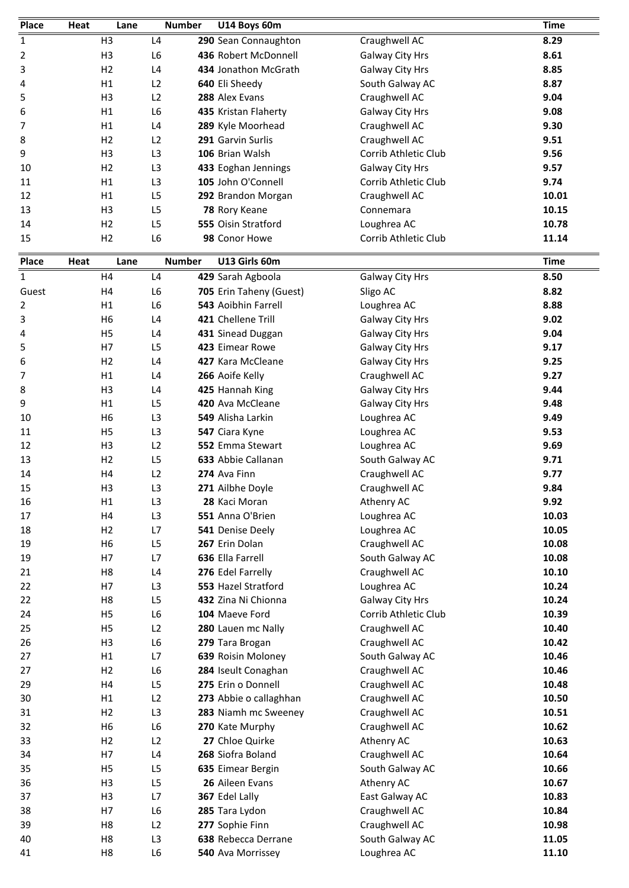| Place          | Heat | Lane                 | <b>Number</b>                    | U14 Boys 60m                              |                                                | <b>Time</b>    |
|----------------|------|----------------------|----------------------------------|-------------------------------------------|------------------------------------------------|----------------|
| $\mathbf{1}$   |      | H <sub>3</sub>       | L <sub>4</sub>                   | 290 Sean Connaughton                      | Craughwell AC                                  | 8.29           |
| 2              |      | H <sub>3</sub>       | L <sub>6</sub>                   | 436 Robert McDonnell                      | Galway City Hrs                                | 8.61           |
| 3              |      | H <sub>2</sub>       | L4                               | 434 Jonathon McGrath                      | Galway City Hrs                                | 8.85           |
| 4              |      | H1                   | L2                               | 640 Eli Sheedy                            | South Galway AC                                | 8.87           |
| 5              |      | H <sub>3</sub>       | L2                               | 288 Alex Evans                            | Craughwell AC                                  | 9.04           |
| 6              |      | H1                   | L <sub>6</sub>                   | 435 Kristan Flaherty                      | Galway City Hrs                                | 9.08           |
| 7              |      | H1                   | L4                               | 289 Kyle Moorhead                         | Craughwell AC                                  | 9.30           |
| 8              |      | H <sub>2</sub>       | L2                               | 291 Garvin Surlis                         | Craughwell AC                                  | 9.51           |
| 9              |      | H <sub>3</sub>       | L3                               | 106 Brian Walsh                           | Corrib Athletic Club                           | 9.56           |
| 10             |      | H <sub>2</sub><br>H1 | L <sub>3</sub><br>L <sub>3</sub> | 433 Eoghan Jennings<br>105 John O'Connell | <b>Galway City Hrs</b><br>Corrib Athletic Club | 9.57<br>9.74   |
| 11<br>12       |      | H1                   | L5                               | 292 Brandon Morgan                        | Craughwell AC                                  | 10.01          |
| 13             |      | H <sub>3</sub>       | L <sub>5</sub>                   | 78 Rory Keane                             | Connemara                                      | 10.15          |
| 14             |      | H <sub>2</sub>       | L <sub>5</sub>                   | 555 Oisin Stratford                       | Loughrea AC                                    | 10.78          |
| 15             |      | H <sub>2</sub>       | L <sub>6</sub>                   | 98 Conor Howe                             | Corrib Athletic Club                           | 11.14          |
|                |      |                      |                                  |                                           |                                                |                |
| <b>Place</b>   | Heat | Lane                 | <b>Number</b>                    | U13 Girls 60m                             |                                                | <b>Time</b>    |
| $\mathbf{1}$   |      | H <sub>4</sub>       | L4                               | 429 Sarah Agboola                         | Galway City Hrs                                | 8.50           |
| Guest          |      | H <sub>4</sub>       | L <sub>6</sub>                   | 705 Erin Taheny (Guest)                   | Sligo AC                                       | 8.82           |
| $\overline{2}$ |      | H1                   | L <sub>6</sub>                   | 543 Aoibhin Farrell                       | Loughrea AC                                    | 8.88           |
| 3              |      | H <sub>6</sub>       | L4                               | 421 Chellene Trill                        | Galway City Hrs                                | 9.02           |
| 4              |      | H <sub>5</sub><br>H7 | L4<br>L5                         | 431 Sinead Duggan<br>423 Eimear Rowe      | Galway City Hrs                                | 9.04<br>9.17   |
| 5<br>6         |      | H <sub>2</sub>       | L <sub>4</sub>                   | 427 Kara McCleane                         | Galway City Hrs<br><b>Galway City Hrs</b>      | 9.25           |
| 7              |      | H1                   | L <sub>4</sub>                   | 266 Aoife Kelly                           | Craughwell AC                                  | 9.27           |
| 8              |      | H <sub>3</sub>       | L <sub>4</sub>                   | 425 Hannah King                           | Galway City Hrs                                | 9.44           |
| 9              |      | H1                   | L <sub>5</sub>                   | 420 Ava McCleane                          | Galway City Hrs                                | 9.48           |
| 10             |      | H <sub>6</sub>       | L3                               | 549 Alisha Larkin                         | Loughrea AC                                    | 9.49           |
| 11             |      | H <sub>5</sub>       | L3                               | 547 Ciara Kyne                            | Loughrea AC                                    | 9.53           |
| 12             |      | H <sub>3</sub>       | L2                               | 552 Emma Stewart                          | Loughrea AC                                    | 9.69           |
| 13             |      | H <sub>2</sub>       | L <sub>5</sub>                   | 633 Abbie Callanan                        | South Galway AC                                | 9.71           |
| 14             |      | H4                   | L2                               | 274 Ava Finn                              | Craughwell AC                                  | 9.77           |
| 15             |      | H <sub>3</sub>       | L3                               | 271 Ailbhe Doyle                          | Craughwell AC                                  | 9.84           |
| 16             |      | H1                   | L3                               | 28 Kaci Moran                             | Athenry AC                                     | 9.92           |
| 17             |      | H4                   | L3                               | 551 Anna O'Brien                          | Loughrea AC                                    | 10.03          |
| 18             |      | H <sub>2</sub>       | L7                               | 541 Denise Deely                          | Loughrea AC                                    | 10.05          |
| 19             |      | H <sub>6</sub>       | L5                               | 267 Erin Dolan                            | Craughwell AC                                  | 10.08          |
| 19             |      | H7                   | L7<br>L4                         | 636 Ella Farrell<br>276 Edel Farrelly     | South Galway AC                                | 10.08<br>10.10 |
| 21<br>22       |      | H <sub>8</sub><br>H7 | L3                               | 553 Hazel Stratford                       | Craughwell AC<br>Loughrea AC                   | 10.24          |
| 22             |      | H <sub>8</sub>       | L5                               | 432 Zina Ni Chionna                       | Galway City Hrs                                | 10.24          |
| 24             |      | H <sub>5</sub>       | L6                               | 104 Maeve Ford                            | Corrib Athletic Club                           | 10.39          |
| 25             |      | H <sub>5</sub>       | L2                               | 280 Lauen mc Nally                        | Craughwell AC                                  | 10.40          |
| 26             |      | H <sub>3</sub>       | L6                               | 279 Tara Brogan                           | Craughwell AC                                  | 10.42          |
| 27             |      | H1                   | L7                               | 639 Roisin Moloney                        | South Galway AC                                | 10.46          |
| 27             |      | H2                   | L6                               | 284 Iseult Conaghan                       | Craughwell AC                                  | 10.46          |
| 29             |      | H4                   | L5                               | 275 Erin o Donnell                        | Craughwell AC                                  | 10.48          |
| 30             |      | H1                   | L2                               | 273 Abbie o callaghhan                    | Craughwell AC                                  | 10.50          |
| 31             |      | H <sub>2</sub>       | L3                               | 283 Niamh mc Sweeney                      | Craughwell AC                                  | 10.51          |
| 32             |      | H <sub>6</sub>       | L6                               | 270 Kate Murphy                           | Craughwell AC                                  | 10.62          |
| 33             |      | H <sub>2</sub>       | L2                               | 27 Chloe Quirke                           | Athenry AC                                     | 10.63          |
| 34             |      | H7                   | L4                               | 268 Siofra Boland                         | Craughwell AC                                  | 10.64          |
| 35             |      | H <sub>5</sub>       | L5                               | 635 Eimear Bergin                         | South Galway AC                                | 10.66          |
| 36             |      | H <sub>3</sub>       | L5                               | 26 Aileen Evans                           | Athenry AC                                     | 10.67          |
| 37             |      | H <sub>3</sub>       | L7                               | 367 Edel Lally                            | East Galway AC                                 | 10.83          |
| 38<br>39       |      | H7<br>H <sub>8</sub> | L6<br>L2                         | 285 Tara Lydon                            | Craughwell AC<br>Craughwell AC                 | 10.84<br>10.98 |
| 40             |      | H <sub>8</sub>       | L3                               | 277 Sophie Finn<br>638 Rebecca Derrane    | South Galway AC                                | 11.05          |
| 41             |      | H <sub>8</sub>       | L6                               | 540 Ava Morrissey                         | Loughrea AC                                    | 11.10          |
|                |      |                      |                                  |                                           |                                                |                |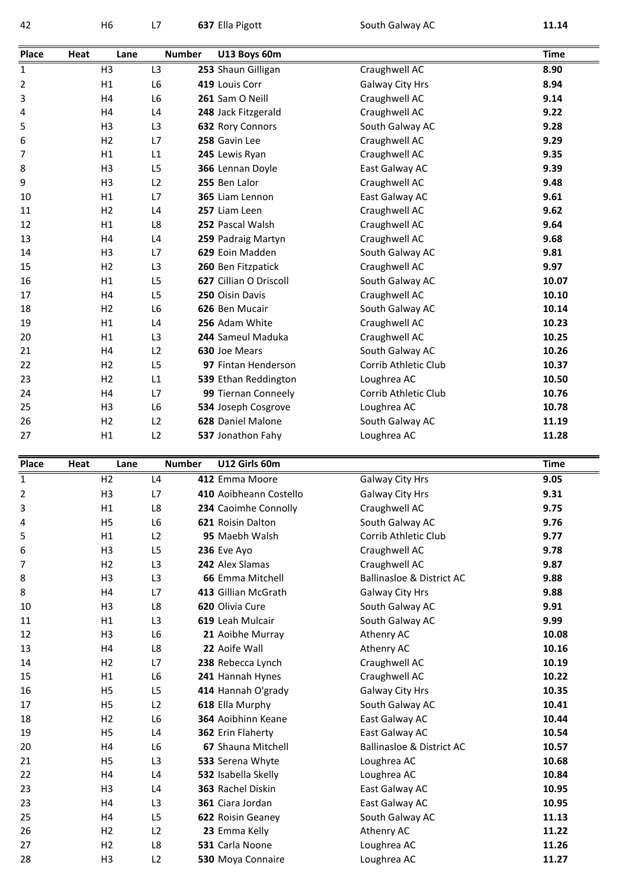H6 L7 **<sup>637</sup>** Ella Pigott South Galway AC **11.14 Place**

| 42          |      | H <sub>6</sub> | L7             | 637 Ella Pigott        | South Galway AC                      | 11.14       |
|-------------|------|----------------|----------------|------------------------|--------------------------------------|-------------|
| Place       | Heat | Lane           | <b>Number</b>  | U13 Boys 60m           |                                      | <b>Time</b> |
| $\mathbf 1$ |      | H <sub>3</sub> | L <sub>3</sub> | 253 Shaun Gilligan     | Craughwell AC                        | 8.90        |
| 2           |      | H1             | L <sub>6</sub> | 419 Louis Corr         | Galway City Hrs                      | 8.94        |
| 3           |      | H4             | L <sub>6</sub> | 261 Sam O Neill        | Craughwell AC                        | 9.14        |
| 4           |      | H <sub>4</sub> | L4             | 248 Jack Fitzgerald    | Craughwell AC                        | 9.22        |
| 5           |      | H <sub>3</sub> | L <sub>3</sub> | 632 Rory Connors       | South Galway AC                      | 9.28        |
| 6           |      | H <sub>2</sub> | L7             | 258 Gavin Lee          | Craughwell AC                        | 9.29        |
| 7           |      | H1             | L1             | 245 Lewis Ryan         | Craughwell AC                        | 9.35        |
| 8           |      | H <sub>3</sub> | L5             | 366 Lennan Doyle       | East Galway AC                       | 9.39        |
| 9           |      | H <sub>3</sub> | L2             | 255 Ben Lalor          | Craughwell AC                        | 9.48        |
| 10          |      | H1             | L7             | 365 Liam Lennon        | East Galway AC                       | 9.61        |
| 11          |      | H <sub>2</sub> | L4             | 257 Liam Leen          | Craughwell AC                        | 9.62        |
| 12          |      | H1             | L8             | 252 Pascal Walsh       | Craughwell AC                        | 9.64        |
| 13          |      | H <sub>4</sub> | L4             | 259 Padraig Martyn     | Craughwell AC                        | 9.68        |
| 14          |      | H <sub>3</sub> | L7             | 629 Eoin Madden        | South Galway AC                      | 9.81        |
| 15          |      | H <sub>2</sub> | L <sub>3</sub> | 260 Ben Fitzpatick     | Craughwell AC                        | 9.97        |
| 16          |      | H1             | L <sub>5</sub> | 627 Cillian O Driscoll | South Galway AC                      | 10.07       |
| 17          |      | H4             | L5             | 250 Oisin Davis        | Craughwell AC                        | 10.10       |
| 18          |      | H2             | L <sub>6</sub> | 626 Ben Mucair         | South Galway AC                      | 10.14       |
| 19          |      | H1             | L4             | 256 Adam White         | Craughwell AC                        | 10.23       |
| 20          |      | H1             | L <sub>3</sub> | 244 Sameul Maduka      | Craughwell AC                        | 10.25       |
| 21          |      | H <sub>4</sub> | L2             | 630 Joe Mears          | South Galway AC                      | 10.26       |
| 22          |      | H <sub>2</sub> | L5             | 97 Fintan Henderson    | Corrib Athletic Club                 | 10.37       |
| 23          |      | H <sub>2</sub> | L1             | 539 Ethan Reddington   | Loughrea AC                          | 10.50       |
| 24          |      | H4             | L7             | 99 Tiernan Conneely    | Corrib Athletic Club                 | 10.76       |
| 25          |      | H <sub>3</sub> | L <sub>6</sub> | 534 Joseph Cosgrove    | Loughrea AC                          | 10.78       |
| 26          |      | H <sub>2</sub> | L2             | 628 Daniel Malone      | South Galway AC                      | 11.19       |
| 27          |      | H1             | L2             | 537 Jonathon Fahy      | Loughrea AC                          | 11.28       |
| Place       | Heat | Lane           | <b>Number</b>  | U12 Girls 60m          |                                      | <b>Time</b> |
| $\mathbf 1$ |      | H <sub>2</sub> | L4             | 412 Emma Moore         | Galway City Hrs                      | 9.05        |
| 2           |      | H3             | L7             | 410 Aoibheann Costello | Galway City Hrs                      | 9.31        |
| 3           |      | H1             | L8             | 234 Caoimhe Connolly   | Craughwell AC                        | 9.75        |
| 4           |      | H <sub>5</sub> | L <sub>6</sub> | 621 Roisin Dalton      | South Galway AC                      | 9.76        |
| 5           |      | H1             | L2             | 95 Maebh Walsh         | Corrib Athletic Club                 | 9.77        |
| 6           |      | H3             | L5             | 236 Eve Ayo            | Craughwell AC                        | 9.78        |
| 7           |      | H <sub>2</sub> | L <sub>3</sub> | 242 Alex Slamas        | Craughwell AC                        | 9.87        |
| 8           |      | H3             | L3             | 66 Emma Mitchell       | <b>Ballinasloe &amp; District AC</b> | 9.88        |
| 8           |      | H4             | L7             | 413 Gillian McGrath    | Galway City Hrs                      | 9.88        |
| 10          |      | H <sub>3</sub> | L8             | 620 Olivia Cure        | South Galway AC                      | 9.91        |
| 11          |      | H1             | L <sub>3</sub> | 619 Leah Mulcair       | South Galway AC                      | 9.99        |
| 12          |      | H3             | L6             | 21 Aoibhe Murray       | Athenry AC                           | 10.08       |
| 13          |      | H <sub>4</sub> | L8             | 22 Aoife Wall          | Athenry AC                           | 10.16       |

| 8  | H <sub>3</sub> | L3             | 66 Emma Mitchell          | Ballinasloe & District AC            | 9.88  |
|----|----------------|----------------|---------------------------|--------------------------------------|-------|
| 8  | Η4             | L7             | 413 Gillian McGrath       | Galway City Hrs                      | 9.88  |
| 10 | H3             | L8             | 620 Olivia Cure           | South Galway AC                      | 9.91  |
| 11 | H1             | L <sub>3</sub> | 619 Leah Mulcair          | South Galway AC                      | 9.99  |
| 12 | H <sub>3</sub> | L6             | 21 Aoibhe Murray          | Athenry AC                           | 10.08 |
| 13 | H4             | L8             | 22 Aoife Wall             | Athenry AC                           | 10.16 |
| 14 | H2             | L7             | 238 Rebecca Lynch         | Craughwell AC                        | 10.19 |
| 15 | H1             | L6             | 241 Hannah Hynes          | Craughwell AC                        | 10.22 |
| 16 | H <sub>5</sub> | L <sub>5</sub> | 414 Hannah O'grady        | Galway City Hrs                      | 10.35 |
| 17 | H <sub>5</sub> | L2             | 618 Ella Murphy           | South Galway AC                      | 10.41 |
| 18 | H2             | L6             | <b>364</b> Aoibhinn Keane | East Galway AC                       | 10.44 |
| 19 | H <sub>5</sub> | L <sub>4</sub> | 362 Erin Flaherty         | East Galway AC                       | 10.54 |
| 20 | Η4             | L6             | 67 Shauna Mitchell        | <b>Ballinasloe &amp; District AC</b> | 10.57 |
| 21 | H5             | L3             | 533 Serena Whyte          | Loughrea AC                          | 10.68 |
| 22 | Η4             | L4             | 532 Isabella Skelly       | Loughrea AC                          | 10.84 |
| 23 | H3             | L4             | 363 Rachel Diskin         | East Galway AC                       | 10.95 |
| 23 | Η4             | L <sub>3</sub> | 361 Ciara Jordan          | East Galway AC                       | 10.95 |
| 25 | Η4             | L <sub>5</sub> | 622 Roisin Geaney         | South Galway AC                      | 11.13 |
| 26 | H2             | L2             | 23 Emma Kelly             | Athenry AC                           | 11.22 |
| 27 | H <sub>2</sub> | L8             | 531 Carla Noone           | Loughrea AC                          | 11.26 |
| 28 | H3             | L2             | 530 Moya Connaire         | Loughrea AC                          | 11.27 |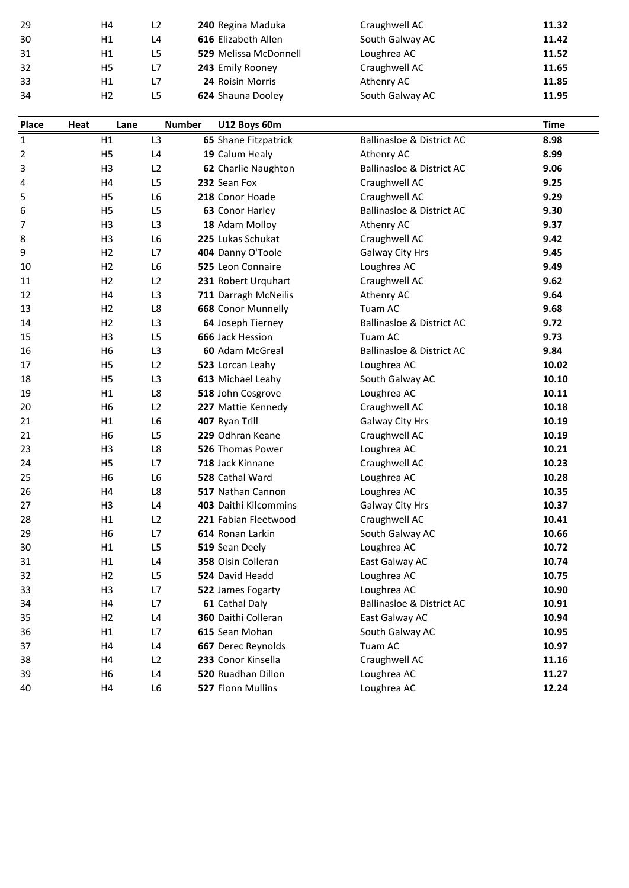| 32<br>33<br>34<br>Place<br>Heat | L7<br>H5<br>L7<br>H1<br>L <sub>5</sub><br>H2<br>Lane | <b>Number</b> | 24 Roisin Morris<br>624 Shauna Dooley<br>U12 Boys 60m | Craughwell AC<br>Athenry AC<br>South Galway AC | 11.85<br>11.95<br>Time |
|---------------------------------|------------------------------------------------------|---------------|-------------------------------------------------------|------------------------------------------------|------------------------|
|                                 |                                                      |               |                                                       |                                                |                        |
|                                 |                                                      |               |                                                       |                                                |                        |
|                                 |                                                      |               |                                                       |                                                |                        |
|                                 |                                                      |               | 243 Emily Rooney                                      |                                                | 11.65                  |
| 31                              | L <sub>5</sub><br>H1                                 |               | <b>529 Melissa McDonnell</b>                          | Loughrea AC                                    | 11.52                  |
| 30                              | H1<br>L4                                             |               | 616 Elizabeth Allen                                   | South Galway AC                                | 11.42                  |
| 29                              | L2<br>H4                                             |               | 240 Regina Maduka                                     | Craughwell AC                                  | 11.32                  |

| 32    |      | Ħ5             | L/             | <b>243</b> Emily Rooney | Craughwell AC                        | 11.65       |
|-------|------|----------------|----------------|-------------------------|--------------------------------------|-------------|
| 33    |      | H1             | L7             | 24 Roisin Morris        | Athenry AC                           | 11.85       |
| 34    |      | H <sub>2</sub> | L <sub>5</sub> | 624 Shauna Dooley       | South Galway AC                      | 11.95       |
|       |      |                |                |                         |                                      |             |
| Place | Heat | Lane           | <b>Number</b>  | U12 Boys 60m            |                                      | <b>Time</b> |
| 1     |      | H1             | L <sub>3</sub> | 65 Shane Fitzpatrick    | <b>Ballinasloe &amp; District AC</b> | 8.98        |
| 2     |      | H <sub>5</sub> | L4             | 19 Calum Healy          | Athenry AC                           | 8.99        |
| 3     |      | H <sub>3</sub> | L2             | 62 Charlie Naughton     | <b>Ballinasloe &amp; District AC</b> | 9.06        |
| 4     |      | H4             | L <sub>5</sub> | 232 Sean Fox            | Craughwell AC                        | 9.25        |
| 5     |      | H <sub>5</sub> | L <sub>6</sub> | 218 Conor Hoade         | Craughwell AC                        | 9.29        |
| 6     |      | H <sub>5</sub> | L <sub>5</sub> | 63 Conor Harley         | <b>Ballinasloe &amp; District AC</b> | 9.30        |
| 7     |      | H <sub>3</sub> | L3             | 18 Adam Molloy          | Athenry AC                           | 9.37        |
| 8     |      | H <sub>3</sub> | L <sub>6</sub> | 225 Lukas Schukat       | Craughwell AC                        | 9.42        |
| 9     |      | H <sub>2</sub> | L7             | 404 Danny O'Toole       | Galway City Hrs                      | 9.45        |
| 10    |      | H <sub>2</sub> | L <sub>6</sub> | 525 Leon Connaire       | Loughrea AC                          | 9.49        |
| 11    |      | H <sub>2</sub> | L2             | 231 Robert Urquhart     | Craughwell AC                        | 9.62        |
| 12    |      | H4             | L3             | 711 Darragh McNeilis    | Athenry AC                           | 9.64        |
| 13    |      | H <sub>2</sub> | L8             | 668 Conor Munnelly      | Tuam AC                              | 9.68        |
| 14    |      | H <sub>2</sub> | L <sub>3</sub> | 64 Joseph Tierney       | <b>Ballinasloe &amp; District AC</b> | 9.72        |
| 15    |      | H <sub>3</sub> | L <sub>5</sub> | 666 Jack Hession        | Tuam AC                              | 9.73        |
| 16    |      | H <sub>6</sub> | L3             | 60 Adam McGreal         | <b>Ballinasloe &amp; District AC</b> | 9.84        |
| 17    |      | H <sub>5</sub> | L2             | 523 Lorcan Leahy        | Loughrea AC                          | 10.02       |
| 18    |      | H <sub>5</sub> | L3             | 613 Michael Leahy       | South Galway AC                      | 10.10       |
| 19    |      | H1             | L8             | 518 John Cosgrove       | Loughrea AC                          | 10.11       |
| 20    |      | H <sub>6</sub> | L2             | 227 Mattie Kennedy      | Craughwell AC                        | 10.18       |
| 21    |      | H1             | L <sub>6</sub> | 407 Ryan Trill          | Galway City Hrs                      | 10.19       |
| 21    |      | H <sub>6</sub> | L <sub>5</sub> | 229 Odhran Keane        | Craughwell AC                        | 10.19       |
| 23    |      | H <sub>3</sub> | L8             | 526 Thomas Power        | Loughrea AC                          | 10.21       |
| 24    |      | H <sub>5</sub> | L7             | 718 Jack Kinnane        | Craughwell AC                        | 10.23       |
| 25    |      | H <sub>6</sub> | L <sub>6</sub> | 528 Cathal Ward         | Loughrea AC                          | 10.28       |
| 26    |      | H4             | L8             | 517 Nathan Cannon       | Loughrea AC                          | 10.35       |
| 27    |      | H <sub>3</sub> | L <sub>4</sub> | 403 Daithi Kilcommins   | Galway City Hrs                      | 10.37       |
| 28    |      | H1             | L <sub>2</sub> | 221 Fabian Fleetwood    | Craughwell AC                        | 10.41       |
| 29    |      | H <sub>6</sub> | L7             | 614 Ronan Larkin        | South Galway AC                      | 10.66       |
| 30    |      | H1             | L5             | 519 Sean Deely          | Loughrea AC                          | 10.72       |
| 31    |      | H1             | L4             | 358 Oisin Colleran      | East Galway AC                       | 10.74       |
| 32    |      | H <sub>2</sub> | L <sub>5</sub> | 524 David Headd         | Loughrea AC                          | 10.75       |
| 33    |      | H <sub>3</sub> | L7             | 522 James Fogarty       | Loughrea AC                          | 10.90       |
| 34    |      | H4             | L7             | 61 Cathal Daly          | <b>Ballinasloe &amp; District AC</b> | 10.91       |
| 35    |      | H <sub>2</sub> | L4             | 360 Daithi Colleran     | East Galway AC                       | 10.94       |
| 36    |      | H1             | L7             | 615 Sean Mohan          | South Galway AC                      | 10.95       |
| 37    |      | H4             | L4             | 667 Derec Reynolds      | Tuam AC                              | 10.97       |
| 38    |      | H4             | L2             | 233 Conor Kinsella      | Craughwell AC                        | 11.16       |
| 39    |      | H <sub>6</sub> | L4             | 520 Ruadhan Dillon      | Loughrea AC                          | 11.27       |
| 40    |      | H4             | L6             | 527 Fionn Mullins       | Loughrea AC                          | 12.24       |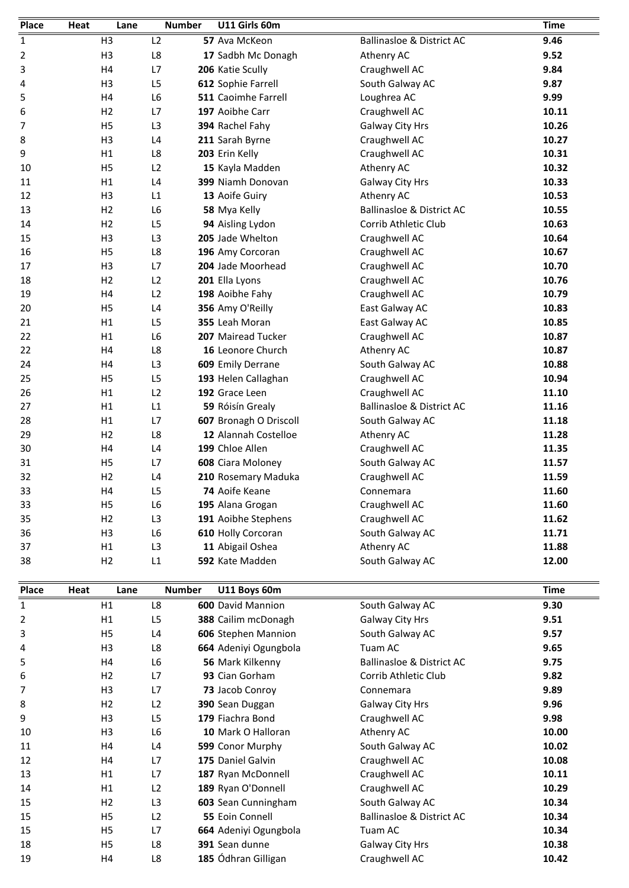| Place       | Heat | Lane           | <b>Number</b>  | U11 Girls 60m              |                                      | <b>Time</b> |
|-------------|------|----------------|----------------|----------------------------|--------------------------------------|-------------|
| 1           |      | H <sub>3</sub> | L2             | 57 Ava McKeon              | <b>Ballinasloe &amp; District AC</b> | 9.46        |
| 2           |      | H <sub>3</sub> | L8             | 17 Sadbh Mc Donagh         | Athenry AC                           | 9.52        |
| 3           |      | H4             | L7             | 206 Katie Scully           | Craughwell AC                        | 9.84        |
| 4           |      | H <sub>3</sub> | L <sub>5</sub> | 612 Sophie Farrell         | South Galway AC                      | 9.87        |
| 5           |      | H4             | L <sub>6</sub> | <b>511 Caoimhe Farrell</b> | Loughrea AC                          | 9.99        |
| 6           |      | H <sub>2</sub> | L7             | 197 Aoibhe Carr            | Craughwell AC                        | 10.11       |
| 7           |      | H <sub>5</sub> | L <sub>3</sub> | 394 Rachel Fahy            | Galway City Hrs                      | 10.26       |
| 8           |      | H <sub>3</sub> | L4             | 211 Sarah Byrne            | Craughwell AC                        | 10.27       |
| 9           |      | H1             | L8             | 203 Erin Kelly             | Craughwell AC                        | 10.31       |
| 10          |      | H <sub>5</sub> | L2             | 15 Kayla Madden            | Athenry AC                           | 10.32       |
| 11          |      | H1             | L4             | 399 Niamh Donovan          | Galway City Hrs                      | 10.33       |
| 12          |      | H <sub>3</sub> | L1             | 13 Aoife Guiry             | Athenry AC                           | 10.53       |
| 13          |      | H <sub>2</sub> | L6             | 58 Mya Kelly               | <b>Ballinasloe &amp; District AC</b> | 10.55       |
| 14          |      | H <sub>2</sub> | L <sub>5</sub> | 94 Aisling Lydon           | Corrib Athletic Club                 | 10.63       |
| 15          |      | H <sub>3</sub> | L <sub>3</sub> | 205 Jade Whelton           | Craughwell AC                        | 10.64       |
| 16          |      | H <sub>5</sub> | L8             | 196 Amy Corcoran           | Craughwell AC                        | 10.67       |
| 17          |      | H <sub>3</sub> | L7             | 204 Jade Moorhead          | Craughwell AC                        | 10.70       |
| 18          |      | H <sub>2</sub> | L2             | 201 Ella Lyons             | Craughwell AC                        | 10.76       |
| 19          |      | H4             | L2             | 198 Aoibhe Fahy            | Craughwell AC                        | 10.79       |
| 20          |      | H <sub>5</sub> | L4             | 356 Amy O'Reilly           | East Galway AC                       | 10.83       |
| 21          |      | H1             | L <sub>5</sub> | 355 Leah Moran             | East Galway AC                       | 10.85       |
| 22          |      | H1             | L6             | 207 Mairead Tucker         | Craughwell AC                        | 10.87       |
| 22          |      | H4             | L8             | 16 Leonore Church          | Athenry AC                           | 10.87       |
| 24          |      | H4             | L <sub>3</sub> | 609 Emily Derrane          | South Galway AC                      | 10.88       |
| 25          |      | H <sub>5</sub> | L <sub>5</sub> | 193 Helen Callaghan        | Craughwell AC                        | 10.94       |
| 26          |      | H1             | L2             | 192 Grace Leen             | Craughwell AC                        | 11.10       |
| 27          |      | H1             | L1             | 59 Róisín Grealy           | <b>Ballinasloe &amp; District AC</b> | 11.16       |
| 28          |      | H1             | L7             | 607 Bronagh O Driscoll     | South Galway AC                      | 11.18       |
| 29          |      | H <sub>2</sub> | L8             | 12 Alannah Costelloe       | Athenry AC                           | 11.28       |
| 30          |      | Η4             | L4             | 199 Chloe Allen            | Craughwell AC                        | 11.35       |
| 31          |      | H <sub>5</sub> | L7             | 608 Ciara Moloney          | South Galway AC                      | 11.57       |
| 32          |      | H <sub>2</sub> | L4             | 210 Rosemary Maduka        | Craughwell AC                        | 11.59       |
| 33          |      | Η4             | L5             | 74 Aoife Keane             | Connemara                            | 11.60       |
| 33          |      | H <sub>5</sub> | L6             | 195 Alana Grogan           | Craughwell AC                        | 11.60       |
| 35          |      | H2             | L3             | 191 Aoibhe Stephens        | Craughwell AC                        | 11.62       |
| 36          |      | H <sub>3</sub> | L6             | 610 Holly Corcoran         | South Galway AC                      | 11.71       |
| 37          |      | H1             | L <sub>3</sub> | 11 Abigail Oshea           | Athenry AC                           | 11.88       |
| 38          |      | H2             | L1             | 592 Kate Madden            | South Galway AC                      | 12.00       |
| Place       | Heat | Lane           | <b>Number</b>  | U11 Boys 60m               |                                      | <b>Time</b> |
| $\mathbf 1$ |      | H1             | L8             | 600 David Mannion          | South Galway AC                      | 9.30        |
| 2           |      | H1             | L <sub>5</sub> | 388 Cailim mcDonagh        | <b>Galway City Hrs</b>               | 9.51        |

|      | ĦТ             | L3             |               | Athenry AC                                                                                                                                                                                                                                                                                                                                                                                                                                                    | 11.88       |
|------|----------------|----------------|---------------|---------------------------------------------------------------------------------------------------------------------------------------------------------------------------------------------------------------------------------------------------------------------------------------------------------------------------------------------------------------------------------------------------------------------------------------------------------------|-------------|
|      | H <sub>2</sub> | L1             |               | South Galway AC                                                                                                                                                                                                                                                                                                                                                                                                                                               | 12.00       |
| Heat | Lane           |                | U11 Boys 60m  |                                                                                                                                                                                                                                                                                                                                                                                                                                                               | <b>Time</b> |
|      | H1             | L <sub>8</sub> |               | South Galway AC                                                                                                                                                                                                                                                                                                                                                                                                                                               | 9.30        |
|      | H1             | L5             |               | Galway City Hrs                                                                                                                                                                                                                                                                                                                                                                                                                                               | 9.51        |
|      | H <sub>5</sub> | L4             |               | South Galway AC                                                                                                                                                                                                                                                                                                                                                                                                                                               | 9.57        |
|      | H <sub>3</sub> | L8             |               | Tuam AC                                                                                                                                                                                                                                                                                                                                                                                                                                                       | 9.65        |
|      | H4             | L <sub>6</sub> |               | <b>Ballinasloe &amp; District AC</b>                                                                                                                                                                                                                                                                                                                                                                                                                          | 9.75        |
|      | H <sub>2</sub> | L7             |               | Corrib Athletic Club                                                                                                                                                                                                                                                                                                                                                                                                                                          | 9.82        |
|      | H <sub>3</sub> | L7             |               | Connemara                                                                                                                                                                                                                                                                                                                                                                                                                                                     | 9.89        |
|      | H <sub>2</sub> | L2             |               | Galway City Hrs                                                                                                                                                                                                                                                                                                                                                                                                                                               | 9.96        |
|      | H <sub>3</sub> | L5             |               | Craughwell AC                                                                                                                                                                                                                                                                                                                                                                                                                                                 | 9.98        |
|      | H <sub>3</sub> | L6             |               | Athenry AC                                                                                                                                                                                                                                                                                                                                                                                                                                                    | 10.00       |
|      | H4             | L4             |               | South Galway AC                                                                                                                                                                                                                                                                                                                                                                                                                                               | 10.02       |
|      | H4             | L7             |               | Craughwell AC                                                                                                                                                                                                                                                                                                                                                                                                                                                 | 10.08       |
|      | H1             | L7             |               | Craughwell AC                                                                                                                                                                                                                                                                                                                                                                                                                                                 | 10.11       |
|      | H1             | L2             |               | Craughwell AC                                                                                                                                                                                                                                                                                                                                                                                                                                                 | 10.29       |
|      | H <sub>2</sub> | L <sub>3</sub> |               | South Galway AC                                                                                                                                                                                                                                                                                                                                                                                                                                               | 10.34       |
|      | H5             | L2             |               | <b>Ballinasloe &amp; District AC</b>                                                                                                                                                                                                                                                                                                                                                                                                                          | 10.34       |
|      | H <sub>5</sub> | L7             |               | Tuam AC                                                                                                                                                                                                                                                                                                                                                                                                                                                       | 10.34       |
|      | H <sub>5</sub> | L8             |               | Galway City Hrs                                                                                                                                                                                                                                                                                                                                                                                                                                               | 10.38       |
|      | H4             | L8             |               | Craughwell AC                                                                                                                                                                                                                                                                                                                                                                                                                                                 | 10.42       |
|      |                |                | <b>Number</b> | 11 Abigail Oshea<br>592 Kate Madden<br><b>600 David Mannion</b><br>388 Cailim mcDonagh<br>606 Stephen Mannion<br>664 Adeniyi Ogungbola<br>56 Mark Kilkenny<br>93 Cian Gorham<br>73 Jacob Conroy<br>390 Sean Duggan<br>179 Fiachra Bond<br>10 Mark O Halloran<br>599 Conor Murphy<br>175 Daniel Galvin<br>187 Ryan McDonnell<br>189 Ryan O'Donnell<br>603 Sean Cunningham<br>55 Eoin Connell<br>664 Adeniyi Ogungbola<br>391 Sean dunne<br>185 Ódhran Gilligan |             |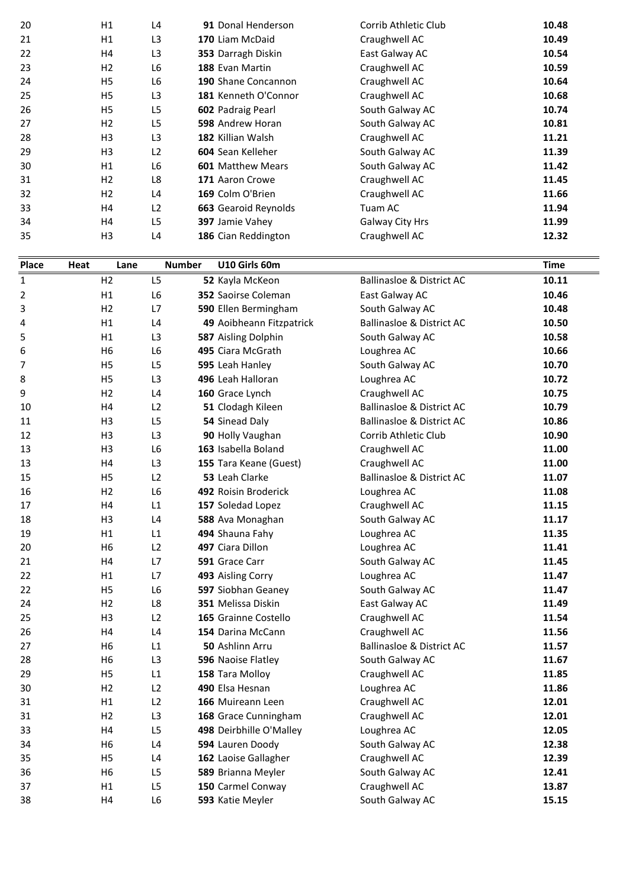| Place | Heat<br>Lane   |                |                                |                      |             |
|-------|----------------|----------------|--------------------------------|----------------------|-------------|
|       |                |                | U10 Girls 60m<br><b>Number</b> |                      | <b>Time</b> |
|       |                |                | 186 Cian Reddington            |                      |             |
| 35    | H <sub>3</sub> | L <sub>4</sub> |                                | Craughwell AC        | 12.32       |
| 34    | H4             | L <sub>5</sub> | 397 Jamie Vahey                | Galway City Hrs      | 11.99       |
| 33    | H4             | L2             | 663 Gearoid Reynolds           | Tuam AC              | 11.94       |
| 32    | H2             | L4             | 169 Colm O'Brien               | Craughwell AC        | 11.66       |
| 31    | H2             | L8             | 171 Aaron Crowe                | Craughwell AC        | 11.45       |
| 30    | H1             | L <sub>6</sub> | <b>601 Matthew Mears</b>       | South Galway AC      | 11.42       |
| 29    | H <sub>3</sub> | L <sub>2</sub> | 604 Sean Kelleher              | South Galway AC      | 11.39       |
| 28    | H <sub>3</sub> | L <sub>3</sub> | 182 Killian Walsh              | Craughwell AC        | 11.21       |
| 27    | H2             | L <sub>5</sub> | 598 Andrew Horan               | South Galway AC      | 10.81       |
| 26    | H <sub>5</sub> | L <sub>5</sub> | 602 Padraig Pearl              | South Galway AC      | 10.74       |
| 25    | H <sub>5</sub> | L <sub>3</sub> | 181 Kenneth O'Connor           | Craughwell AC        | 10.68       |
| 24    | H <sub>5</sub> | L <sub>6</sub> | 190 Shane Concannon            | Craughwell AC        | 10.64       |
| 23    | H2             | L <sub>6</sub> | 188 Evan Martin                | Craughwell AC        | 10.59       |
| 22    | H4             | L <sub>3</sub> | 353 Darragh Diskin             | East Galway AC       | 10.54       |
| 21    | H1             | L <sub>3</sub> | 170 Liam McDaid                | Craughwell AC        | 10.49       |
| 20    | H1             | L <sub>4</sub> | 91 Donal Henderson             | Corrib Athletic Club | 10.48       |

| 33    |      | Ħ4             | LZ.            | <b>663</b> Gearold Reynolds | Tuam AC                              | 11.94       |
|-------|------|----------------|----------------|-----------------------------|--------------------------------------|-------------|
| 34    |      | H4             | L5             | 397 Jamie Vahey             | Galway City Hrs                      | 11.99       |
| 35    |      | H <sub>3</sub> | L4             | 186 Cian Reddington         | Craughwell AC                        | 12.32       |
| Place | Heat | Lane           | <b>Number</b>  | U10 Girls 60m               |                                      | <b>Time</b> |
| 1     |      | H <sub>2</sub> | L <sub>5</sub> | 52 Kayla McKeon             | <b>Ballinasloe &amp; District AC</b> | 10.11       |
| 2     |      | H1             | L <sub>6</sub> | 352 Saoirse Coleman         | East Galway AC                       | 10.46       |
| 3     |      | H <sub>2</sub> | L7             | 590 Ellen Bermingham        | South Galway AC                      | 10.48       |
| 4     |      | H1             | L4             | 49 Aoibheann Fitzpatrick    | <b>Ballinasloe &amp; District AC</b> | 10.50       |
| 5     |      | H1             | L <sub>3</sub> | 587 Aisling Dolphin         | South Galway AC                      | 10.58       |
| 6     |      | H <sub>6</sub> | L <sub>6</sub> | 495 Ciara McGrath           | Loughrea AC                          | 10.66       |
| 7     |      | H <sub>5</sub> | L <sub>5</sub> | 595 Leah Hanley             | South Galway AC                      | 10.70       |
| 8     |      | H <sub>5</sub> | L3             | 496 Leah Halloran           | Loughrea AC                          | 10.72       |
| 9     |      | H <sub>2</sub> | L <sub>4</sub> | 160 Grace Lynch             | Craughwell AC                        | 10.75       |
| 10    |      | H <sub>4</sub> | L2             | 51 Clodagh Kileen           | <b>Ballinasloe &amp; District AC</b> | 10.79       |
| 11    |      | H <sub>3</sub> | L5             | 54 Sinead Daly              | <b>Ballinasloe &amp; District AC</b> | 10.86       |
| 12    |      | H <sub>3</sub> | L <sub>3</sub> | 90 Holly Vaughan            | Corrib Athletic Club                 | 10.90       |
| 13    |      | H <sub>3</sub> | L6             | 163 Isabella Boland         | Craughwell AC                        | 11.00       |
| 13    |      | H4             | L3             | 155 Tara Keane (Guest)      | Craughwell AC                        | 11.00       |
| 15    |      | H <sub>5</sub> | L2             | 53 Leah Clarke              | <b>Ballinasloe &amp; District AC</b> | 11.07       |
| 16    |      | H <sub>2</sub> | L6             | 492 Roisin Broderick        | Loughrea AC                          | 11.08       |
| 17    |      | H4             | L1             | 157 Soledad Lopez           | Craughwell AC                        | 11.15       |
| 18    |      | H <sub>3</sub> | L4             | 588 Ava Monaghan            | South Galway AC                      | 11.17       |
| 19    |      | H1             | L1             | 494 Shauna Fahy             | Loughrea AC                          | 11.35       |
| 20    |      | H <sub>6</sub> | L2             | 497 Ciara Dillon            | Loughrea AC                          | 11.41       |
| 21    |      | H4             | L7             | 591 Grace Carr              | South Galway AC                      | 11.45       |
| 22    |      | H1             | L7             | 493 Aisling Corry           | Loughrea AC                          | 11.47       |
| 22    |      | H <sub>5</sub> | L <sub>6</sub> | 597 Siobhan Geaney          | South Galway AC                      | 11.47       |
| 24    |      | H <sub>2</sub> | L8             | 351 Melissa Diskin          | East Galway AC                       | 11.49       |
| 25    |      | H <sub>3</sub> | L2             | 165 Grainne Costello        | Craughwell AC                        | 11.54       |
| 26    |      | H4             | L4             | 154 Darina McCann           | Craughwell AC                        | 11.56       |
| 27    |      | H <sub>6</sub> | L1             | 50 Ashlinn Arru             | <b>Ballinasloe &amp; District AC</b> | 11.57       |
| 28    |      | H <sub>6</sub> | L3             | 596 Naoise Flatley          | South Galway AC                      | 11.67       |
| 29    |      | H <sub>5</sub> | L1             | 158 Tara Molloy             | Craughwell AC                        | 11.85       |
| 30    |      | H2             | L2             | 490 Elsa Hesnan             | Loughrea AC                          | 11.86       |
| 31    |      | H1             | L2             | 166 Muireann Leen           | Craughwell AC                        | 12.01       |
| 31    |      | H2             | L <sub>3</sub> | 168 Grace Cunningham        | Craughwell AC                        | 12.01       |
| 33    |      | H4             | L <sub>5</sub> | 498 Deirbhille O'Malley     | Loughrea AC                          | 12.05       |
| 34    |      | H <sub>6</sub> | L4             | 594 Lauren Doody            | South Galway AC                      | 12.38       |
| 35    |      | H <sub>5</sub> | L4             | 162 Laoise Gallagher        | Craughwell AC                        | 12.39       |
| 36    |      | H <sub>6</sub> | L5             | 589 Brianna Meyler          | South Galway AC                      | 12.41       |
| 37    |      | H1             | L5             | 150 Carmel Conway           | Craughwell AC                        | 13.87       |
| 38    |      | H4             | L6             | 593 Katie Meyler            | South Galway AC                      | 15.15       |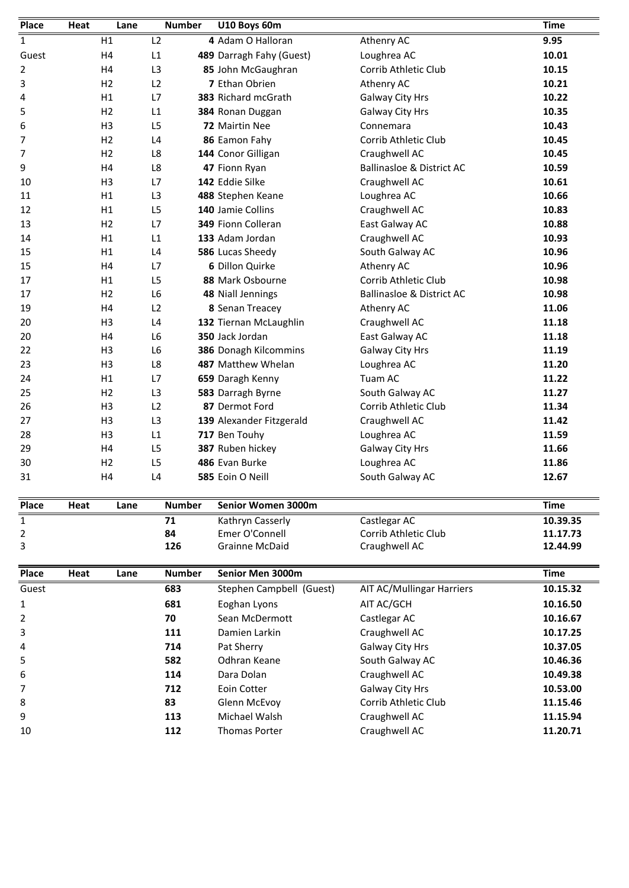| Place | Heat | Lane           | <b>Number</b>  | U10 Boys 60m             |                                      | <b>Time</b> |
|-------|------|----------------|----------------|--------------------------|--------------------------------------|-------------|
| 1     |      | H1             | L <sub>2</sub> | 4 Adam O Halloran        | Athenry AC                           | 9.95        |
| Guest |      | H <sub>4</sub> | L1             | 489 Darragh Fahy (Guest) | Loughrea AC                          | 10.01       |
| 2     |      | H4             | L <sub>3</sub> | 85 John McGaughran       | Corrib Athletic Club                 | 10.15       |
| 3     |      | H <sub>2</sub> | L <sub>2</sub> | 7 Ethan Obrien           | Athenry AC                           | 10.21       |
| 4     |      | H1             | L7             | 383 Richard mcGrath      | Galway City Hrs                      | 10.22       |
| 5     |      | H <sub>2</sub> | L1             | 384 Ronan Duggan         | Galway City Hrs                      | 10.35       |
| 6     |      | H <sub>3</sub> | L <sub>5</sub> | 72 Mairtin Nee           | Connemara                            | 10.43       |
| 7     |      | H <sub>2</sub> | L <sub>4</sub> | 86 Eamon Fahy            | Corrib Athletic Club                 | 10.45       |
| 7     |      | H <sub>2</sub> | L8             | 144 Conor Gilligan       | Craughwell AC                        | 10.45       |
| 9     |      | H4             | L8             | 47 Fionn Ryan            | <b>Ballinasloe &amp; District AC</b> | 10.59       |
| 10    |      | H <sub>3</sub> | L7             | 142 Eddie Silke          | Craughwell AC                        | 10.61       |
| 11    |      | H1             | L <sub>3</sub> | 488 Stephen Keane        | Loughrea AC                          | 10.66       |
| 12    |      | H1             | L <sub>5</sub> | 140 Jamie Collins        | Craughwell AC                        | 10.83       |
| 13    |      | H <sub>2</sub> | L7             | 349 Fionn Colleran       | East Galway AC                       | 10.88       |
| 14    |      | H1             | L1             | 133 Adam Jordan          | Craughwell AC                        | 10.93       |
| 15    |      | H1             | L4             | 586 Lucas Sheedy         | South Galway AC                      | 10.96       |
| 15    |      | H4             | L7             | 6 Dillon Quirke          | Athenry AC                           | 10.96       |
| 17    |      | H1             | L <sub>5</sub> | 88 Mark Osbourne         | Corrib Athletic Club                 | 10.98       |
| 17    |      | H <sub>2</sub> | L <sub>6</sub> | 48 Niall Jennings        | <b>Ballinasloe &amp; District AC</b> | 10.98       |
| 19    |      | H <sub>4</sub> | L <sub>2</sub> | 8 Senan Treacey          | Athenry AC                           | 11.06       |
| 20    |      | H <sub>3</sub> | L4             | 132 Tiernan McLaughlin   | Craughwell AC                        | 11.18       |
| 20    |      | H <sub>4</sub> | L <sub>6</sub> | 350 Jack Jordan          | East Galway AC                       | 11.18       |
| 22    |      | H <sub>3</sub> | L <sub>6</sub> | 386 Donagh Kilcommins    | Galway City Hrs                      | 11.19       |
| 23    |      | H <sub>3</sub> | L8             | 487 Matthew Whelan       | Loughrea AC                          | 11.20       |
| 24    |      | H1             | L7             | 659 Daragh Kenny         | Tuam AC                              | 11.22       |
| 25    |      | H <sub>2</sub> | L <sub>3</sub> | 583 Darragh Byrne        | South Galway AC                      | 11.27       |
| 26    |      | H <sub>3</sub> | L <sub>2</sub> | 87 Dermot Ford           | Corrib Athletic Club                 | 11.34       |
| 27    |      | H <sub>3</sub> | L <sub>3</sub> | 139 Alexander Fitzgerald | Craughwell AC                        | 11.42       |
| 28    |      | H <sub>3</sub> | L1             | 717 Ben Touhy            | Loughrea AC                          | 11.59       |
| 29    |      | H <sub>4</sub> | L5             | 387 Ruben hickey         | Galway City Hrs                      | 11.66       |
| 30    |      | H <sub>2</sub> | L5             | 486 Evan Burke           | Loughrea AC                          | 11.86       |
| 31    |      | H4             | L4             | 585 Eoin O Neill         | South Galway AC                      | 12.67       |
| Place | Heat | Lane           | <b>Number</b>  | Senior Women 3000m       |                                      | <b>Time</b> |
| 1     |      |                | 71             | Kathryn Casserly         | Castlegar AC                         | 10.39.35    |
| 2     |      |                | 84             | Emer O'Connell           | Corrib Athletic Club                 | 11.17.73    |

| 30    |      | H <sub>2</sub> | L5            | 486 Evan Burke           | Loughrea AC                      | 11.86    |
|-------|------|----------------|---------------|--------------------------|----------------------------------|----------|
| 31    |      | H4             | L4            | 585 Eoin O Neill         | South Galway AC                  | 12.67    |
| Place | Heat | Lane           | <b>Number</b> | Senior Women 3000m       |                                  | Time     |
|       |      |                | 71            | Kathryn Casserly         | Castlegar AC                     | 10.39.35 |
| 2     |      |                | 84            | Emer O'Connell           | Corrib Athletic Club             | 11.17.73 |
| 3     |      |                | 126           | <b>Grainne McDaid</b>    | Craughwell AC                    | 12.44.99 |
| Place | Heat | Lane           | <b>Number</b> | Senior Men 3000m         |                                  | Time     |
| Guest |      |                | 683           | Stephen Campbell (Guest) | <b>AIT AC/Mullingar Harriers</b> | 10.15.32 |
|       |      |                | 681           | Eoghan Lyons             | AIT AC/GCH                       | 10.16.50 |

| 2     |      |      | 84            | Emer O'Connell           | Corrib Athletic Club      | 11.17.73 |
|-------|------|------|---------------|--------------------------|---------------------------|----------|
| 3     |      |      | 126           | <b>Grainne McDaid</b>    | Craughwell AC             | 12.44.99 |
| Place | Heat | Lane | <b>Number</b> | Senior Men 3000m         |                           | Time     |
| Guest |      |      | 683           | Stephen Campbell (Guest) | AIT AC/Mullingar Harriers | 10.15.32 |
| 1     |      |      | 681           | Eoghan Lyons             | AIT AC/GCH                | 10.16.50 |
| 2     |      |      | 70            | Sean McDermott           | Castlegar AC              | 10.16.67 |
| 3     |      |      | 111           | Damien Larkin            | Craughwell AC             | 10.17.25 |
| 4     |      |      | 714           | Pat Sherry               | Galway City Hrs           | 10.37.05 |
| 5     |      |      | 582           | Odhran Keane             | South Galway AC           | 10.46.36 |
| 6     |      |      | 114           | Dara Dolan               | Craughwell AC             | 10.49.38 |
| 7     |      |      | 712           | Eoin Cotter              | Galway City Hrs           | 10.53.00 |
| 8     |      |      | 83            | Glenn McEvov             | Corrib Athletic Club      | 11.15.46 |
| 9     |      |      | 113           | Michael Walsh            | Craughwell AC             | 11.15.94 |
| 10    |      |      | 112           | <b>Thomas Porter</b>     | Craughwell AC             | 11.20.71 |
|       |      |      |               |                          |                           |          |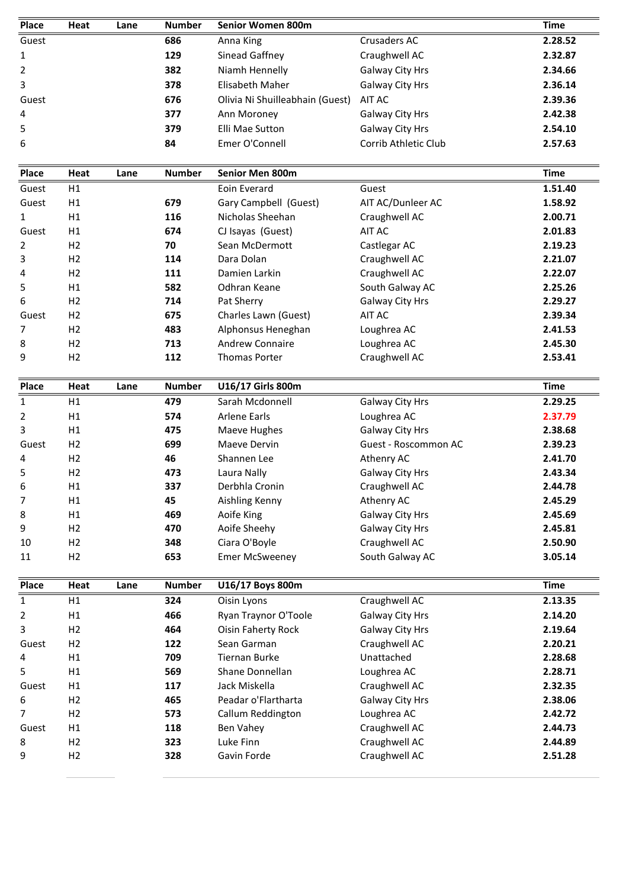| Place           | Heat           | Lane | <b>Number</b> | Senior Women 800m               |                      | <b>Time</b>        |
|-----------------|----------------|------|---------------|---------------------------------|----------------------|--------------------|
| Guest           |                |      | 686           | Anna King                       | Crusaders AC         | 2.28.52            |
| 1               |                |      | 129           | Sinead Gaffney                  | Craughwell AC        | 2.32.87            |
| 2               |                |      | 382           | Niamh Hennelly                  | Galway City Hrs      | 2.34.66            |
| 3               |                |      | 378           | Elisabeth Maher                 | Galway City Hrs      | 2.36.14            |
| Guest           |                |      | 676           | Olivia Ni Shuilleabhain (Guest) | AIT AC               | 2.39.36            |
| 4               |                |      | 377           | Ann Moroney                     | Galway City Hrs      | 2.42.38            |
| 5               |                |      | 379           | Elli Mae Sutton                 | Galway City Hrs      | 2.54.10            |
| 6               |                |      | 84            | Emer O'Connell                  | Corrib Athletic Club | 2.57.63            |
| Place           | Heat           | Lane | <b>Number</b> | Senior Men 800m                 |                      | <b>Time</b>        |
| Guest           | H1             |      |               | Eoin Everard                    | Guest                | 1.51.40            |
| Guest           | H1             |      | 679           | Gary Campbell (Guest)           | AIT AC/Dunleer AC    | 1.58.92            |
| 1               | H1             |      | 116           | Nicholas Sheehan                | Craughwell AC        | 2.00.71            |
| Guest           | H1             |      | 674           | CJ Isayas (Guest)               | AIT AC               | 2.01.83            |
| 2               | H2             |      | 70            | Sean McDermott                  | Castlegar AC         | 2.19.23            |
| 3               | H <sub>2</sub> |      | 114           | Dara Dolan                      | Craughwell AC        | 2.21.07            |
| 4               | H <sub>2</sub> |      | 111           | Damien Larkin                   | Craughwell AC        | 2.22.07            |
| 5               | H1             |      | 582           | Odhran Keane                    | South Galway AC      | 2.25.26            |
| 6               | H <sub>2</sub> |      | 714           | Pat Sherry                      | Galway City Hrs      | 2.29.27            |
| Guest           | H <sub>2</sub> |      | 675           | Charles Lawn (Guest)            | AIT AC               | 2.39.34            |
| 7               | H <sub>2</sub> |      | 483           | Alphonsus Heneghan              | Loughrea AC          | 2.41.53            |
| 8               | H <sub>2</sub> |      | 713           | <b>Andrew Connaire</b>          | Loughrea AC          | 2.45.30            |
| 9               | H <sub>2</sub> |      | 112           | <b>Thomas Porter</b>            | Craughwell AC        | 2.53.41            |
| <b>Place</b>    | Heat           | Lane | <b>Number</b> | U16/17 Girls 800m               |                      | <b>Time</b>        |
| 1               | H1             |      | 479           | Sarah Mcdonnell                 | Galway City Hrs      | 2.29.25            |
| $\overline{2}$  | H1             |      | 574           | <b>Arlene Earls</b>             | Loughrea AC          | 2.37.79            |
| 3               | H1             |      | 475           | Maeve Hughes                    | Galway City Hrs      | 2.38.68            |
| Guest           | H <sub>2</sub> |      | 699           | Maeve Dervin                    | Guest - Roscommon AC | 2.39.23            |
| 4               | H2             |      | 46            | Shannen Lee                     | Athenry AC           | 2.41.70            |
| 5               | H <sub>2</sub> |      | 473           | Laura Nally                     | Galway City Hrs      | 2.43.34            |
| 6               | H1             |      | 337           | Derbhla Cronin                  | Craughwell AC        | 2.44.78            |
| 7               | H1             |      | 45            | Aishling Kenny                  | Athenry AC           | 2.45.29            |
| 8               | H1             |      | 469           | Aoife King                      | Galway City Hrs      | 2.45.69            |
| 9               | H2             |      | 470           | Aoife Sheehy                    | Galway City Hrs      | 2.45.81            |
| 10              | H2             |      | 348           | Ciara O'Boyle                   | Craughwell AC        | 2.50.90            |
| 11              | H2             |      | 653           | <b>Emer McSweeney</b>           | South Galway AC      | 3.05.14            |
| Place           | Heat           | Lane | <b>Number</b> | U16/17 Boys 800m                |                      | <b>Time</b>        |
| $\mathbf 1$     | H1             |      | 324           | Oisin Lyons                     | Craughwell AC        | 2.13.35            |
| $\overline{2}$  | H1             |      | 466           | Ryan Traynor O'Toole            | Galway City Hrs      | 2.14.20            |
| 3               | H2             |      | 464           | <b>Oisin Faherty Rock</b>       | Galway City Hrs      | 2.19.64            |
| Guest           | H <sub>2</sub> |      | 122           | Sean Garman                     | Craughwell AC        | 2.20.21            |
| 4               | H1             |      | 709           | <b>Tiernan Burke</b>            | Unattached           | 2.28.68            |
| 5               | H1             |      | 569           | Shane Donnellan                 | Loughrea AC          | 2.28.71            |
|                 | H1             |      | 117           | Jack Miskella                   | Craughwell AC        | 2.32.35            |
|                 | H <sub>2</sub> |      | 465           | Peadar o'Flartharta             | Galway City Hrs      | 2.38.06            |
|                 |                |      |               |                                 | Loughrea AC          | 2.42.72            |
| Guest<br>6<br>7 | H <sub>2</sub> |      | 573           | Callum Reddington               |                      |                    |
|                 | H1             |      | 118           | Ben Vahey                       | Craughwell AC        |                    |
| Guest<br>8      | H2             |      | 323           | Luke Finn                       | Craughwell AC        | 2.44.73<br>2.44.89 |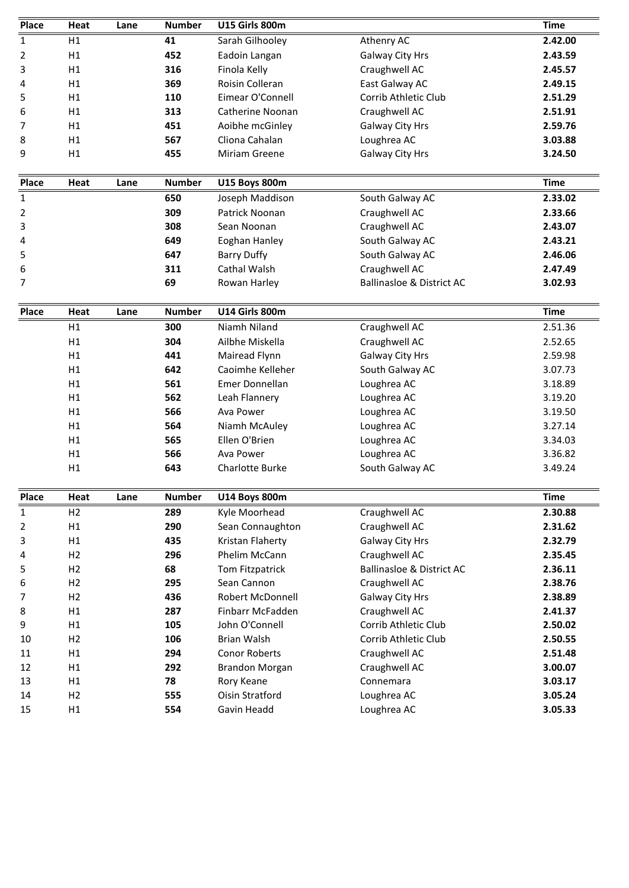| <b>Place</b>            | Heat                   | Lane | <b>Number</b>        | U15 Girls 800m                        |                                      | <b>Time</b>                              |
|-------------------------|------------------------|------|----------------------|---------------------------------------|--------------------------------------|------------------------------------------|
| 1                       | H1                     |      | 41                   | Sarah Gilhooley                       | Athenry AC                           | 2.42.00                                  |
| 2                       | H1                     |      | 452                  | Eadoin Langan                         | Galway City Hrs                      | 2.43.59                                  |
| 3                       | H1                     |      | 316                  | Finola Kelly                          | Craughwell AC                        | 2.45.57                                  |
| 4                       | H1                     |      | 369                  | Roisin Colleran                       | East Galway AC                       | 2.49.15                                  |
| 5                       | H1                     |      | 110                  | Eimear O'Connell                      | Corrib Athletic Club                 | 2.51.29                                  |
| 6                       | H1                     |      | 313                  | Catherine Noonan                      | Craughwell AC                        | 2.51.91                                  |
| 7                       | H1                     |      | 451                  | Aoibhe mcGinley                       | Galway City Hrs                      | 2.59.76                                  |
| 8                       | H1                     |      | 567                  | Cliona Cahalan                        | Loughrea AC                          | 3.03.88                                  |
| 9                       | H1                     |      | 455                  | Miriam Greene                         | Galway City Hrs                      | 3.24.50                                  |
|                         |                        |      |                      |                                       |                                      |                                          |
| <b>Place</b>            | Heat                   | Lane | <b>Number</b>        | <b>U15 Boys 800m</b>                  |                                      | <b>Time</b>                              |
| 1                       |                        |      | 650                  | Joseph Maddison                       | South Galway AC                      | 2.33.02                                  |
| 2                       |                        |      | 309                  | Patrick Noonan                        | Craughwell AC                        | 2.33.66                                  |
| 3                       |                        |      | 308                  | Sean Noonan                           | Craughwell AC                        | 2.43.07                                  |
| 4                       |                        |      | 649                  | Eoghan Hanley                         | South Galway AC                      | 2.43.21                                  |
| 5                       |                        |      | 647                  | <b>Barry Duffy</b>                    | South Galway AC                      | 2.46.06                                  |
| 6                       |                        |      | 311                  | Cathal Walsh                          | Craughwell AC                        | 2.47.49                                  |
| 7                       |                        |      | 69                   | Rowan Harley                          | <b>Ballinasloe &amp; District AC</b> | 3.02.93                                  |
| Place                   | Heat                   | Lane | <b>Number</b>        | U14 Girls 800m                        |                                      | <b>Time</b>                              |
|                         | H1                     |      | 300                  | Niamh Niland                          | Craughwell AC                        | 2.51.36                                  |
|                         | H1                     |      | 304                  | Ailbhe Miskella                       | Craughwell AC                        | 2.52.65                                  |
|                         | H1                     |      | 441                  | Mairead Flynn                         | Galway City Hrs                      | 2.59.98                                  |
|                         | H1                     |      | 642                  | Caoimhe Kelleher                      | South Galway AC                      | 3.07.73                                  |
|                         | H1                     |      | 561                  | Emer Donnellan                        | Loughrea AC                          | 3.18.89                                  |
|                         | H1                     |      | 562                  | Leah Flannery                         | Loughrea AC                          | 3.19.20                                  |
|                         | H1                     |      | 566                  | Ava Power                             | Loughrea AC                          | 3.19.50                                  |
|                         | H1                     |      | 564                  | Niamh McAuley                         | Loughrea AC                          | 3.27.14                                  |
|                         | H1                     |      | 565                  | Ellen O'Brien                         | Loughrea AC                          | 3.34.03                                  |
|                         | H1                     |      | 566                  | Ava Power                             | Loughrea AC                          | 3.36.82                                  |
|                         | H1                     |      | 643                  | Charlotte Burke                       | South Galway AC                      | 3.49.24                                  |
|                         |                        |      |                      |                                       |                                      |                                          |
| Place<br>$\overline{1}$ | Heat<br>H <sub>2</sub> | Lane | <b>Number</b><br>289 | <b>U14 Boys 800m</b><br>Kyle Moorhead | Craughwell AC                        | <b>Time</b><br>2.30.88                   |
| $\overline{2}$          | H1                     |      | 290                  | Sean Connaughton                      | Craughwell AC                        | 2.31.62                                  |
| 3                       | H1                     |      | 435                  | Kristan Flaherty                      | Galway City Hrs                      | 2.32.79                                  |
| 4                       | H2                     |      | 296                  | Phelim McCann                         | Craughwell AC                        | 2.35.45                                  |
| 5                       | H2                     |      | 68                   | Tom Fitzpatrick                       | <b>Ballinasloe &amp; District AC</b> | 2.36.11                                  |
| 6                       | H2                     |      | 295                  | Sean Cannon                           | Craughwell AC                        | 2.38.76                                  |
| 7                       | H <sub>2</sub>         |      | 436                  | Robert McDonnell                      | Galway City Hrs                      | 2.38.89                                  |
|                         | H1                     |      | 287                  | Finbarr McFadden                      | Craughwell AC                        | 2.41.37                                  |
|                         | H1                     |      | 105                  | John O'Connell                        | Corrib Athletic Club                 | 2.50.02                                  |
|                         |                        |      | 106                  | Brian Walsh                           | Corrib Athletic Club                 | 2.50.55                                  |
|                         |                        |      |                      |                                       |                                      |                                          |
|                         | H2                     |      |                      |                                       |                                      |                                          |
| 8<br>9<br>10<br>11      | H1                     |      | 294                  | Conor Roberts                         | Craughwell AC                        |                                          |
| 12                      | H1                     |      | 292                  | Brandon Morgan                        | Craughwell AC                        |                                          |
| 13<br>14                | H1<br>H <sub>2</sub>   |      | 78<br>555            | Rory Keane<br>Oisin Stratford         | Connemara<br>Loughrea AC             | 2.51.48<br>3.00.07<br>3.03.17<br>3.05.24 |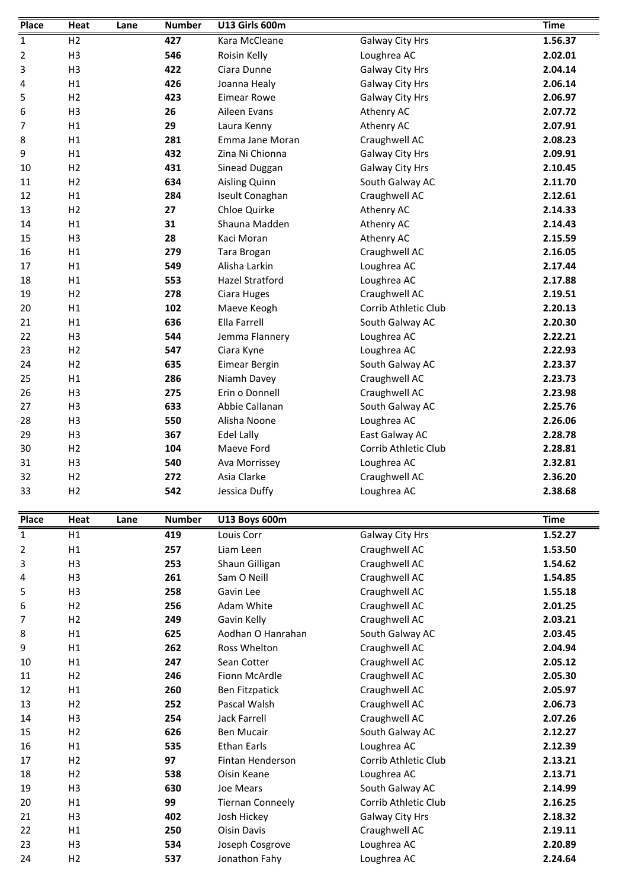| Place       | Heat           | Lane | <b>Number</b> | U13 Girls 600m          |                      | <b>Time</b> |
|-------------|----------------|------|---------------|-------------------------|----------------------|-------------|
| 1           | H <sub>2</sub> |      | 427           | Kara McCleane           | Galway City Hrs      | 1.56.37     |
| 2           | H <sub>3</sub> |      | 546           | Roisin Kelly            | Loughrea AC          | 2.02.01     |
| 3           | H <sub>3</sub> |      | 422           | Ciara Dunne             | Galway City Hrs      | 2.04.14     |
| 4           | H1             |      | 426           | Joanna Healy            | Galway City Hrs      | 2.06.14     |
| 5           | H <sub>2</sub> |      | 423           | <b>Eimear Rowe</b>      | Galway City Hrs      | 2.06.97     |
| 6           | H <sub>3</sub> |      | 26            | Aileen Evans            | Athenry AC           | 2.07.72     |
| 7           | H1             |      | 29            | Laura Kenny             | Athenry AC           | 2.07.91     |
| 8           | H1             |      | 281           | Emma Jane Moran         | Craughwell AC        | 2.08.23     |
| 9           | H1             |      | 432           | Zina Ni Chionna         | Galway City Hrs      | 2.09.91     |
| 10          | H <sub>2</sub> |      | 431           | Sinead Duggan           | Galway City Hrs      | 2.10.45     |
| 11          | H <sub>2</sub> |      | 634           | Aisling Quinn           | South Galway AC      | 2.11.70     |
| 12          | H1             |      | 284           | Iseult Conaghan         | Craughwell AC        | 2.12.61     |
| 13          | H <sub>2</sub> |      | 27            | Chloe Quirke            | Athenry AC           | 2.14.33     |
| 14          | H1             |      | 31            | Shauna Madden           | Athenry AC           | 2.14.43     |
| 15          | H <sub>3</sub> |      | 28            | Kaci Moran              | Athenry AC           | 2.15.59     |
| 16          | H1             |      | 279           | Tara Brogan             | Craughwell AC        | 2.16.05     |
| 17          | H1             |      | 549           | Alisha Larkin           | Loughrea AC          | 2.17.44     |
| 18          | H1             |      | 553           | <b>Hazel Stratford</b>  | Loughrea AC          | 2.17.88     |
| 19          | H <sub>2</sub> |      | 278           | Ciara Huges             | Craughwell AC        | 2.19.51     |
| 20          | H1             |      | 102           | Maeve Keogh             | Corrib Athletic Club | 2.20.13     |
| 21          | H1             |      | 636           | Ella Farrell            | South Galway AC      | 2.20.30     |
| 22          | H <sub>3</sub> |      | 544           | Jemma Flannery          | Loughrea AC          | 2.22.21     |
| 23          | H <sub>2</sub> |      | 547           | Ciara Kyne              | Loughrea AC          | 2.22.93     |
| 24          | H <sub>2</sub> |      | 635           | Eimear Bergin           | South Galway AC      | 2.23.37     |
| 25          | H1             |      | 286           | Niamh Davey             | Craughwell AC        | 2.23.73     |
| 26          | H <sub>3</sub> |      | 275           | Erin o Donnell          | Craughwell AC        | 2.23.98     |
| 27          | H <sub>3</sub> |      | 633           | Abbie Callanan          | South Galway AC      | 2.25.76     |
| 28          | H <sub>3</sub> |      | 550           | Alisha Noone            | Loughrea AC          | 2.26.06     |
| 29          | H <sub>3</sub> |      | 367           | Edel Lally              | East Galway AC       | 2.28.78     |
| 30          | H <sub>2</sub> |      | 104           | Maeve Ford              | Corrib Athletic Club | 2.28.81     |
| 31          | H <sub>3</sub> |      | 540           | Ava Morrissey           | Loughrea AC          | 2.32.81     |
| 32          | H <sub>2</sub> |      | 272           | Asia Clarke             | Craughwell AC        | 2.36.20     |
| 33          | H <sub>2</sub> |      | 542           | Jessica Duffy           | Loughrea AC          | 2.38.68     |
| Place       | Heat           | Lane | <b>Number</b> | <b>U13 Boys 600m</b>    |                      | <b>Time</b> |
| $\mathbf 1$ | H1             |      | 419           | Louis Corr              | Galway City Hrs      | 1.52.27     |
| 2           | H1             |      | 257           | Liam Leen               | Craughwell AC        | 1.53.50     |
| 3           | H <sub>3</sub> |      | 253           | Shaun Gilligan          | Craughwell AC        | 1.54.62     |
| 4           | H <sub>3</sub> |      | 261           | Sam O Neill             | Craughwell AC        | 1.54.85     |
| 5           | H <sub>3</sub> |      | 258           | Gavin Lee               | Craughwell AC        | 1.55.18     |
| 6           | H <sub>2</sub> |      | 256           | Adam White              | Craughwell AC        | 2.01.25     |
| 7           | H2             |      | 249           | Gavin Kelly             | Craughwell AC        | 2.03.21     |
| 8           | H1             |      | 625           | Aodhan O Hanrahan       | South Galway AC      | 2.03.45     |
| 9           | H1             |      | 262           | Ross Whelton            | Craughwell AC        | 2.04.94     |
| 10          | H1             |      | 247           | Sean Cotter             | Craughwell AC        | 2.05.12     |
| 11          | H <sub>2</sub> |      | 246           | Fionn McArdle           | Craughwell AC        | 2.05.30     |
| 12          | H1             |      | 260           | <b>Ben Fitzpatick</b>   | Craughwell AC        | 2.05.97     |
| 13          | H <sub>2</sub> |      | 252           | Pascal Walsh            | Craughwell AC        | 2.06.73     |
| 14          | H <sub>3</sub> |      | 254           | <b>Jack Farrell</b>     | Craughwell AC        | 2.07.26     |
| 15          | H <sub>2</sub> |      | 626           | <b>Ben Mucair</b>       | South Galway AC      | 2.12.27     |
| 16          | H1             |      | 535           | <b>Ethan Earls</b>      | Loughrea AC          | 2.12.39     |
| 17          | H <sub>2</sub> |      | 97            | Fintan Henderson        | Corrib Athletic Club | 2.13.21     |
| 18          | H <sub>2</sub> |      | 538           | Oisin Keane             | Loughrea AC          | 2.13.71     |
| 19          | H <sub>3</sub> |      | 630           | Joe Mears               | South Galway AC      | 2.14.99     |
| 20          | H1             |      | 99            | <b>Tiernan Conneely</b> | Corrib Athletic Club | 2.16.25     |
| 21          | H <sub>3</sub> |      | 402           | Josh Hickey             | Galway City Hrs      | 2.18.32     |
| 22          | H1             |      | 250           | <b>Oisin Davis</b>      | Craughwell AC        | 2.19.11     |
| 23          | H <sub>3</sub> |      | 534           | Joseph Cosgrove         | Loughrea AC          | 2.20.89     |
|             |                |      |               |                         |                      |             |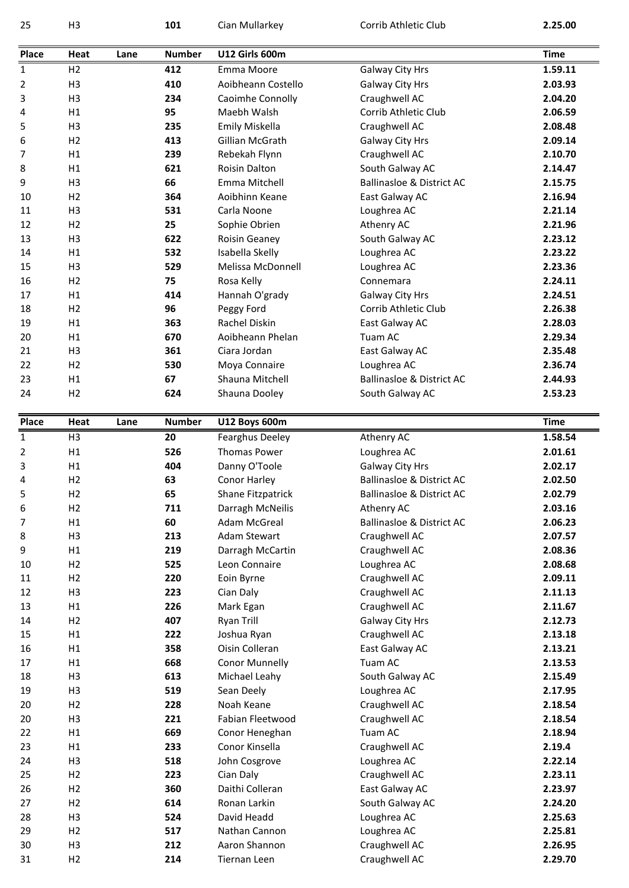| 25                                                                                                                         | H <sub>3</sub>       |      | 101           | Cian Mullarkey                | Corrib Athletic Club                 | 2.25.00            |
|----------------------------------------------------------------------------------------------------------------------------|----------------------|------|---------------|-------------------------------|--------------------------------------|--------------------|
|                                                                                                                            |                      |      |               |                               |                                      |                    |
| <b>Place</b>                                                                                                               | Heat                 | Lane | <b>Number</b> | <b>U12 Girls 600m</b>         |                                      | <b>Time</b>        |
| $\mathbf{1}$                                                                                                               | H2                   |      | 412           | Emma Moore                    | Galway City Hrs                      | 1.59.11            |
| 2                                                                                                                          | H <sub>3</sub>       |      | 410           | Aoibheann Costello            | Galway City Hrs                      | 2.03.93            |
| 3                                                                                                                          | H <sub>3</sub>       |      | 234           | Caoimhe Connolly              | Craughwell AC                        | 2.04.20            |
| 4                                                                                                                          | H1                   |      | 95            | Maebh Walsh                   | Corrib Athletic Club                 | 2.06.59            |
| 5                                                                                                                          | H <sub>3</sub>       |      | 235           | <b>Emily Miskella</b>         | Craughwell AC                        | 2.08.48            |
| 6                                                                                                                          | H <sub>2</sub>       |      | 413           | <b>Gillian McGrath</b>        | Galway City Hrs                      | 2.09.14            |
| 7                                                                                                                          | H1                   |      | 239           | Rebekah Flynn                 | Craughwell AC                        | 2.10.70            |
| 8                                                                                                                          | H1                   |      | 621           | <b>Roisin Dalton</b>          | South Galway AC                      | 2.14.47            |
| 9                                                                                                                          | H <sub>3</sub>       |      | 66            | <b>Fmma Mitchell</b>          | <b>Ballinasloe &amp; District AC</b> | 2.15.75            |
| 10                                                                                                                         | H <sub>2</sub>       |      | 364           | Aoibhinn Keane                | East Galway AC                       | 2.16.94            |
| 11                                                                                                                         | H <sub>3</sub>       |      | 531           | Carla Noone                   | Loughrea AC                          | 2.21.14            |
| 12                                                                                                                         | H <sub>2</sub>       |      | 25            | Sophie Obrien                 | Athenry AC                           | 2.21.96            |
| 13                                                                                                                         | H <sub>3</sub>       |      | 622           | Roisin Geaney                 | South Galway AC                      | 2.23.12            |
| 14                                                                                                                         | H1                   |      | 532           | Isabella Skelly               | Loughrea AC                          | 2.23.22            |
| 15                                                                                                                         | H <sub>3</sub>       |      | 529           | Melissa McDonnell             | Loughrea AC                          | 2.23.36            |
| 16                                                                                                                         | H <sub>2</sub>       |      | 75            | Rosa Kelly                    | Connemara                            | 2.24.11            |
| 17                                                                                                                         | H1                   |      | 414           | Hannah O'grady                | Galway City Hrs                      | 2.24.51            |
| 18                                                                                                                         | H <sub>2</sub>       |      | 96            | Peggy Ford                    | Corrib Athletic Club                 | 2.26.38            |
| 19                                                                                                                         | H1                   |      | 363           | Rachel Diskin                 | East Galway AC                       | 2.28.03            |
| 20                                                                                                                         | H1                   |      | 670           | Aoibheann Phelan              | Tuam AC                              | 2.29.34            |
| 21                                                                                                                         | H <sub>3</sub>       |      | 361           | Ciara Jordan                  | East Galway AC                       | 2.35.48            |
| 22                                                                                                                         | H <sub>2</sub>       |      | 530           | Moya Connaire                 | Loughrea AC                          | 2.36.74            |
| 23                                                                                                                         | H1                   |      | 67            | Shauna Mitchell               | <b>Ballinasloe &amp; District AC</b> | 2.44.93            |
| 24                                                                                                                         | H <sub>2</sub>       |      | 624           | Shauna Dooley                 | South Galway AC                      | 2.53.23            |
| Place                                                                                                                      | Heat                 | Lane | <b>Number</b> | <b>U12 Boys 600m</b>          |                                      | <b>Time</b>        |
| $\mathbf{1}$                                                                                                               | H <sub>3</sub>       |      | 20            | Fearghus Deeley               | Athenry AC                           | 1.58.54            |
| 2                                                                                                                          | H1                   |      | 526           | <b>Thomas Power</b>           | Loughrea AC                          | 2.01.61            |
| 3                                                                                                                          | H1                   |      | 404           | Danny O'Toole                 | Galway City Hrs                      | 2.02.17            |
| 4                                                                                                                          | H <sub>2</sub>       |      | 63            | Conor Harley                  | <b>Ballinasloe &amp; District AC</b> | 2.02.50            |
| 5                                                                                                                          | H <sub>2</sub>       |      | 65            | Shane Fitzpatrick             | <b>Ballinasloe &amp; District AC</b> | 2.02.79            |
| 6                                                                                                                          | H <sub>2</sub>       |      | 711           | Darragh McNeilis              | Athenry AC                           | 2.03.16            |
| 7                                                                                                                          | H1                   |      | 60            | Adam McGreal                  | <b>Ballinasloe &amp; District AC</b> | 2.06.23            |
| 8                                                                                                                          | H <sub>3</sub>       |      | 213           | Adam Stewart                  | Craughwell AC                        | 2.07.57            |
| 9                                                                                                                          | H1                   |      | 219           | Darragh McCartin              | Craughwell AC                        | 2.08.36            |
| 10                                                                                                                         | H <sub>2</sub>       |      | 525           | Leon Connaire                 | Loughrea AC                          | 2.08.68            |
|                                                                                                                            | H2                   |      | 220           | Eoin Byrne                    | Craughwell AC                        | 2.09.11            |
|                                                                                                                            | H <sub>3</sub>       |      | 223           | Cian Daly                     | Craughwell AC                        | 2.11.13            |
|                                                                                                                            |                      |      | 226           | Mark Egan                     | Craughwell AC                        | 2.11.67            |
|                                                                                                                            | H1                   |      |               |                               |                                      |                    |
|                                                                                                                            | H2                   |      | 407           | <b>Ryan Trill</b>             | Galway City Hrs                      | 2.12.73            |
|                                                                                                                            | H1                   |      | 222           | Joshua Ryan                   | Craughwell AC                        | 2.13.18            |
|                                                                                                                            | H1                   |      | 358           | Oisin Colleran                | East Galway AC                       | 2.13.21            |
|                                                                                                                            | H1                   |      | 668           | Conor Munnelly                | Tuam AC                              | 2.13.53            |
|                                                                                                                            | H <sub>3</sub>       |      | 613           | Michael Leahy                 | South Galway AC                      | 2.15.49            |
|                                                                                                                            | H <sub>3</sub>       |      | 519           | Sean Deely                    | Loughrea AC                          | 2.17.95            |
|                                                                                                                            | H2                   |      | 228           | Noah Keane                    | Craughwell AC                        | 2.18.54            |
|                                                                                                                            | H <sub>3</sub>       |      | 221           | Fabian Fleetwood              | Craughwell AC                        | 2.18.54            |
|                                                                                                                            | H1                   |      | 669           | Conor Heneghan                | Tuam AC                              | 2.18.94            |
|                                                                                                                            | H1                   |      | 233           | Conor Kinsella                | Craughwell AC                        | 2.19.4             |
|                                                                                                                            | H <sub>3</sub>       |      | 518           |                               |                                      | 2.22.14            |
|                                                                                                                            | H <sub>2</sub>       |      | 223           | John Cosgrove                 | Loughrea AC                          |                    |
|                                                                                                                            |                      |      |               | Cian Daly<br>Daithi Colleran  | Craughwell AC                        | 2.23.11            |
|                                                                                                                            | H <sub>2</sub>       |      | 360           |                               | East Galway AC                       | 2.23.97            |
|                                                                                                                            | H <sub>2</sub>       |      | 614           | Ronan Larkin                  | South Galway AC                      | 2.24.20            |
|                                                                                                                            | H <sub>3</sub>       |      | 524           | David Headd<br>Nathan Cannon  | Loughrea AC                          | 2.25.63            |
|                                                                                                                            | H2                   |      | 517           |                               | Loughrea AC                          | 2.25.81            |
| 11<br>12<br>13<br>14<br>15<br>16<br>17<br>18<br>19<br>20<br>20<br>22<br>23<br>24<br>25<br>26<br>27<br>28<br>29<br>30<br>31 | H <sub>3</sub><br>H2 |      | 212<br>214    | Aaron Shannon<br>Tiernan Leen | Craughwell AC<br>Craughwell AC       | 2.26.95<br>2.29.70 |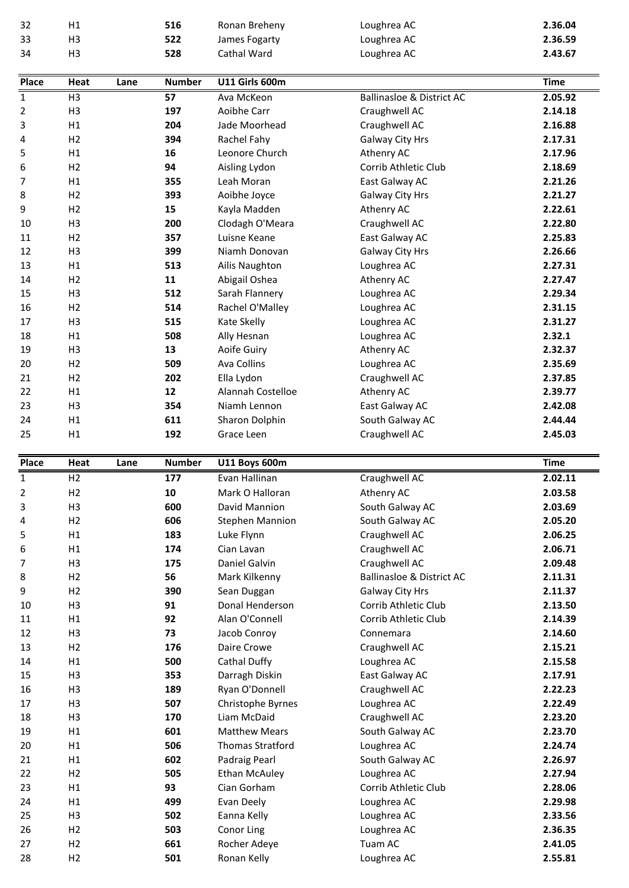| 32           | H1                               |      | 516           | Ronan Breheny              | Loughrea AC                          | 2.36.04            |
|--------------|----------------------------------|------|---------------|----------------------------|--------------------------------------|--------------------|
| 33           | H <sub>3</sub>                   |      | 522           | James Fogarty              | Loughrea AC                          | 2.36.59            |
| 34           | H <sub>3</sub>                   |      | 528           | Cathal Ward                | Loughrea AC                          | 2.43.67            |
| <b>Place</b> | Heat                             | Lane | <b>Number</b> | <b>U11 Girls 600m</b>      |                                      | <b>Time</b>        |
| $\mathbf{1}$ | H <sub>3</sub>                   |      | 57            | Ava McKeon                 | <b>Ballinasloe &amp; District AC</b> | 2.05.92            |
| 2            | H <sub>3</sub>                   |      | 197           | Aoibhe Carr                | Craughwell AC                        | 2.14.18            |
| 3            | H1                               |      | 204           | Jade Moorhead              | Craughwell AC                        | 2.16.88            |
| 4            | H <sub>2</sub>                   |      | 394           | Rachel Fahy                | Galway City Hrs                      | 2.17.31            |
| 5            | H1                               |      | 16            | Leonore Church             | Athenry AC                           | 2.17.96            |
| 6            | H <sub>2</sub>                   |      | 94            | Aisling Lydon              | Corrib Athletic Club                 | 2.18.69            |
| 7            | H1                               |      | 355           | Leah Moran                 | East Galway AC                       | 2.21.26            |
| 8            | H2                               |      | 393           | Aoibhe Joyce               | Galway City Hrs                      | 2.21.27            |
| 9            | H2                               |      | 15            | Kayla Madden               | Athenry AC                           | 2.22.61            |
| 10           | H <sub>3</sub>                   |      | 200           | Clodagh O'Meara            | Craughwell AC                        | 2.22.80            |
| 11           | H <sub>2</sub>                   |      | 357           | Luisne Keane               | East Galway AC                       | 2.25.83            |
| 12           | H <sub>3</sub>                   |      | 399           | Niamh Donovan              | Galway City Hrs                      | 2.26.66            |
| 13           | H1                               |      | 513           | Ailis Naughton             | Loughrea AC                          | 2.27.31            |
| 14           | H <sub>2</sub>                   |      | 11            | Abigail Oshea              | Athenry AC                           | 2.27.47            |
| 15           | H <sub>3</sub>                   |      | 512           | Sarah Flannery             | Loughrea AC                          | 2.29.34            |
| 16<br>17     | H <sub>2</sub><br>H <sub>3</sub> |      | 514           | Rachel O'Malley            | Loughrea AC                          | 2.31.15<br>2.31.27 |
| 18           | H1                               |      | 515<br>508    | Kate Skelly<br>Ally Hesnan | Loughrea AC<br>Loughrea AC           | 2.32.1             |
| 19           | H <sub>3</sub>                   |      | 13            | Aoife Guiry                | Athenry AC                           | 2.32.37            |
| 20           | H <sub>2</sub>                   |      | 509           | Ava Collins                | Loughrea AC                          | 2.35.69            |
| 21           | H2                               |      | 202           | Ella Lydon                 | Craughwell AC                        | 2.37.85            |
| 22           | H1                               |      | 12            | Alannah Costelloe          | Athenry AC                           | 2.39.77            |
| 23           | H <sub>3</sub>                   |      | 354           | Niamh Lennon               | East Galway AC                       | 2.42.08            |
| 24           | H1                               |      | 611           | Sharon Dolphin             | South Galway AC                      | 2.44.44            |
| 25           | H1                               |      | 192           | Grace Leen                 | Craughwell AC                        | 2.45.03            |
| Place        | Heat                             | Lane | <b>Number</b> | <b>U11 Boys 600m</b>       |                                      | <b>Time</b>        |
| $\mathbf 1$  | H <sub>2</sub>                   |      | 177           | Evan Hallinan              | Craughwell AC                        | 2.02.11            |
| 2            | H2                               |      | 10            | Mark O Halloran            | Athenry AC                           | 2.03.58            |
| 3            | H <sub>3</sub>                   |      | 600           | David Mannion              | South Galway AC                      | 2.03.69            |
| 4            | H2                               |      | 606           | <b>Stephen Mannion</b>     | South Galway AC                      | 2.05.20            |
| 5            | H1                               |      | 183           | Luke Flynn                 | Craughwell AC                        | 2.06.25            |
| 6            | H1                               |      | 174           | Cian Lavan                 | Craughwell AC                        | 2.06.71            |
| 7            | H <sub>3</sub>                   |      | 175           | Daniel Galvin              | Craughwell AC                        | 2.09.48            |
| 8            | H2                               |      | 56            | Mark Kilkenny              | <b>Ballinasloe &amp; District AC</b> | 2.11.31            |
| 9            | H <sub>2</sub>                   |      | 390           | Sean Duggan                | Galway City Hrs                      | 2.11.37            |
| 10           | H <sub>3</sub>                   |      | 91            | Donal Henderson            | Corrib Athletic Club                 | 2.13.50            |
| 11           | H1                               |      | 92            | Alan O'Connell             | Corrib Athletic Club                 | 2.14.39            |
| 12           | H <sub>3</sub>                   |      | 73            | Jacob Conroy               | Connemara                            | 2.14.60            |
| 13           | H2                               |      | 176           | Daire Crowe                | Craughwell AC                        | 2.15.21            |
| 14           | H1                               |      | 500           | Cathal Duffy               | Loughrea AC                          | 2.15.58            |
| 15           | H <sub>3</sub>                   |      | 353           | Darragh Diskin             | East Galway AC                       | 2.17.91            |
| 16           | H <sub>3</sub>                   |      | 189           | Ryan O'Donnell             | Craughwell AC                        | 2.22.23            |
| 17           | H <sub>3</sub>                   |      | 507           | Christophe Byrnes          | Loughrea AC                          | 2.22.49            |
| 18           | H <sub>3</sub>                   |      | 170           | Liam McDaid                | Craughwell AC                        | 2.23.20            |
| 19           | H1                               |      | 601           | <b>Matthew Mears</b>       | South Galway AC                      | 2.23.70            |
| 20           | H1                               |      | 506           | <b>Thomas Stratford</b>    | Loughrea AC                          | 2.24.74            |
| 21           | H1                               |      | 602           | Padraig Pearl              | South Galway AC                      | 2.26.97            |
| 22           | H2                               |      | 505           | <b>Ethan McAuley</b>       | Loughrea AC                          | 2.27.94            |
| 23           | H1                               |      | 93            | Cian Gorham                | Corrib Athletic Club                 | 2.28.06            |
| 24<br>25     | H1<br>H <sub>3</sub>             |      | 499<br>502    | Evan Deely<br>Eanna Kelly  | Loughrea AC                          | 2.29.98<br>2.33.56 |
| 26           | H <sub>2</sub>                   |      | 503           | Conor Ling                 | Loughrea AC<br>Loughrea AC           | 2.36.35            |
| 27           | H <sub>2</sub>                   |      | 661           | Rocher Adeye               | Tuam AC                              | 2.41.05            |
| 28           | H <sub>2</sub>                   |      | 501           | Ronan Kelly                | Loughrea AC                          | 2.55.81            |
|              |                                  |      |               |                            |                                      |                    |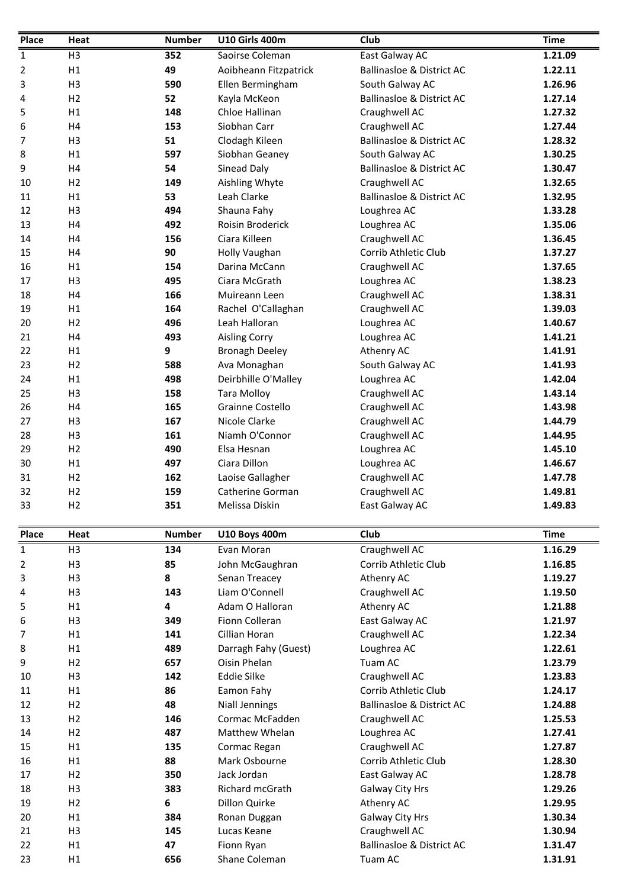| Place        | Heat           | <b>Number</b> | <b>U10 Girls 400m</b>         | Club                                                    | <b>Time</b>        |  |
|--------------|----------------|---------------|-------------------------------|---------------------------------------------------------|--------------------|--|
| 1            | H <sub>3</sub> | 352           | Saoirse Coleman               | East Galway AC                                          | 1.21.09            |  |
| 2            | H1             | 49            | Aoibheann Fitzpatrick         | <b>Ballinasloe &amp; District AC</b>                    | 1.22.11            |  |
| 3            | H <sub>3</sub> | 590           | Ellen Bermingham              | South Galway AC                                         | 1.26.96            |  |
| 4            | H <sub>2</sub> | 52            | Kayla McKeon                  | <b>Ballinasloe &amp; District AC</b>                    | 1.27.14            |  |
| 5            | H1             | 148           | Chloe Hallinan                | Craughwell AC                                           | 1.27.32            |  |
| 6            | H4             | 153           | Siobhan Carr                  | Craughwell AC                                           | 1.27.44            |  |
| 7            | H <sub>3</sub> | 51            | Clodagh Kileen                | <b>Ballinasloe &amp; District AC</b>                    | 1.28.32            |  |
| 8<br>9       | H1<br>H4       | 597<br>54     | Siobhan Geaney<br>Sinead Daly | South Galway AC<br><b>Ballinasloe &amp; District AC</b> | 1.30.25<br>1.30.47 |  |
| 10           | H <sub>2</sub> | 149           | Aishling Whyte                | Craughwell AC                                           | 1.32.65            |  |
| 11           | H1             | 53            | Leah Clarke                   | <b>Ballinasloe &amp; District AC</b>                    | 1.32.95            |  |
| 12           | H <sub>3</sub> | 494           | Shauna Fahy                   | Loughrea AC                                             | 1.33.28            |  |
| 13           | H <sub>4</sub> | 492           | Roisin Broderick              | Loughrea AC                                             | 1.35.06            |  |
| 14           | H <sub>4</sub> | 156           | Ciara Killeen                 | Craughwell AC                                           | 1.36.45            |  |
| 15           | H4             | 90            | Holly Vaughan                 | Corrib Athletic Club                                    | 1.37.27            |  |
| 16           | H1             | 154           | Darina McCann                 | Craughwell AC                                           | 1.37.65            |  |
| 17           | H <sub>3</sub> | 495           | Ciara McGrath                 | Loughrea AC                                             | 1.38.23            |  |
| 18           | H4             | 166           | Muireann Leen                 | Craughwell AC                                           | 1.38.31            |  |
| 19           | H1             | 164           | Rachel O'Callaghan            | Craughwell AC                                           | 1.39.03            |  |
| 20           | H <sub>2</sub> | 496           | Leah Halloran                 | Loughrea AC                                             | 1.40.67            |  |
| 21           | H <sub>4</sub> | 493           | <b>Aisling Corry</b>          | Loughrea AC                                             | 1.41.21            |  |
| 22           | H1             | 9             | <b>Bronagh Deeley</b>         | Athenry AC                                              | 1.41.91            |  |
| 23           | H <sub>2</sub> | 588           | Ava Monaghan                  | South Galway AC                                         | 1.41.93            |  |
| 24           | H1             | 498           | Deirbhille O'Malley           | Loughrea AC                                             | 1.42.04            |  |
| 25           | H <sub>3</sub> | 158           | <b>Tara Molloy</b>            | Craughwell AC                                           | 1.43.14            |  |
| 26           | H4             | 165           | Grainne Costello              | Craughwell AC                                           | 1.43.98            |  |
| 27           | H <sub>3</sub> | 167           | Nicole Clarke                 | Craughwell AC                                           | 1.44.79            |  |
| 28           | H <sub>3</sub> | 161           | Niamh O'Connor                | Craughwell AC                                           | 1.44.95            |  |
| 29           | H <sub>2</sub> | 490           | Elsa Hesnan                   | Loughrea AC                                             | 1.45.10            |  |
| 30           | H1             | 497           | Ciara Dillon                  | Loughrea AC                                             | 1.46.67            |  |
| 31           | H <sub>2</sub> | 162           | Laoise Gallagher              | Craughwell AC                                           | 1.47.78            |  |
| 32           | H2             | 159           | Catherine Gorman              | Craughwell AC                                           | 1.49.81            |  |
| 33           | H <sub>2</sub> | 351           | Melissa Diskin                | East Galway AC                                          | 1.49.83            |  |
| Place        | Heat           | <b>Number</b> | <b>U10 Boys 400m</b>          | Club                                                    | <b>Time</b>        |  |
| $\mathbf{1}$ | H <sub>3</sub> | 134           | Evan Moran                    | Craughwell AC                                           | 1.16.29            |  |
| 2            | H <sub>3</sub> | 85            | John McGaughran               | Corrib Athletic Club                                    | 1.16.85            |  |
| 3            | H <sub>3</sub> | 8             | Senan Treacey                 | Athenry AC                                              | 1.19.27            |  |
| 4            | H <sub>3</sub> | 143           | Liam O'Connell                | Craughwell AC                                           | 1.19.50            |  |
| 5            | H1             | 4             | Adam O Halloran               | Athenry AC                                              | 1.21.88            |  |
| 6            | H <sub>3</sub> | 349           | Fionn Colleran                | East Galway AC                                          | 1.21.97            |  |
| 7            | H1             | 141           | Cillian Horan                 | Craughwell AC                                           | 1.22.34            |  |
| 8            | H1             | 489           | Darragh Fahy (Guest)          | Loughrea AC                                             | 1.22.61            |  |
| 9            | H <sub>2</sub> | 657           | Oisin Phelan                  | Tuam AC                                                 | 1.23.79            |  |
| 10           | H <sub>3</sub> | 142           | Eddie Silke                   | Craughwell AC                                           | 1.23.83            |  |
| 11           | H1             | 86            | Eamon Fahy                    | Corrib Athletic Club                                    | 1.24.17            |  |
| 12           | H <sub>2</sub> | 48            | <b>Niall Jennings</b>         | <b>Ballinasloe &amp; District AC</b>                    | 1.24.88            |  |
| 13           | H <sub>2</sub> | 146           | Cormac McFadden               | Craughwell AC                                           | 1.25.53            |  |
| 14           | H <sub>2</sub> | 487           | Matthew Whelan                | Loughrea AC                                             | 1.27.41            |  |
| 15           | H1             | 135           | Cormac Regan                  | Craughwell AC                                           | 1.27.87            |  |
| 16           | H1             | 88            | Mark Osbourne                 | Corrib Athletic Club                                    | 1.28.30            |  |
| 17           | H2             | 350           | Jack Jordan                   | East Galway AC                                          | 1.28.78            |  |
| 18           | H <sub>3</sub> | 383           | Richard mcGrath               | Galway City Hrs                                         | 1.29.26            |  |
| 19           | H <sub>2</sub> | 6             | Dillon Quirke                 | Athenry AC                                              | 1.29.95            |  |
| 20           | H1             | 384           | Ronan Duggan                  | Galway City Hrs                                         | 1.30.34            |  |
| 21           | H <sub>3</sub> | 145           | Lucas Keane                   | Craughwell AC                                           | 1.30.94            |  |
| 22           | H1             | 47            | Fionn Ryan                    | <b>Ballinasloe &amp; District AC</b>                    | 1.31.47            |  |
| 23           | H1             | 656           | Shane Coleman                 | Tuam AC                                                 | 1.31.91            |  |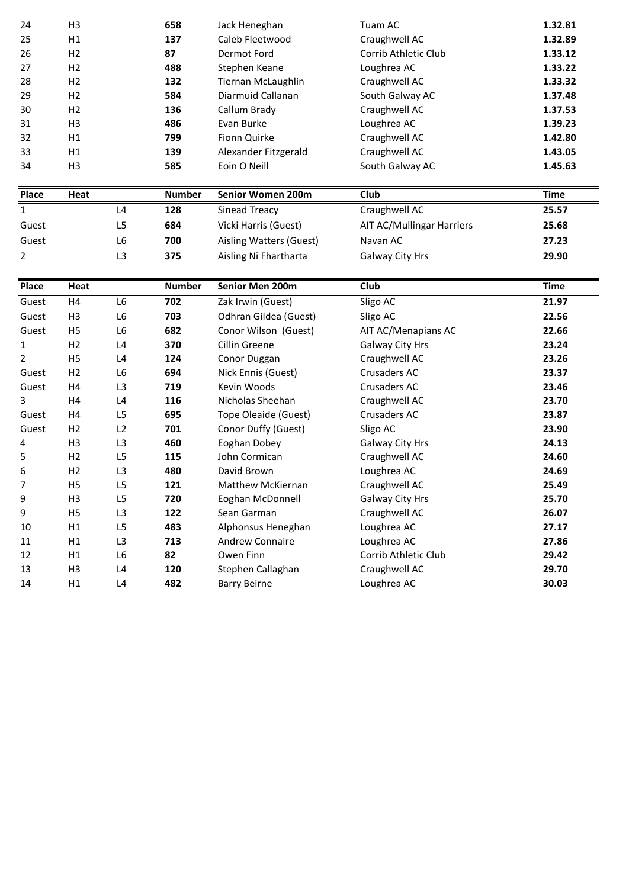| 24       | H <sub>3</sub> |                | 658           | Jack Heneghan                            | Tuam AC                          | 1.32.81        |
|----------|----------------|----------------|---------------|------------------------------------------|----------------------------------|----------------|
| 25       | H1             |                | 137           | Caleb Fleetwood                          | Craughwell AC                    | 1.32.89        |
| 26       | H <sub>2</sub> |                | 87            | Dermot Ford                              | Corrib Athletic Club             | 1.33.12        |
| 27       | H2             |                | 488           | Stephen Keane                            | Loughrea AC                      | 1.33.22        |
| 28       | H2             |                | 132           | <b>Tiernan McLaughlin</b>                | Craughwell AC                    | 1.33.32        |
| 29       | H <sub>2</sub> |                | 584           | Diarmuid Callanan                        | South Galway AC                  | 1.37.48        |
| 30       | H2             |                | 136           | Callum Brady                             | Craughwell AC                    | 1.37.53        |
| 31       | H <sub>3</sub> |                | 486           | Evan Burke                               | Loughrea AC                      | 1.39.23        |
| 32       | H1             |                | 799           | Fionn Quirke                             | Craughwell AC                    | 1.42.80        |
| 33       | H1             |                | 139           | Alexander Fitzgerald                     | Craughwell AC                    | 1.43.05        |
| 34       | H <sub>3</sub> |                | 585           | Eoin O Neill                             | South Galway AC                  | 1.45.63        |
|          |                |                |               |                                          |                                  |                |
| Place    | Heat           |                | <b>Number</b> | Senior Women 200m                        | Club                             | <b>Time</b>    |
| 1        |                | L <sub>4</sub> | 128           | Sinead Treacy                            | Craughwell AC                    | 25.57          |
| Guest    |                | L <sub>5</sub> | 684           | Vicki Harris (Guest)                     | <b>AIT AC/Mullingar Harriers</b> | 25.68          |
| Guest    |                | L <sub>6</sub> | 700           | Aisling Watters (Guest)                  | Navan AC                         | 27.23          |
| 2        |                | L <sub>3</sub> | 375           | Aisling Ni Fhartharta                    | Galway City Hrs                  | 29.90          |
|          |                |                |               |                                          |                                  |                |
| Place    | Heat           |                | <b>Number</b> | Senior Men 200m                          | Club                             | <b>Time</b>    |
| Guest    | H4             | L <sub>6</sub> | 702           | Zak Irwin (Guest)                        | Sligo AC                         | 21.97          |
| Guest    | H <sub>3</sub> | L6             | 703           | Odhran Gildea (Guest)                    | Sligo AC                         | 22.56          |
| Guest    | H <sub>5</sub> | L <sub>6</sub> | 682           | Conor Wilson (Guest)                     | AIT AC/Menapians AC              | 22.66          |
| 1        | H2             | L <sub>4</sub> | 370           | Cillin Greene                            | Galway City Hrs                  | 23.24          |
| 2        | H <sub>5</sub> | L <sub>4</sub> | 124           | Conor Duggan                             | Craughwell AC                    | 23.26          |
| Guest    | H <sub>2</sub> | L <sub>6</sub> | 694           | Nick Ennis (Guest)                       | Crusaders AC                     | 23.37          |
| Guest    | H4             | L <sub>3</sub> | 719           | Kevin Woods                              | Crusaders AC                     | 23.46          |
| 3        | H4             | L4             | 116           | Nicholas Sheehan                         | Craughwell AC                    | 23.70          |
| Guest    | H4             | L5             | 695           | Tope Oleaide (Guest)                     | Crusaders AC                     | 23.87          |
| Guest    | H <sub>2</sub> | L2             | 701           | Conor Duffy (Guest)                      | Sligo AC                         | 23.90          |
| 4        | H <sub>3</sub> | L3             | 460           | Eoghan Dobey                             | Galway City Hrs                  | 24.13          |
| 5        | H <sub>2</sub> | L5             | 115           | John Cormican                            | Craughwell AC                    | 24.60          |
| 6        | H <sub>2</sub> | L3             | 480           | David Brown                              | Loughrea AC                      | 24.69          |
| 7        | H <sub>5</sub> | L5             | 121           | Matthew McKiernan                        | Craughwell AC                    | 25.49          |
| 9        | H <sub>3</sub> | L5             | 720           | Eoghan McDonnell                         | Galway City Hrs                  | 25.70          |
| 9        | H <sub>5</sub> | L <sub>3</sub> | 122           | Sean Garman                              | Craughwell AC                    | 26.07          |
| 10       | H1             | L5             | 483           | Alphonsus Heneghan                       | Loughrea AC                      | 27.17          |
| 11       | H1             | L <sub>3</sub> | 713           | Andrew Connaire                          | Loughrea AC                      | 27.86          |
| 12       | H1             | L6             | 82            | Owen Finn                                | Corrib Athletic Club             | 29.42          |
| 13<br>14 | H <sub>3</sub> | L4             | 120           | Stephen Callaghan<br><b>Barry Beirne</b> | Craughwell AC<br>Loughrea AC     | 29.70<br>30.03 |
|          | H1             | L4             | 482           |                                          |                                  |                |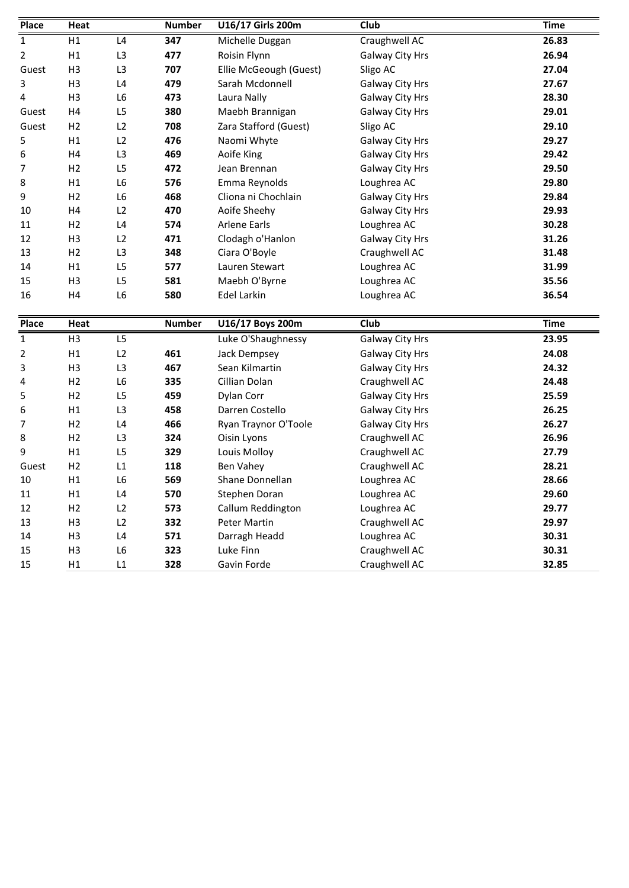| <b>Place</b>   | Heat           |                | <b>Number</b> | U16/17 Girls 200m      | Club                   | <b>Time</b> |
|----------------|----------------|----------------|---------------|------------------------|------------------------|-------------|
| $\mathbf{1}$   | H1             | L4             | 347           | Michelle Duggan        | Craughwell AC          | 26.83       |
| $\overline{2}$ | H1             | L <sub>3</sub> | 477           | Roisin Flynn           | Galway City Hrs        | 26.94       |
| Guest          | H <sub>3</sub> | L <sub>3</sub> | 707           | Ellie McGeough (Guest) | Sligo AC               | 27.04       |
| 3              | H <sub>3</sub> | L4             | 479           | Sarah Mcdonnell        | Galway City Hrs        | 27.67       |
| 4              | H <sub>3</sub> | L6             | 473           | Laura Nally            | Galway City Hrs        | 28.30       |
| Guest          | H4             | L <sub>5</sub> | 380           | Maebh Brannigan        | Galway City Hrs        | 29.01       |
| Guest          | H <sub>2</sub> | L2             | 708           | Zara Stafford (Guest)  | Sligo AC               | 29.10       |
| 5              | H1             | L2             | 476           | Naomi Whyte            | <b>Galway City Hrs</b> | 29.27       |
| 6              | H4             | L <sub>3</sub> | 469           | Aoife King             | Galway City Hrs        | 29.42       |
| 7              | H <sub>2</sub> | L <sub>5</sub> | 472           | Jean Brennan           | Galway City Hrs        | 29.50       |
| 8              | H1             | L <sub>6</sub> | 576           | Emma Reynolds          | Loughrea AC            | 29.80       |
| 9              | H2             | L6             | 468           | Cliona ni Chochlain    | Galway City Hrs        | 29.84       |
| 10             | H4             | L2             | 470           | Aoife Sheehy           | Galway City Hrs        | 29.93       |
| 11             | H <sub>2</sub> | L4             | 574           | <b>Arlene Earls</b>    | Loughrea AC            | 30.28       |
| 12             | H <sub>3</sub> | L2             | 471           | Clodagh o'Hanlon       | Galway City Hrs        | 31.26       |
| 13             | H2             | L <sub>3</sub> | 348           | Ciara O'Boyle          | Craughwell AC          | 31.48       |
| 14             | H1             | L <sub>5</sub> | 577           | Lauren Stewart         | Loughrea AC            | 31.99       |
| 15             | H <sub>3</sub> | L <sub>5</sub> | 581           | Maebh O'Byrne          | Loughrea AC            | 35.56       |
| 16             | H4             | L <sub>6</sub> | 580           | Edel Larkin            | Loughrea AC            | 36.54       |
|                |                |                |               |                        |                        |             |
| <b>Place</b>   | Heat           |                | <b>Number</b> | U16/17 Boys 200m       | Club                   | <b>Time</b> |
| $\mathbf{1}$   | H <sub>3</sub> | L <sub>5</sub> |               | Luke O'Shaughnessy     | Galway City Hrs        | 23.95       |
| 2              | H1             | L2             | 461           | Jack Dempsey           | Galway City Hrs        | 24.08       |
| 3              | H <sub>3</sub> | L3             | 467           | Sean Kilmartin         | Galway City Hrs        | 24.32       |
| 4              | H <sub>2</sub> | L6             | 335           | Cillian Dolan          | Craughwell AC          | 24.48       |
| 5              | H <sub>2</sub> | L5             | 459           | Dylan Corr             | Galway City Hrs        | 25.59       |
| 6              | H1             | L3             | 458           | Darren Costello        | Galway City Hrs        | 26.25       |
| 7              | H <sub>2</sub> | L4             | 466           | Ryan Traynor O'Toole   | Galway City Hrs        | 26.27       |
| 8              | H2             | L <sub>3</sub> | 324           | Oisin Lyons            | Craughwell AC          | 26.96       |
| 9              | H1             | L5             | 329           | Louis Molloy           | Craughwell AC          | 27.79       |
| Guest          | H <sub>2</sub> | L1             | 118           | Ben Vahey              | Craughwell AC          | 28.21       |
| 10             | H1             | L6             | 569           | Shane Donnellan        | Loughrea AC            | 28.66       |
| 11             | H1             | L4             | 570           | Stephen Doran          | Loughrea AC            | 29.60       |
| 12             | H <sub>2</sub> | L2             | 573           | Callum Reddington      | Loughrea AC            | 29.77       |
| 13             | H <sub>3</sub> | L2             | 332           | Peter Martin           | Craughwell AC          | 29.97       |
| 14             | H <sub>3</sub> | L4             | 571           | Darragh Headd          | Loughrea AC            | 30.31       |
| 15             | H <sub>3</sub> | L6             | 323           | Luke Finn              | Craughwell AC          | 30.31       |
| 15             | H1             | L1             | 328           | Gavin Forde            | Craughwell AC          | 32.85       |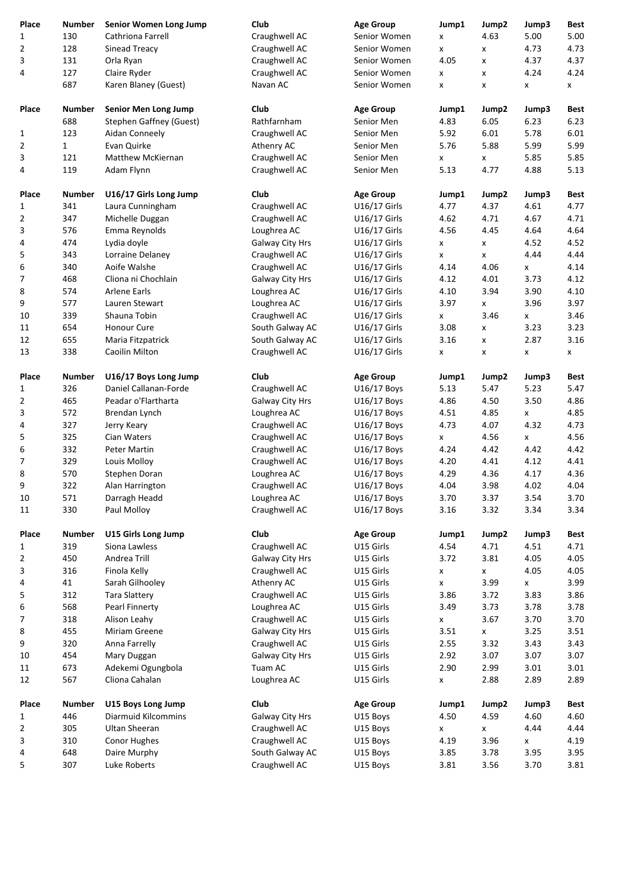| Place          | <b>Number</b> | Senior Women Long Jump         | Club                             | <b>Age Group</b>       | Jump1                      | Jump2                      | Jump3        | <b>Best</b>  |
|----------------|---------------|--------------------------------|----------------------------------|------------------------|----------------------------|----------------------------|--------------|--------------|
| 1              | 130           | Cathriona Farrell              | Craughwell AC                    | Senior Women           | x                          | 4.63                       | 5.00         | 5.00         |
| $\overline{2}$ | 128           | Sinead Treacy                  | Craughwell AC                    | Senior Women           | X                          | x                          | 4.73         | 4.73         |
| 3              | 131           | Orla Ryan                      | Craughwell AC                    | Senior Women           | 4.05                       | x                          | 4.37         | 4.37         |
| 4              | 127           | Claire Ryder                   | Craughwell AC                    | Senior Women           | x                          | x                          | 4.24         | 4.24         |
|                | 687           | Karen Blaney (Guest)           | Navan AC                         | Senior Women           | x                          | x                          | x            | X            |
| Place          | <b>Number</b> | Senior Men Long Jump           | Club                             | <b>Age Group</b>       | Jump1                      | Jump2                      | Jump3        | <b>Best</b>  |
|                | 688           | <b>Stephen Gaffney (Guest)</b> | Rathfarnham                      | Senior Men             | 4.83                       | 6.05                       | 6.23         | 6.23         |
| $\mathbf{1}$   | 123           | Aidan Conneely                 | Craughwell AC                    | Senior Men             | 5.92                       | 6.01                       | 5.78         | 6.01         |
| 2              | $\mathbf{1}$  | Evan Quirke                    | Athenry AC                       | Senior Men             | 5.76                       | 5.88                       | 5.99         | 5.99         |
| 3              | 121           | <b>Matthew McKiernan</b>       | Craughwell AC                    | Senior Men             | X                          | X                          | 5.85         | 5.85         |
| 4              | 119           | Adam Flynn                     | Craughwell AC                    | Senior Men             | 5.13                       | 4.77                       | 4.88         | 5.13         |
| Place          | <b>Number</b> | U16/17 Girls Long Jump         | Club                             | <b>Age Group</b>       | Jump1                      | Jump2                      | Jump3        | <b>Best</b>  |
| 1              | 341           | Laura Cunningham               | Craughwell AC                    | U16/17 Girls           | 4.77                       | 4.37                       | 4.61         | 4.77         |
| 2              | 347           | Michelle Duggan                | Craughwell AC                    | U16/17 Girls           | 4.62                       | 4.71                       | 4.67         | 4.71         |
| 3              | 576           | Emma Reynolds                  | Loughrea AC                      | U16/17 Girls           | 4.56                       | 4.45                       | 4.64         | 4.64         |
| 4              | 474           | Lydia doyle                    | Galway City Hrs                  | U16/17 Girls           | x                          | x                          | 4.52         | 4.52         |
| 5              | 343           | Lorraine Delaney               | Craughwell AC                    | U16/17 Girls           | X                          | x                          | 4.44         | 4.44         |
| 6              | 340           | Aoife Walshe                   | Craughwell AC                    | U16/17 Girls           | 4.14                       | 4.06                       | x            | 4.14         |
| 7              | 468           | Cliona ni Chochlain            | Galway City Hrs                  | U16/17 Girls           | 4.12                       | 4.01                       | 3.73         | 4.12         |
| 8              | 574           | Arlene Earls                   | Loughrea AC                      | U16/17 Girls           | 4.10                       | 3.94                       | 3.90         | 4.10         |
| 9              | 577           | Lauren Stewart                 | Loughrea AC                      | U16/17 Girls           | 3.97                       | X                          | 3.96         | 3.97         |
| 10             | 339           | Shauna Tobin                   | Craughwell AC                    | U16/17 Girls           | X                          | 3.46                       | X            | 3.46         |
| 11             | 654           | Honour Cure                    | South Galway AC                  | U16/17 Girls           | 3.08                       | X                          | 3.23         | 3.23         |
| 12             | 655           | Maria Fitzpatrick              | South Galway AC                  | U16/17 Girls           | 3.16                       | X                          | 2.87         | 3.16         |
| 13             | 338           | Caoilin Milton                 | Craughwell AC                    | U16/17 Girls           | x                          | x                          | x            | x            |
| Place          | <b>Number</b> | U16/17 Boys Long Jump          | Club                             | <b>Age Group</b>       | Jump1                      | Jump2                      | Jump3        | <b>Best</b>  |
| 1              | 326           | Daniel Callanan-Forde          | Craughwell AC                    | U16/17 Boys            | 5.13                       | 5.47                       | 5.23         | 5.47         |
| 2              | 465           | Peadar o'Flartharta            | Galway City Hrs                  | U16/17 Boys            | 4.86                       | 4.50                       | 3.50         | 4.86         |
| 3              | 572           | Brendan Lynch                  | Loughrea AC                      | U16/17 Boys            | 4.51                       | 4.85                       | x            | 4.85         |
| 4              | 327           | Jerry Keary                    | Craughwell AC                    | $U16/17$ Boys          | 4.73                       | 4.07                       | 4.32         | 4.73         |
| 5              | 325           | Cian Waters                    | Craughwell AC                    | U16/17 Boys            | X                          | 4.56                       | x            | 4.56         |
| 6              | 332           | Peter Martin                   | Craughwell AC                    | U16/17 Boys            | 4.24                       | 4.42                       | 4.42         | 4.42         |
| 7              | 329           | Louis Molloy                   | Craughwell AC                    | U16/17 Boys            | 4.20                       | 4.41                       | 4.12         | 4.41         |
| 8              | 570           | Stephen Doran                  | Loughrea AC                      | U16/17 Boys            | 4.29                       | 4.36                       | 4.17         | 4.36         |
| 9              | 322           | Alan Harrington                | Craughwell AC                    | U16/17 Boys            | 4.04                       | 3.98                       | 4.02         | 4.04         |
| 10             | 571           | Darragh Headd                  | Loughrea AC                      | U16/17 Boys            | 3.70                       | 3.37                       | 3.54         | 3.70         |
| 11             | 330           | Paul Molloy                    | Craughwell AC                    | U16/17 Boys            | 3.16                       | 3.32                       | 3.34         | 3.34         |
| Place          | <b>Number</b> | U15 Girls Long Jump            | Club                             | <b>Age Group</b>       | Jump1                      | Jump2                      | Jump3        | <b>Best</b>  |
| $\mathbf{1}$   | 319           | Siona Lawless                  | Craughwell AC                    | U15 Girls              | 4.54                       | 4.71                       | 4.51         | 4.71         |
| 2              | 450           | Andrea Trill                   | Galway City Hrs                  | U15 Girls              | 3.72                       | 3.81                       | 4.05         | 4.05         |
| 3              | 316           | Finola Kelly                   | Craughwell AC                    | U15 Girls              | x                          | $\pmb{\mathsf{X}}$         | 4.05         | 4.05         |
| 4              | 41            | Sarah Gilhooley                | Athenry AC                       | U15 Girls              | x                          | 3.99                       | x            | 3.99         |
| 5              | 312           | <b>Tara Slattery</b>           | Craughwell AC                    | U15 Girls              | 3.86                       | 3.72                       | 3.83         | 3.86         |
| 6              | 568           | Pearl Finnerty                 | Loughrea AC                      | U15 Girls              | 3.49                       | 3.73                       | 3.78         | 3.78         |
| 7              | 318<br>455    | Alison Leahy<br>Miriam Greene  | Craughwell AC<br>Galway City Hrs | U15 Girls<br>U15 Girls | $\pmb{\mathsf{x}}$<br>3.51 | 3.67                       | 3.70<br>3.25 | 3.70<br>3.51 |
| 8<br>9         | 320           | Anna Farrelly                  | Craughwell AC                    | U15 Girls              | 2.55                       | $\pmb{\mathsf{X}}$<br>3.32 | 3.43         | 3.43         |
| 10             | 454           | Mary Duggan                    | Galway City Hrs                  | U15 Girls              | 2.92                       | 3.07                       | 3.07         | 3.07         |
| 11             | 673           | Adekemi Ogungbola              | Tuam AC                          | U15 Girls              | 2.90                       | 2.99                       | 3.01         | 3.01         |
| 12             | 567           | Cliona Cahalan                 | Loughrea AC                      | U15 Girls              | X                          | 2.88                       | 2.89         | 2.89         |
|                |               |                                |                                  |                        |                            |                            |              |              |
| Place          | <b>Number</b> | U15 Boys Long Jump             | Club                             | <b>Age Group</b>       | Jump1                      | Jump2                      | Jump3        | <b>Best</b>  |
| 1              | 446           | Diarmuid Kilcommins            | Galway City Hrs                  | U15 Boys               | 4.50                       | 4.59                       | 4.60         | 4.60         |
| 2              | 305           | Ultan Sheeran                  | Craughwell AC                    | U15 Boys               | X                          | x                          | 4.44         | 4.44         |
| 3              | 310           | <b>Conor Hughes</b>            | Craughwell AC<br>South Galway AC | U15 Boys               | 4.19                       | 3.96                       | x            | 4.19<br>3.95 |
| 4<br>5         | 648<br>307    | Daire Murphy<br>Luke Roberts   | Craughwell AC                    | U15 Boys<br>U15 Boys   | 3.85<br>3.81               | 3.78<br>3.56               | 3.95<br>3.70 | 3.81         |
|                |               |                                |                                  |                        |                            |                            |              |              |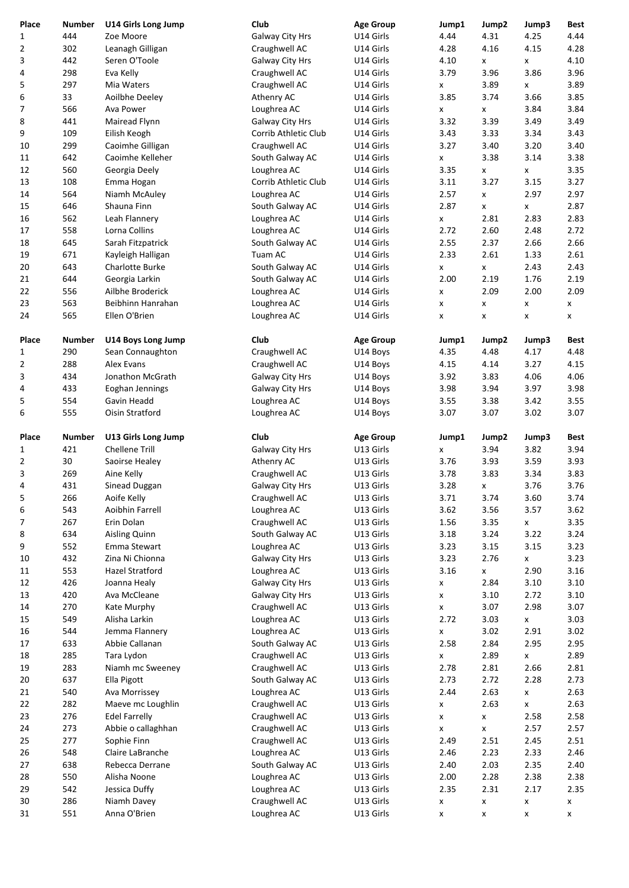| Place    | <b>Number</b> | <b>U14 Girls Long Jump</b>                  | Club                             | <b>Age Group</b>       | Jump1        | Jump2                      | Jump3              | <b>Best</b>    |
|----------|---------------|---------------------------------------------|----------------------------------|------------------------|--------------|----------------------------|--------------------|----------------|
| 1        | 444           | Zoe Moore                                   | Galway City Hrs                  | U14 Girls              | 4.44         | 4.31                       | 4.25               | 4.44           |
| 2        | 302           | Leanagh Gilligan                            | Craughwell AC                    | U14 Girls              | 4.28         | 4.16                       | 4.15               | 4.28           |
| 3        | 442<br>298    | Seren O'Toole<br>Eva Kelly                  | Galway City Hrs<br>Craughwell AC | U14 Girls<br>U14 Girls | 4.10<br>3.79 | X<br>3.96                  | x<br>3.86          | 4.10<br>3.96   |
| 4<br>5   | 297           | Mia Waters                                  | Craughwell AC                    | U14 Girls              | x            | 3.89                       | x                  | 3.89           |
| 6        | 33            | Aoilbhe Deeley                              | Athenry AC                       | U14 Girls              | 3.85         | 3.74                       | 3.66               | 3.85           |
| 7        | 566           | Ava Power                                   | Loughrea AC                      | U14 Girls              | x            | X                          | 3.84               | 3.84           |
| 8        | 441           | Mairead Flynn                               | Galway City Hrs                  | U14 Girls              | 3.32         | 3.39                       | 3.49               | 3.49           |
| 9        | 109           | Eilish Keogh                                | Corrib Athletic Club             | U14 Girls              | 3.43         | 3.33                       | 3.34               | 3.43           |
| 10       | 299           | Caoimhe Gilligan                            | Craughwell AC                    | U14 Girls              | 3.27         | 3.40                       | 3.20               | 3.40           |
| 11       | 642           | Caoimhe Kelleher                            | South Galway AC                  | U14 Girls              | x            | 3.38                       | 3.14               | 3.38           |
| 12       | 560           | Georgia Deely                               | Loughrea AC                      | U14 Girls              | 3.35         | $\pmb{\mathsf{x}}$         | x                  | 3.35           |
| 13       | 108           | Emma Hogan                                  | Corrib Athletic Club             | U14 Girls              | 3.11         | 3.27                       | 3.15               | 3.27           |
| 14       | 564           | Niamh McAuley                               | Loughrea AC                      | U14 Girls              | 2.57         | X                          | 2.97               | 2.97           |
| 15       | 646           | Shauna Finn                                 | South Galway AC                  | U14 Girls              | 2.87         | x                          | x                  | 2.87           |
| 16       | 562           | Leah Flannery                               | Loughrea AC                      | U14 Girls              | x            | 2.81                       | 2.83               | 2.83           |
| 17       | 558           | Lorna Collins                               | Loughrea AC                      | U14 Girls              | 2.72         | 2.60                       | 2.48               | 2.72           |
| 18       | 645           | Sarah Fitzpatrick                           | South Galway AC                  | U14 Girls              | 2.55         | 2.37                       | 2.66               | 2.66           |
| 19<br>20 | 671<br>643    | Kayleigh Halligan<br><b>Charlotte Burke</b> | Tuam AC<br>South Galway AC       | U14 Girls<br>U14 Girls | 2.33         | 2.61                       | 1.33<br>2.43       | 2.61<br>2.43   |
| 21       | 644           | Georgia Larkin                              | South Galway AC                  | U14 Girls              | x<br>2.00    | X<br>2.19                  | 1.76               | 2.19           |
| 22       | 556           | Ailbhe Broderick                            | Loughrea AC                      | U14 Girls              | x            | 2.09                       | 2.00               | 2.09           |
| 23       | 563           | Beibhinn Hanrahan                           | Loughrea AC                      | U14 Girls              | X            | X                          | x                  | X              |
| 24       | 565           | Ellen O'Brien                               | Loughrea AC                      | U14 Girls              | X            | x                          | x                  | x              |
| Place    | <b>Number</b> | U14 Boys Long Jump                          | Club                             | <b>Age Group</b>       | Jump1        | Jump2                      | Jump3              | Best           |
| 1        | 290           | Sean Connaughton                            | Craughwell AC                    | U14 Boys               | 4.35         | 4.48                       | 4.17               | 4.48           |
| 2        | 288           | Alex Evans                                  | Craughwell AC                    | U14 Boys               | 4.15         | 4.14                       | 3.27               | 4.15           |
| 3        | 434           | Jonathon McGrath                            | Galway City Hrs                  | U14 Boys               | 3.92         | 3.83                       | 4.06               | 4.06           |
| 4        | 433           | Eoghan Jennings                             | Galway City Hrs                  | U14 Boys               | 3.98         | 3.94                       | 3.97               | 3.98           |
| 5<br>6   | 554<br>555    | Gavin Headd<br>Oisin Stratford              | Loughrea AC<br>Loughrea AC       | U14 Boys<br>U14 Boys   | 3.55<br>3.07 | 3.38<br>3.07               | 3.42<br>3.02       | 3.55<br>3.07   |
|          |               |                                             |                                  |                        |              |                            |                    |                |
| Place    | <b>Number</b> | U13 Girls Long Jump                         | Club                             | <b>Age Group</b>       | Jump1        | Jump2                      | Jump3              | <b>Best</b>    |
| 1        | 421           | <b>Chellene Trill</b>                       | Galway City Hrs                  | U13 Girls              | x            | 3.94                       | 3.82               | 3.94           |
| 2        | 30            | Saoirse Healey                              | Athenry AC                       | U13 Girls              | 3.76         | 3.93                       | 3.59               | 3.93           |
| 3<br>4   | 269<br>431    | Aine Kelly<br>Sinead Duggan                 | Craughwell AC<br>Galway City Hrs | U13 Girls<br>U13 Girls | 3.78<br>3.28 | 3.83                       | 3.34<br>3.76       | 3.83<br>3.76   |
| 5        | 266           | Aoife Kelly                                 | Craughwell AC                    | U13 Girls              | 3.71         | $\pmb{\mathsf{X}}$<br>3.74 | 3.60               | 3.74           |
| 6        | 543           | Aoibhin Farrell                             | Loughrea AC                      | U13 Girls              | 3.62         | 3.56                       | 3.57               | 3.62           |
| 7        | 267           | Erin Dolan                                  | Craughwell AC                    | U13 Girls              | 1.56         | 3.35                       | x                  | 3.35           |
| 8        | 634           | Aisling Quinn                               | South Galway AC                  | U13 Girls              | 3.18         | 3.24                       | 3.22               | 3.24           |
| 9        | 552           | Emma Stewart                                | Loughrea AC                      | U13 Girls              | 3.23         | 3.15                       | 3.15               | 3.23           |
| 10       | 432           | Zina Ni Chionna                             | Galway City Hrs                  | U13 Girls              | 3.23         | 2.76                       | x                  | 3.23           |
| 11       | 553           | Hazel Stratford                             | Loughrea AC                      | U13 Girls              | 3.16         | $\pmb{\mathsf{X}}$         | 2.90               | 3.16           |
| 12       | 426           | Joanna Healy                                | Galway City Hrs                  | U13 Girls              | x            | 2.84                       | 3.10               | 3.10           |
| 13       | 420           | Ava McCleane                                | Galway City Hrs                  | U13 Girls              | x            | 3.10                       | 2.72               | 3.10           |
| 14       | 270           | Kate Murphy                                 | Craughwell AC                    | U13 Girls              | x            | 3.07                       | 2.98               | 3.07           |
| 15       | 549           | Alisha Larkin                               | Loughrea AC                      | U13 Girls              | 2.72         | 3.03                       | x                  | 3.03           |
| 16       | 544           | Jemma Flannery                              | Loughrea AC                      | U13 Girls              | X            | 3.02                       | 2.91               | 3.02           |
| 17       | 633           | Abbie Callanan                              | South Galway AC                  | U13 Girls              | 2.58         | 2.84                       | 2.95               | 2.95           |
| 18       | 285           | Tara Lydon                                  | Craughwell AC                    | U13 Girls              | x            | 2.89                       | x                  | 2.89           |
| 19       | 283           | Niamh mc Sweeney                            | Craughwell AC                    | U13 Girls              | 2.78         | 2.81                       | 2.66               | 2.81           |
| 20       | 637           | Ella Pigott                                 | South Galway AC                  | U13 Girls              | 2.73         | 2.72                       | 2.28               | 2.73<br>2.63   |
| 21<br>22 | 540<br>282    | Ava Morrissey<br>Maeve mc Loughlin          | Loughrea AC<br>Craughwell AC     | U13 Girls<br>U13 Girls | 2.44<br>X    | 2.63<br>2.63               | x<br>x             | 2.63           |
| 23       | 276           | <b>Edel Farrelly</b>                        | Craughwell AC                    | U13 Girls              | x            | X                          | 2.58               | 2.58           |
| 24       | 273           | Abbie o callaghhan                          | Craughwell AC                    | U13 Girls              | x            | x                          | 2.57               | 2.57           |
| 25       | 277           | Sophie Finn                                 | Craughwell AC                    | U13 Girls              | 2.49         | 2.51                       | 2.45               | 2.51           |
| 26       | 548           | Claire LaBranche                            | Loughrea AC                      | U13 Girls              | 2.46         | 2.23                       | 2.33               | 2.46           |
| 27       | 638           | Rebecca Derrane                             | South Galway AC                  | U13 Girls              | 2.40         | 2.03                       | 2.35               | 2.40           |
| 28       | 550           | Alisha Noone                                | Loughrea AC                      | U13 Girls              | 2.00         | 2.28                       | 2.38               | 2.38           |
| 29       | 542           | Jessica Duffy                               | Loughrea AC                      | U13 Girls              | 2.35         | 2.31                       | 2.17               | 2.35           |
| 30       | 286           | Niamh Davey                                 | Craughwell AC                    | U13 Girls              | x            | X                          | X                  | $\pmb{\times}$ |
| 31       | 551           | Anna O'Brien                                | Loughrea AC                      | U13 Girls              | x            | X                          | $\pmb{\mathsf{x}}$ | X              |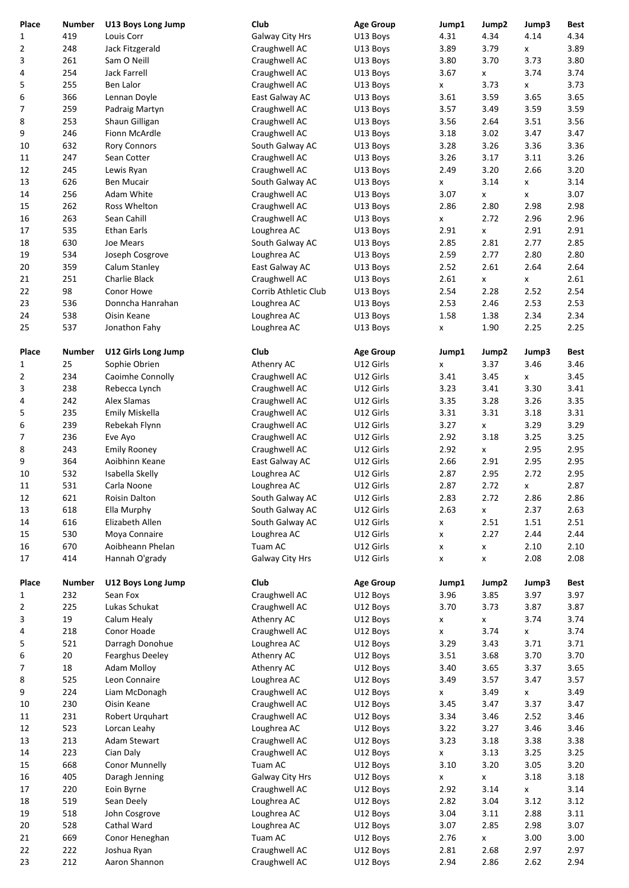|                       | <b>Number</b> |                                     | Club                                  |                              | Jump1        |                    |               |              |
|-----------------------|---------------|-------------------------------------|---------------------------------------|------------------------------|--------------|--------------------|---------------|--------------|
| Place<br>$\mathbf{1}$ | 419           | U13 Boys Long Jump<br>Louis Corr    | Galway City Hrs                       | <b>Age Group</b><br>U13 Boys | 4.31         | Jump2<br>4.34      | Jump3<br>4.14 | Best<br>4.34 |
| $\overline{2}$        | 248           | Jack Fitzgerald                     | Craughwell AC                         | U13 Boys                     | 3.89         | 3.79               | x             | 3.89         |
| 3                     | 261           | Sam O Neill                         | Craughwell AC                         | U13 Boys                     | 3.80         | 3.70               | 3.73          | 3.80         |
| 4                     | 254           | <b>Jack Farrell</b>                 | Craughwell AC                         | U13 Boys                     | 3.67         | X                  | 3.74          | 3.74         |
| 5                     | 255           | <b>Ben Lalor</b>                    | Craughwell AC                         | U13 Boys                     | X            | 3.73               | x             | 3.73         |
| 6                     | 366           | Lennan Doyle                        | East Galway AC                        | U13 Boys                     | 3.61         | 3.59               | 3.65          | 3.65         |
| 7                     | 259           | Padraig Martyn                      | Craughwell AC                         | U13 Boys                     | 3.57         | 3.49               | 3.59          | 3.59         |
| 8<br>9                | 253<br>246    | Shaun Gilligan<br>Fionn McArdle     | Craughwell AC                         | U13 Boys<br>U13 Boys         | 3.56<br>3.18 | 2.64<br>3.02       | 3.51<br>3.47  | 3.56<br>3.47 |
| 10                    | 632           | <b>Rory Connors</b>                 | Craughwell AC<br>South Galway AC      | U13 Boys                     | 3.28         | 3.26               | 3.36          | 3.36         |
| 11                    | 247           | Sean Cotter                         | Craughwell AC                         | U13 Boys                     | 3.26         | 3.17               | 3.11          | 3.26         |
| 12                    | 245           | Lewis Ryan                          | Craughwell AC                         | U13 Boys                     | 2.49         | 3.20               | 2.66          | 3.20         |
| 13                    | 626           | <b>Ben Mucair</b>                   | South Galway AC                       | U13 Boys                     | X            | 3.14               | x             | 3.14         |
| 14                    | 256           | Adam White                          | Craughwell AC                         | U13 Boys                     | 3.07         | $\pmb{\mathsf{X}}$ | x             | 3.07         |
| 15                    | 262           | Ross Whelton                        | Craughwell AC                         | U13 Boys                     | 2.86         | 2.80               | 2.98          | 2.98         |
| 16                    | 263           | Sean Cahill                         | Craughwell AC                         | U13 Boys                     | $\mathsf{x}$ | 2.72               | 2.96          | 2.96         |
| 17                    | 535           | <b>Ethan Earls</b>                  | Loughrea AC                           | U13 Boys                     | 2.91         | X                  | 2.91          | 2.91         |
| 18                    | 630           | Joe Mears                           | South Galway AC                       | U13 Boys                     | 2.85         | 2.81               | 2.77          | 2.85         |
| 19                    | 534           | Joseph Cosgrove                     | Loughrea AC                           | U13 Boys                     | 2.59         | 2.77               | 2.80          | 2.80         |
| 20<br>21              | 359<br>251    | Calum Stanley<br>Charlie Black      | East Galway AC                        | U13 Boys                     | 2.52<br>2.61 | 2.61               | 2.64          | 2.64<br>2.61 |
| 22                    | 98            | Conor Howe                          | Craughwell AC<br>Corrib Athletic Club | U13 Boys<br>U13 Boys         | 2.54         | x<br>2.28          | x<br>2.52     | 2.54         |
| 23                    | 536           | Donncha Hanrahan                    | Loughrea AC                           | U13 Boys                     | 2.53         | 2.46               | 2.53          | 2.53         |
| 24                    | 538           | Oisin Keane                         | Loughrea AC                           | U13 Boys                     | 1.58         | 1.38               | 2.34          | 2.34         |
| 25                    | 537           | Jonathon Fahy                       | Loughrea AC                           | U13 Boys                     | X            | 1.90               | 2.25          | 2.25         |
|                       |               |                                     |                                       |                              |              |                    |               |              |
| Place                 | <b>Number</b> | U12 Girls Long Jump                 | Club                                  | <b>Age Group</b>             | Jump1        | Jump2              | Jump3         | <b>Best</b>  |
| 1                     | 25            | Sophie Obrien                       | Athenry AC                            | U12 Girls                    | X            | 3.37               | 3.46          | 3.46         |
| 2                     | 234           | Caoimhe Connolly                    | Craughwell AC                         | U12 Girls                    | 3.41         | 3.45               | x             | 3.45         |
| 3                     | 238           | Rebecca Lynch                       | Craughwell AC                         | U12 Girls                    | 3.23         | 3.41               | 3.30          | 3.41         |
| 4<br>5                | 242<br>235    | Alex Slamas<br>Emily Miskella       | Craughwell AC                         | U12 Girls<br>U12 Girls       | 3.35<br>3.31 | 3.28<br>3.31       | 3.26<br>3.18  | 3.35<br>3.31 |
| 6                     | 239           | Rebekah Flynn                       | Craughwell AC<br>Craughwell AC        | U12 Girls                    | 3.27         | x                  | 3.29          | 3.29         |
| 7                     | 236           | Eve Ayo                             | Craughwell AC                         | U12 Girls                    | 2.92         | 3.18               | 3.25          | 3.25         |
| 8                     | 243           | <b>Emily Rooney</b>                 | Craughwell AC                         | U12 Girls                    | 2.92         | x                  | 2.95          | 2.95         |
| 9                     | 364           | Aoibhinn Keane                      | East Galway AC                        | U12 Girls                    | 2.66         | 2.91               | 2.95          | 2.95         |
| 10                    | 532           | Isabella Skelly                     | Loughrea AC                           | U12 Girls                    | 2.87         | 2.95               | 2.72          | 2.95         |
| 11                    | 531           | Carla Noone                         | Loughrea AC                           | U12 Girls                    | 2.87         | 2.72               | x             | 2.87         |
| 12                    | 621           | Roisin Dalton                       | South Galway AC                       | U12 Girls                    | 2.83         | 2.72               | 2.86          | 2.86         |
| 13                    | 618           | Ella Murphy                         | South Galway AC                       | U12 Girls                    | 2.63         | $\pmb{\mathsf{X}}$ | 2.37          | 2.63         |
| 14                    | 616           | Elizabeth Allen                     | South Galway AC                       | U12 Girls                    | X            | 2.51               | 1.51          | 2.51         |
| 15                    | 530           | Moya Connaire<br>Aoibheann Phelan   | Loughrea AC<br>Tuam AC                | U12 Girls                    | x            | 2.27               | 2.44          | 2.44         |
| 16<br>17              | 670<br>414    | Hannah O'grady                      | Galway City Hrs                       | U12 Girls<br>U12 Girls       | X            | x                  | 2.10<br>2.08  | 2.10<br>2.08 |
|                       |               |                                     |                                       |                              | X            | X                  |               |              |
| Place                 | <b>Number</b> | U12 Boys Long Jump                  | Club                                  | <b>Age Group</b>             | Jump1        | Jump2              | Jump3         | <b>Best</b>  |
| $\mathbf{1}$          | 232           | Sean Fox                            | Craughwell AC                         | U12 Boys                     | 3.96         | 3.85               | 3.97          | 3.97         |
| $\overline{2}$        | 225           | Lukas Schukat                       | Craughwell AC                         | U12 Boys                     | 3.70         | 3.73               | 3.87          | 3.87         |
| 3                     | 19            | Calum Healy                         | Athenry AC                            | U12 Boys                     | x            | X                  | 3.74          | 3.74         |
| 4                     | 218           | Conor Hoade                         | Craughwell AC                         | U12 Boys                     | X            | 3.74               | x             | 3.74         |
| 5                     | 521           | Darragh Donohue                     | Loughrea AC                           | U12 Boys                     | 3.29         | 3.43               | 3.71          | 3.71         |
| 6                     | 20            | Fearghus Deeley                     | Athenry AC                            | U12 Boys                     | 3.51         | 3.68               | 3.70          | 3.70         |
| 7<br>8                | 18<br>525     | <b>Adam Molloy</b><br>Leon Connaire | Athenry AC<br>Loughrea AC             | U12 Boys<br>U12 Boys         | 3.40<br>3.49 | 3.65<br>3.57       | 3.37<br>3.47  | 3.65<br>3.57 |
| 9                     | 224           | Liam McDonagh                       | Craughwell AC                         | U12 Boys                     | X            | 3.49               | x             | 3.49         |
| 10                    | 230           | Oisin Keane                         | Craughwell AC                         | U12 Boys                     | 3.45         | 3.47               | 3.37          | 3.47         |
| 11                    | 231           | Robert Urquhart                     | Craughwell AC                         | U12 Boys                     | 3.34         | 3.46               | 2.52          | 3.46         |
| 12                    | 523           | Lorcan Leahy                        | Loughrea AC                           | U12 Boys                     | 3.22         | 3.27               | 3.46          | 3.46         |
| 13                    | 213           | Adam Stewart                        | Craughwell AC                         | U12 Boys                     | 3.23         | 3.18               | 3.38          | 3.38         |
| 14                    | 223           | Cian Daly                           | Craughwell AC                         | U12 Boys                     | x            | 3.13               | 3.25          | 3.25         |
| 15                    | 668           | Conor Munnelly                      | Tuam AC                               | U12 Boys                     | 3.10         | 3.20               | 3.05          | 3.20         |
| 16                    | 405           | Daragh Jenning                      | Galway City Hrs                       | U12 Boys                     | x            | X                  | 3.18          | 3.18         |
| 17                    | 220           | Eoin Byrne                          | Craughwell AC                         | U12 Boys                     | 2.92         | 3.14               | x             | 3.14         |
| 18                    | 519           | Sean Deely                          | Loughrea AC                           | U12 Boys                     | 2.82         | 3.04               | 3.12          | 3.12         |
| 19                    | 518           | John Cosgrove                       | Loughrea AC                           | U12 Boys                     | 3.04         | 3.11               | 2.88          | 3.11         |
| 20<br>21              | 528<br>669    | Cathal Ward<br>Conor Heneghan       | Loughrea AC<br>Tuam AC                | U12 Boys<br>U12 Boys         | 3.07<br>2.76 | 2.85               | 2.98<br>3.00  | 3.07<br>3.00 |
| 22                    | 222           | Joshua Ryan                         | Craughwell AC                         | U12 Boys                     | 2.81         | X<br>2.68          | 2.97          | 2.97         |
| 23                    | 212           | Aaron Shannon                       | Craughwell AC                         | U12 Boys                     | 2.94         | 2.86               | 2.62          | 2.94         |
|                       |               |                                     |                                       |                              |              |                    |               |              |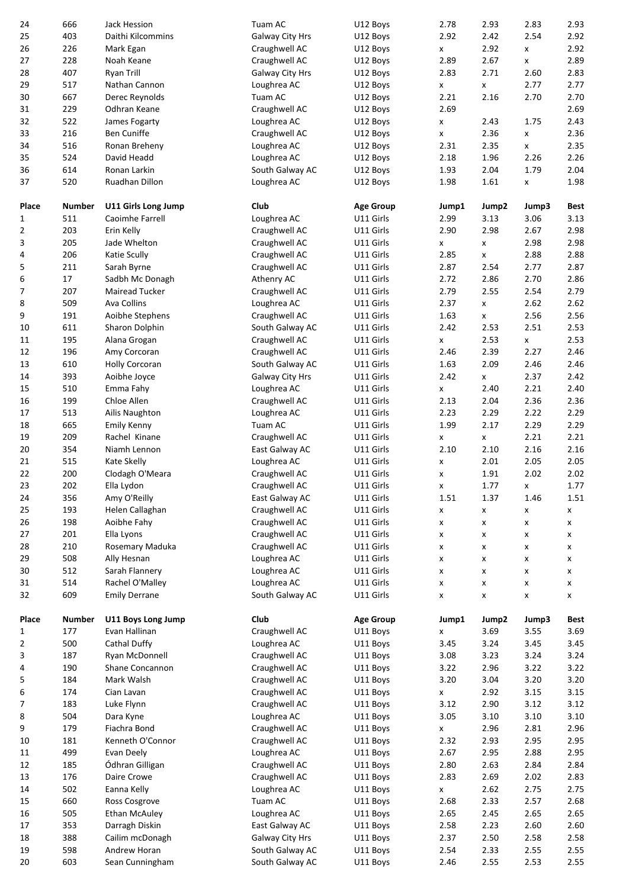| 24<br>25     | 666<br>403    | Jack Hession<br>Daithi Kilcommins | Tuam AC                            | U12 Boys<br>U12 Boys   | 2.78<br>2.92       | 2.93<br>2.42 | 2.83<br>2.54 | 2.93<br>2.92            |  |
|--------------|---------------|-----------------------------------|------------------------------------|------------------------|--------------------|--------------|--------------|-------------------------|--|
| 26           | 226           | Mark Egan                         | Galway City Hrs<br>Craughwell AC   | U12 Boys               | X                  | 2.92         | x            | 2.92                    |  |
| 27           | 228           | Noah Keane                        | Craughwell AC                      | U12 Boys               | 2.89               | 2.67         | x            | 2.89                    |  |
| 28           | 407           | <b>Ryan Trill</b>                 | Galway City Hrs                    | U12 Boys               | 2.83               | 2.71         | 2.60         | 2.83                    |  |
| 29           | 517           | Nathan Cannon                     | Loughrea AC                        | U12 Boys               | X                  | x            | 2.77         | 2.77                    |  |
| 30<br>31     | 667<br>229    | Derec Reynolds<br>Odhran Keane    | Tuam AC<br>Craughwell AC           | U12 Boys<br>U12 Boys   | 2.21<br>2.69       | 2.16         | 2.70         | 2.70<br>2.69            |  |
| 32           | 522           | James Fogarty                     | Loughrea AC                        | U12 Boys               | X                  | 2.43         | 1.75         | 2.43                    |  |
| 33           | 216           | <b>Ben Cuniffe</b>                | Craughwell AC                      | U12 Boys               | x                  | 2.36         | x            | 2.36                    |  |
| 34           | 516           | Ronan Breheny                     | Loughrea AC                        | U12 Boys               | 2.31               | 2.35         | x            | 2.35                    |  |
| 35           | 524           | David Headd                       | Loughrea AC                        | U12 Boys               | 2.18               | 1.96         | 2.26         | 2.26                    |  |
| 36           | 614           | Ronan Larkin                      | South Galway AC                    | U12 Boys               | 1.93               | 2.04         | 1.79         | 2.04                    |  |
| 37           | 520           | Ruadhan Dillon                    | Loughrea AC                        | U12 Boys               | 1.98               | 1.61         | x            | 1.98                    |  |
| Place        | <b>Number</b> | U11 Girls Long Jump               | Club                               | <b>Age Group</b>       | Jump1              | Jump2        | Jump3        | <b>Best</b>             |  |
| 1            | 511           | Caoimhe Farrell                   | Loughrea AC                        | U11 Girls              | 2.99               | 3.13         | 3.06         | 3.13                    |  |
| 2            | 203           | Erin Kelly                        | Craughwell AC                      | U11 Girls              | 2.90               | 2.98         | 2.67         | 2.98                    |  |
| 3            | 205<br>206    | Jade Whelton                      | Craughwell AC                      | U11 Girls<br>U11 Girls | x<br>2.85          | x            | 2.98         | 2.98<br>2.88            |  |
| 4<br>5       | 211           | Katie Scully<br>Sarah Byrne       | Craughwell AC<br>Craughwell AC     | U11 Girls              | 2.87               | X<br>2.54    | 2.88<br>2.77 | 2.87                    |  |
| 6            | 17            | Sadbh Mc Donagh                   | Athenry AC                         | U11 Girls              | 2.72               | 2.86         | 2.70         | 2.86                    |  |
| 7            | 207           | <b>Mairead Tucker</b>             | Craughwell AC                      | U11 Girls              | 2.79               | 2.55         | 2.54         | 2.79                    |  |
| 8            | 509           | Ava Collins                       | Loughrea AC                        | U11 Girls              | 2.37               | X            | 2.62         | 2.62                    |  |
| 9            | 191           | Aoibhe Stephens                   | Craughwell AC                      | U11 Girls              | 1.63               | x            | 2.56         | 2.56                    |  |
| 10           | 611           | Sharon Dolphin                    | South Galway AC                    | U11 Girls              | 2.42               | 2.53         | 2.51         | 2.53                    |  |
| 11<br>12     | 195<br>196    | Alana Grogan<br>Amy Corcoran      | Craughwell AC<br>Craughwell AC     | U11 Girls<br>U11 Girls | X<br>2.46          | 2.53<br>2.39 | x<br>2.27    | 2.53<br>2.46            |  |
| 13           | 610           | <b>Holly Corcoran</b>             | South Galway AC                    | U11 Girls              | 1.63               | 2.09         | 2.46         | 2.46                    |  |
| 14           | 393           | Aoibhe Joyce                      | Galway City Hrs                    | U11 Girls              | 2.42               | x            | 2.37         | 2.42                    |  |
| 15           | 510           | Emma Fahy                         | Loughrea AC                        | U11 Girls              | X                  | 2.40         | 2.21         | 2.40                    |  |
| 16           | 199           | Chloe Allen                       | Craughwell AC                      | U11 Girls              | 2.13               | 2.04         | 2.36         | 2.36                    |  |
| 17           | 513           | Ailis Naughton                    | Loughrea AC                        | U11 Girls              | 2.23               | 2.29         | 2.22         | 2.29                    |  |
| 18           | 665           | <b>Emily Kenny</b>                | Tuam AC                            | U11 Girls              | 1.99               | 2.17         | 2.29         | 2.29<br>2.21            |  |
|              |               |                                   |                                    |                        |                    |              |              |                         |  |
| 19           | 209           | Rachel Kinane                     | Craughwell AC                      | U11 Girls              | x                  | x            | 2.21         |                         |  |
| 20<br>21     | 354<br>515    | Niamh Lennon<br>Kate Skelly       | East Galway AC<br>Loughrea AC      | U11 Girls<br>U11 Girls | 2.10<br>x          | 2.10<br>2.01 | 2.16<br>2.05 | 2.16<br>2.05            |  |
| 22           | 200           | Clodagh O'Meara                   | Craughwell AC                      | U11 Girls              | x                  | 1.91         | 2.02         | 2.02                    |  |
| 23           | 202           | Ella Lydon                        | Craughwell AC                      | U11 Girls              | X                  | 1.77         | x            | 1.77                    |  |
| 24           | 356           | Amy O'Reilly                      | East Galway AC                     | U11 Girls              | 1.51               | 1.37         | 1.46         | 1.51                    |  |
| 25           | 193           | Helen Callaghan                   | Craughwell AC                      | U11 Girls              | x                  | x            | x            | X                       |  |
| 26<br>27     | 198<br>201    | Aoibhe Fahy                       | Craughwell AC                      | U11 Girls<br>U11 Girls | X<br>X             | X<br>x       | X<br>x       | $\pmb{\mathsf{x}}$<br>X |  |
| 28           | 210           | Ella Lyons<br>Rosemary Maduka     | Craughwell AC<br>Craughwell AC     | U11 Girls              | X                  | X            | X            | X                       |  |
| 29           | 508           | Ally Hesnan                       | Loughrea AC                        | U11 Girls              | X                  | X            | X            | X                       |  |
| 30           | 512           | Sarah Flannery                    | Loughrea AC                        | U11 Girls              | X                  | X            | X            | x                       |  |
| 31           | 514           | Rachel O'Malley                   | Loughrea AC                        | U11 Girls              | X                  | X            | X            | X                       |  |
| 32           | 609           | <b>Emily Derrane</b>              | South Galway AC                    | U11 Girls              | X                  | X            | X            | X                       |  |
| Place        | <b>Number</b> | U11 Boys Long Jump                | Club                               | <b>Age Group</b>       | Jump1              | Jump2        | Jump3        | Best                    |  |
| $\mathbf{1}$ | 177           | Evan Hallinan                     | Craughwell AC                      | U11 Boys               | $\pmb{\mathsf{x}}$ | 3.69         | 3.55         | 3.69                    |  |
| 2            | 500           | Cathal Duffy                      | Loughrea AC                        | U11 Boys               | 3.45               | 3.24         | 3.45         | 3.45                    |  |
| 3            | 187           | Ryan McDonnell                    | Craughwell AC                      | U11 Boys               | 3.08               | 3.23         | 3.24         | 3.24                    |  |
| 4<br>5       | 190<br>184    | Shane Concannon<br>Mark Walsh     | Craughwell AC<br>Craughwell AC     | U11 Boys<br>U11 Boys   | 3.22<br>3.20       | 2.96<br>3.04 | 3.22<br>3.20 | 3.22<br>3.20            |  |
| 6            | 174           | Cian Lavan                        | Craughwell AC                      | U11 Boys               | X                  | 2.92         | 3.15         | 3.15                    |  |
| 7            | 183           | Luke Flynn                        | Craughwell AC                      | U11 Boys               | 3.12               | 2.90         | 3.12         | 3.12                    |  |
| 8            | 504           | Dara Kyne                         | Loughrea AC                        | U11 Boys               | 3.05               | 3.10         | 3.10         | 3.10                    |  |
| 9            | 179           | Fiachra Bond                      | Craughwell AC                      | U11 Boys               | x                  | 2.96         | 2.81         | 2.96                    |  |
| 10           | 181           | Kenneth O'Connor                  | Craughwell AC                      | U11 Boys               | 2.32               | 2.93         | 2.95         | 2.95                    |  |
| 11<br>12     | 499<br>185    | Evan Deely<br>Ódhran Gilligan     | Loughrea AC<br>Craughwell AC       | U11 Boys<br>U11 Boys   | 2.67<br>2.80       | 2.95<br>2.63 | 2.88<br>2.84 | 2.95<br>2.84            |  |
| 13           | 176           | Daire Crowe                       | Craughwell AC                      | U11 Boys               | 2.83               | 2.69         | 2.02         | 2.83                    |  |
| 14           | 502           | Eanna Kelly                       | Loughrea AC                        | U11 Boys               | X                  | 2.62         | 2.75         | 2.75                    |  |
| 15           | 660           | Ross Cosgrove                     | Tuam AC                            | U11 Boys               | 2.68               | 2.33         | 2.57         | 2.68                    |  |
| 16           | 505           | <b>Ethan McAuley</b>              | Loughrea AC                        | U11 Boys               | 2.65               | 2.45         | 2.65         | 2.65                    |  |
| 17<br>18     | 353           | Darragh Diskin                    | East Galway AC                     | U11 Boys               | 2.58<br>2.37       | 2.23<br>2.50 | 2.60         | 2.60                    |  |
| 19           | 388<br>598    | Cailim mcDonagh<br>Andrew Horan   | Galway City Hrs<br>South Galway AC | U11 Boys<br>U11 Boys   | 2.54               | 2.33         | 2.58<br>2.55 | 2.58<br>2.55            |  |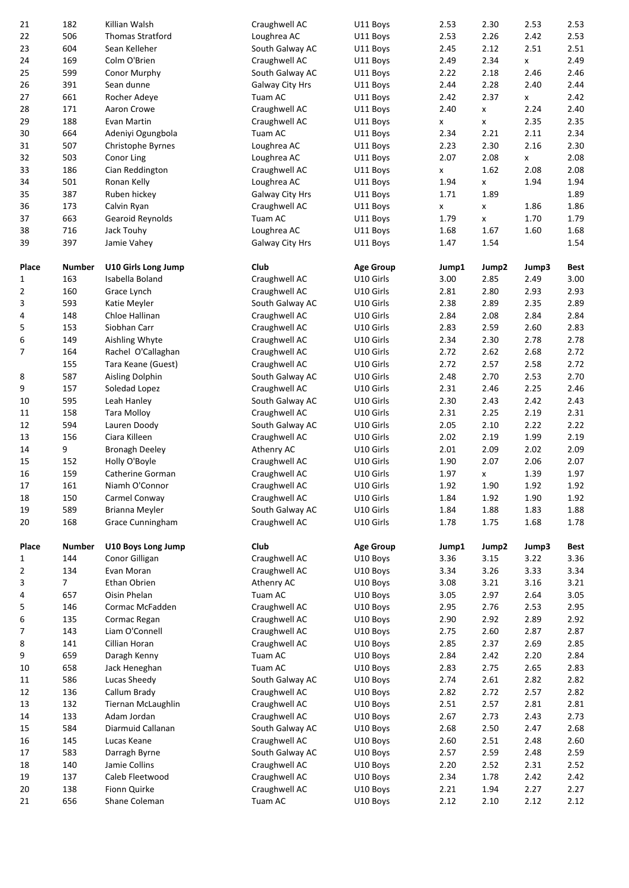| 21                  | 182                   | Killian Walsh                          | Craughwell AC                      | U11 Boys                      | 2.53          | 2.30               | 2.53          | 2.53                |
|---------------------|-----------------------|----------------------------------------|------------------------------------|-------------------------------|---------------|--------------------|---------------|---------------------|
| 22                  | 506                   | <b>Thomas Stratford</b>                | Loughrea AC                        | U11 Boys                      | 2.53          | 2.26               | 2.42          | 2.53                |
| 23                  | 604                   | Sean Kelleher                          | South Galway AC                    | U11 Boys                      | 2.45          | 2.12               | 2.51          | 2.51                |
| 24                  | 169                   | Colm O'Brien                           | Craughwell AC                      | U11 Boys                      | 2.49          | 2.34               | x             | 2.49                |
| 25<br>26            | 599<br>391            | Conor Murphy<br>Sean dunne             | South Galway AC<br>Galway City Hrs | U11 Boys<br>U11 Boys          | 2.22<br>2.44  | 2.18<br>2.28       | 2.46<br>2.40  | 2.46<br>2.44        |
| 27                  | 661                   | Rocher Adeve                           | Tuam AC                            | U11 Boys                      | 2.42          | 2.37               | x             | 2.42                |
| 28                  | 171                   | Aaron Crowe                            | Craughwell AC                      | U11 Boys                      | 2.40          | X                  | 2.24          | 2.40                |
| 29                  | 188                   | Evan Martin                            | Craughwell AC                      | U11 Boys                      | X             | x                  | 2.35          | 2.35                |
| 30                  | 664                   | Adeniyi Ogungbola                      | Tuam AC                            | U11 Boys                      | 2.34          | 2.21               | 2.11          | 2.34                |
| 31                  | 507                   | Christophe Byrnes                      | Loughrea AC                        | U11 Boys                      | 2.23          | 2.30               | 2.16          | 2.30                |
| 32                  | 503                   | Conor Ling                             | Loughrea AC                        | U11 Boys                      | 2.07          | 2.08               | x             | 2.08                |
| 33                  | 186<br>501            | Cian Reddington                        | Craughwell AC                      | U11 Boys                      | x             | 1.62               | 2.08          | 2.08<br>1.94        |
| 34<br>35            | 387                   | Ronan Kelly<br>Ruben hickey            | Loughrea AC<br>Galway City Hrs     | U11 Boys<br>U11 Boys          | 1.94<br>1.71  | X<br>1.89          | 1.94          | 1.89                |
| 36                  | 173                   | Calvin Ryan                            | Craughwell AC                      | U11 Boys                      | X             | x                  | 1.86          | 1.86                |
| 37                  | 663                   | Gearoid Reynolds                       | Tuam AC                            | U11 Boys                      | 1.79          | x                  | 1.70          | 1.79                |
| 38                  | 716                   | Jack Touhy                             | Loughrea AC                        | U11 Boys                      | 1.68          | 1.67               | 1.60          | 1.68                |
| 39                  | 397                   | Jamie Vahey                            | Galway City Hrs                    | U11 Boys                      | 1.47          | 1.54               |               | 1.54                |
|                     |                       |                                        |                                    |                               |               |                    |               |                     |
| Place               | <b>Number</b><br>163  | U10 Girls Long Jump<br>Isabella Boland | Club                               | <b>Age Group</b><br>U10 Girls | Jump1<br>3.00 | Jump2<br>2.85      | Jump3<br>2.49 | <b>Best</b><br>3.00 |
| 1<br>$\overline{2}$ | 160                   | Grace Lynch                            | Craughwell AC<br>Craughwell AC     | U10 Girls                     | 2.81          | 2.80               | 2.93          | 2.93                |
| 3                   | 593                   | Katie Meyler                           | South Galway AC                    | U10 Girls                     | 2.38          | 2.89               | 2.35          | 2.89                |
| 4                   | 148                   | Chloe Hallinan                         | Craughwell AC                      | U10 Girls                     | 2.84          | 2.08               | 2.84          | 2.84                |
| 5                   | 153                   | Siobhan Carr                           | Craughwell AC                      | U10 Girls                     | 2.83          | 2.59               | 2.60          | 2.83                |
| 6                   | 149                   | Aishling Whyte                         | Craughwell AC                      | U10 Girls                     | 2.34          | 2.30               | 2.78          | 2.78                |
| 7                   | 164                   | Rachel O'Callaghan                     | Craughwell AC                      | U10 Girls                     | 2.72          | 2.62               | 2.68          | 2.72                |
|                     | 155                   | Tara Keane (Guest)                     | Craughwell AC                      | U10 Girls                     | 2.72          | 2.57               | 2.58          | 2.72                |
| 8<br>9              | 587<br>157            | Aisling Dolphin<br>Soledad Lopez       | South Galway AC<br>Craughwell AC   | U10 Girls<br>U10 Girls        | 2.48<br>2.31  | 2.70<br>2.46       | 2.53<br>2.25  | 2.70<br>2.46        |
| 10                  | 595                   | Leah Hanley                            | South Galway AC                    | U10 Girls                     | 2.30          | 2.43               | 2.42          | 2.43                |
| 11                  | 158                   | <b>Tara Molloy</b>                     | Craughwell AC                      | U10 Girls                     | 2.31          | 2.25               | 2.19          | 2.31                |
| 12                  | 594                   | Lauren Doody                           | South Galway AC                    | U10 Girls                     | 2.05          | 2.10               | 2.22          | 2.22                |
| 13                  | 156                   | Ciara Killeen                          | Craughwell AC                      | U10 Girls                     | 2.02          | 2.19               | 1.99          | 2.19                |
| 14                  | 9                     | <b>Bronagh Deeley</b>                  | Athenry AC                         | U10 Girls                     | 2.01          | 2.09               | 2.02          | 2.09                |
| 15                  | 152                   | Holly O'Boyle                          | Craughwell AC                      | U10 Girls                     | 1.90          | 2.07               | 2.06          | 2.07                |
| 16                  | 159                   | Catherine Gorman                       | Craughwell AC                      | U10 Girls                     | 1.97          | $\pmb{\mathsf{X}}$ | 1.39          | 1.97                |
| 17<br>18            | 161<br>150            | Niamh O'Connor<br>Carmel Conway        | Craughwell AC<br>Craughwell AC     | U10 Girls<br>U10 Girls        | 1.92<br>1.84  | 1.90<br>1.92       | 1.92<br>1.90  | 1.92<br>1.92        |
| 19                  | 589                   | Brianna Meyler                         | South Galway AC                    | U10 Girls                     | 1.84          | 1.88               | 1.83          | 1.88                |
| 20                  | 168                   | Grace Cunningham                       | Craughwell AC                      | U10 Girls                     | 1.78          | 1.75               | 1.68          | 1.78                |
|                     |                       |                                        |                                    |                               |               |                    |               |                     |
| Place               | <b>Number</b>         | U10 Boys Long Jump                     | Club                               | <b>Age Group</b>              | Jump1         | Jump2              | Jump3         | <b>Best</b>         |
| 1                   | 144                   | Conor Gilligan                         | Craughwell AC                      | U10 Boys                      | 3.36          | 3.15               | 3.22          | 3.36                |
| 2<br>3              | 134<br>7 <sup>7</sup> | Evan Moran<br>Ethan Obrien             | Craughwell AC                      | U10 Boys<br>U10 Boys          | 3.34<br>3.08  | 3.26<br>3.21       | 3.33<br>3.16  | 3.34<br>3.21        |
| 4                   | 657                   | Oisin Phelan                           | Athenry AC<br>Tuam AC              | U10 Boys                      | 3.05          | 2.97               | 2.64          | 3.05                |
| 5                   | 146                   | Cormac McFadden                        | Craughwell AC                      | U10 Boys                      | 2.95          | 2.76               | 2.53          | 2.95                |
| 6                   | 135                   | Cormac Regan                           | Craughwell AC                      | U10 Boys                      | 2.90          | 2.92               | 2.89          | 2.92                |
| $\overline{7}$      | 143                   | Liam O'Connell                         | Craughwell AC                      | U10 Boys                      | 2.75          | 2.60               | 2.87          | 2.87                |
| 8                   | 141                   | Cillian Horan                          | Craughwell AC                      | U10 Boys                      | 2.85          | 2.37               | 2.69          | 2.85                |
| 9                   | 659                   | Daragh Kenny                           | Tuam AC                            | U10 Boys                      | 2.84          | 2.42               | 2.20          | 2.84                |
| 10                  | 658                   | Jack Heneghan                          | Tuam AC                            | U10 Boys                      | 2.83          | 2.75               | 2.65          | 2.83                |
| 11                  | 586                   | Lucas Sheedy                           | South Galway AC                    | U10 Boys                      | 2.74          | 2.61               | 2.82          | 2.82                |
| 12<br>13            | 136<br>132            | Callum Brady<br>Tiernan McLaughlin     | Craughwell AC<br>Craughwell AC     | U10 Boys<br>U10 Boys          | 2.82<br>2.51  | 2.72<br>2.57       | 2.57<br>2.81  | 2.82<br>2.81        |
| 14                  | 133                   | Adam Jordan                            | Craughwell AC                      | U10 Boys                      | 2.67          | 2.73               | 2.43          | 2.73                |
| 15                  | 584                   | Diarmuid Callanan                      | South Galway AC                    | U10 Boys                      | 2.68          | 2.50               | 2.47          | 2.68                |
| 16                  | 145                   | Lucas Keane                            | Craughwell AC                      | U10 Boys                      | 2.60          | 2.51               | 2.48          | 2.60                |
| 17                  | 583                   | Darragh Byrne                          | South Galway AC                    | U10 Boys                      | 2.57          | 2.59               | 2.48          | 2.59                |
| 18                  | 140                   | Jamie Collins                          | Craughwell AC                      | U10 Boys                      | 2.20          | 2.52               | 2.31          | 2.52                |
|                     |                       |                                        |                                    |                               |               |                    |               | 2.42                |
| 19                  | 137                   | Caleb Fleetwood                        | Craughwell AC                      | U10 Boys                      | 2.34          | 1.78               | 2.42          |                     |
| 20<br>21            | 138<br>656            | Fionn Quirke<br>Shane Coleman          | Craughwell AC<br>Tuam AC           | U10 Boys<br>U10 Boys          | 2.21<br>2.12  | 1.94<br>2.10       | 2.27<br>2.12  | 2.27<br>2.12        |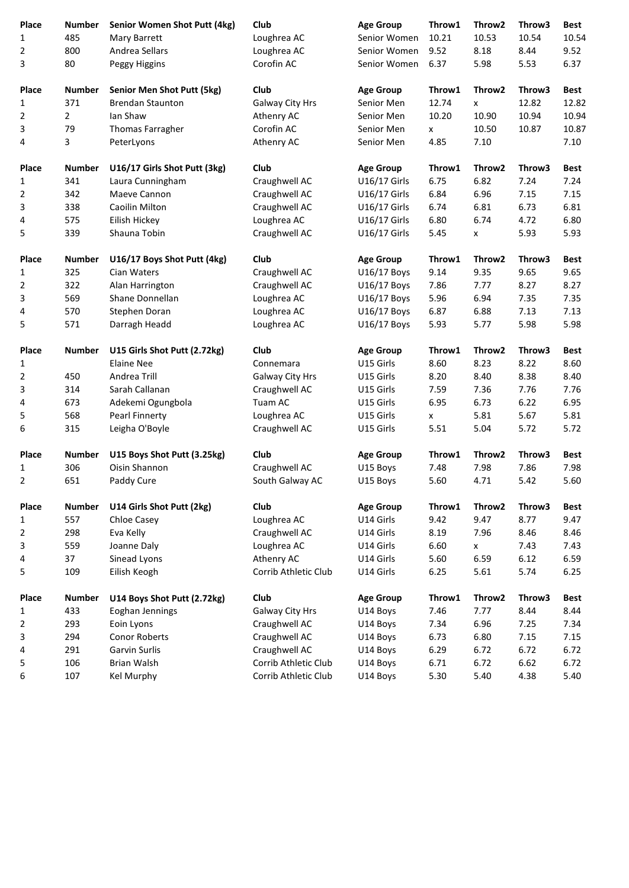| Place          | <b>Number</b>  | Senior Women Shot Putt (4kg)      | Club                 | <b>Age Group</b> | Throw1       | Throw <sub>2</sub> | Throw3       | <b>Best</b>  |
|----------------|----------------|-----------------------------------|----------------------|------------------|--------------|--------------------|--------------|--------------|
| 1              | 485            | Mary Barrett                      | Loughrea AC          | Senior Women     | 10.21        | 10.53              | 10.54        | 10.54        |
| 2              | 800            | Andrea Sellars                    | Loughrea AC          | Senior Women     | 9.52         | 8.18               | 8.44         | 9.52         |
| 3              | 80             | Peggy Higgins                     | Corofin AC           | Senior Women     | 6.37         | 5.98               | 5.53         | 6.37         |
| Place          | <b>Number</b>  | <b>Senior Men Shot Putt (5kg)</b> | Club                 | <b>Age Group</b> | Throw1       | Throw <sub>2</sub> | Throw3       | <b>Best</b>  |
| 1              | 371            | <b>Brendan Staunton</b>           | Galway City Hrs      | Senior Men       | 12.74        | X                  | 12.82        | 12.82        |
| 2              | $\overline{a}$ | Ian Shaw                          | Athenry AC           | Senior Men       | 10.20        | 10.90              | 10.94        | 10.94        |
| 3              | 79             | Thomas Farragher                  | Corofin AC           | Senior Men       | x            | 10.50              | 10.87        | 10.87        |
| 4              | 3              | PeterLyons                        | Athenry AC           | Senior Men       | 4.85         | 7.10               |              | 7.10         |
| <b>Place</b>   | <b>Number</b>  | U16/17 Girls Shot Putt (3kg)      | Club                 | <b>Age Group</b> | Throw1       | Throw <sub>2</sub> | Throw3       | <b>Best</b>  |
| 1              | 341            | Laura Cunningham                  | Craughwell AC        | U16/17 Girls     | 6.75         | 6.82               | 7.24         | 7.24         |
| 2              | 342            | Maeve Cannon                      | Craughwell AC        | U16/17 Girls     | 6.84         | 6.96               | 7.15         | 7.15         |
| 3              | 338            | Caoilin Milton                    | Craughwell AC        | U16/17 Girls     | 6.74         | 6.81               | 6.73         | 6.81         |
| 4              | 575            | Eilish Hickey                     | Loughrea AC          | U16/17 Girls     | 6.80         | 6.74               | 4.72         | 6.80         |
| 5              | 339            | Shauna Tobin                      | Craughwell AC        | U16/17 Girls     | 5.45         | x                  | 5.93         | 5.93         |
|                |                |                                   |                      |                  |              |                    |              |              |
| Place          | <b>Number</b>  | U16/17 Boys Shot Putt (4kg)       | Club                 | <b>Age Group</b> | Throw1       | Throw <sub>2</sub> | Throw3       | <b>Best</b>  |
| 1              | 325            | Cian Waters                       | Craughwell AC        | U16/17 Boys      | 9.14         | 9.35               | 9.65         | 9.65         |
| 2              | 322            | Alan Harrington                   | Craughwell AC        | U16/17 Boys      | 7.86         | 7.77               | 8.27         | 8.27         |
| 3              | 569            | Shane Donnellan                   | Loughrea AC          | U16/17 Boys      | 5.96         | 6.94               | 7.35         | 7.35         |
| 4              | 570            | Stephen Doran                     | Loughrea AC          | U16/17 Boys      | 6.87         | 6.88               | 7.13         | 7.13         |
| 5              | 571            | Darragh Headd                     | Loughrea AC          | U16/17 Boys      | 5.93         | 5.77               | 5.98         | 5.98         |
| Place          | <b>Number</b>  | U15 Girls Shot Putt (2.72kg)      | Club                 | <b>Age Group</b> | Throw1       | Throw <sub>2</sub> | Throw3       | <b>Best</b>  |
| 1              |                | <b>Elaine Nee</b>                 | Connemara            | U15 Girls        | 8.60         | 8.23               | 8.22         | 8.60         |
| 2              | 450            | Andrea Trill                      | Galway City Hrs      | U15 Girls        | 8.20         | 8.40               | 8.38         | 8.40         |
| 3              | 314            | Sarah Callanan                    | Craughwell AC        | U15 Girls        | 7.59         | 7.36               | 7.76         | 7.76         |
| 4              | 673            | Adekemi Ogungbola                 | Tuam AC              | U15 Girls        | 6.95         | 6.73               | 6.22         | 6.95         |
| 5              | 568            | Pearl Finnerty                    | Loughrea AC          | U15 Girls        | X.           | 5.81               | 5.67         | 5.81         |
| 6              | 315            | Leigha O'Boyle                    | Craughwell AC        | U15 Girls        | 5.51         | 5.04               | 5.72         | 5.72         |
| Place          | <b>Number</b>  | U15 Boys Shot Putt (3.25kg)       | Club                 | <b>Age Group</b> | Throw1       | Throw2             | Throw3       | <b>Best</b>  |
| 1              | 306            | Oisin Shannon                     | Craughwell AC        | U15 Boys         | 7.48         | 7.98               | 7.86         | 7.98         |
| $\overline{2}$ | 651            | Paddy Cure                        | South Galway AC      | U15 Boys         | 5.60         | 4.71               | 5.42         | 5.60         |
| Place          | <b>Number</b>  | U14 Girls Shot Putt (2kg)         | Club                 | <b>Age Group</b> | Throw1       | Throw2             | Throw3       | <b>Best</b>  |
| 1              | 557            | Chloe Casey                       | Loughrea AC          | U14 Girls        | 9.42         | 9.47               | 8.77         | 9.47         |
| 2              | 298            | Eva Kelly                         | Craughwell AC        | U14 Girls        | 8.19         | 7.96               | 8.46         | 8.46         |
| 3              | 559            | Joanne Daly                       | Loughrea AC          | U14 Girls        | 6.60         | x                  | 7.43         | 7.43         |
| 4              | 37             | Sinead Lyons                      | Athenry AC           | U14 Girls        | 5.60         | 6.59               | 6.12         | 6.59         |
| 5              | 109            | Eilish Keogh                      | Corrib Athletic Club | U14 Girls        | 6.25         | 5.61               | 5.74         | 6.25         |
| Place          | <b>Number</b>  | U14 Boys Shot Putt (2.72kg)       | Club                 | <b>Age Group</b> | Throw1       | Throw2             | Throw3       | <b>Best</b>  |
| 1              | 433            | Eoghan Jennings                   | Galway City Hrs      | U14 Boys         | 7.46         | 7.77               | 8.44         | 8.44         |
|                | 293            | Eoin Lyons                        | Craughwell AC        | U14 Boys         | 7.34         | 6.96               |              | 7.34         |
| 2              |                |                                   | Craughwell AC        |                  |              |                    | 7.25         |              |
| 3              | 294            | Conor Roberts                     |                      | U14 Boys         | 6.73         | 6.80               | 7.15         | 7.15         |
| 4              | 291            | Garvin Surlis                     | Craughwell AC        | U14 Boys         | 6.29         | 6.72               | 6.72         | 6.72         |
| 5              | 106<br>107     | Brian Walsh                       | Corrib Athletic Club | U14 Boys         | 6.71<br>5.30 | 6.72<br>5.40       | 6.62<br>4.38 | 6.72<br>5.40 |
| 6              |                | Kel Murphy                        | Corrib Athletic Club | U14 Boys         |              |                    |              |              |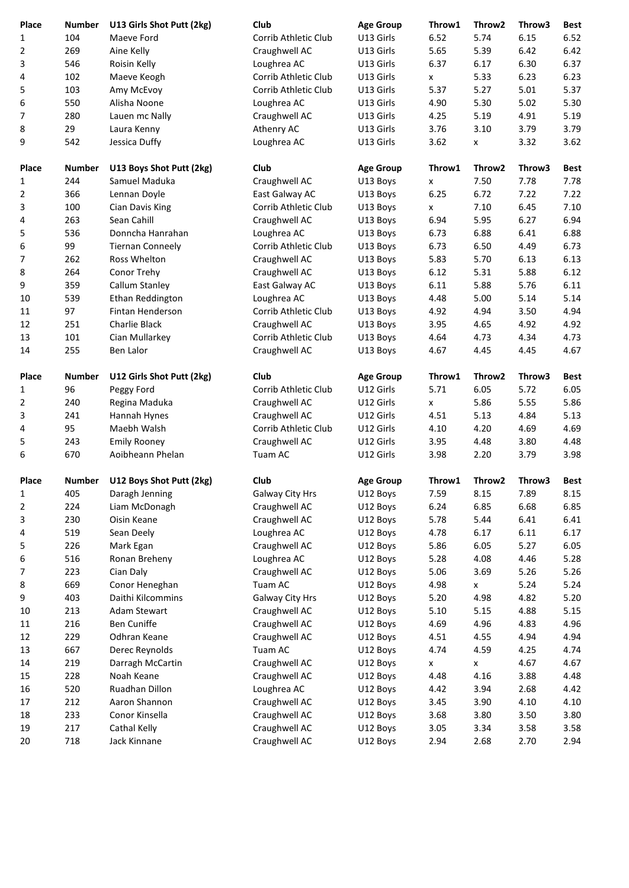| Place<br>1     | <b>Number</b><br>104 | U13 Girls Shot Putt (2kg)<br>Maeve Ford | Club<br>Corrib Athletic Club | <b>Age Group</b><br>U13 Girls | Throw1<br>6.52     | Throw <sub>2</sub><br>5.74 | Throw3<br>6.15 | <b>Best</b><br>6.52 |
|----------------|----------------------|-----------------------------------------|------------------------------|-------------------------------|--------------------|----------------------------|----------------|---------------------|
| $\overline{2}$ | 269                  | Aine Kelly                              | Craughwell AC                | U13 Girls                     | 5.65               | 5.39                       | 6.42           | 6.42                |
| 3              | 546                  | Roisin Kelly                            | Loughrea AC                  | U13 Girls                     | 6.37               | 6.17                       | 6.30           | 6.37                |
| 4              | 102                  | Maeve Keogh                             | Corrib Athletic Club         | U13 Girls                     |                    | 5.33                       | 6.23           | 6.23                |
| 5              | 103                  | Amy McEvoy                              | Corrib Athletic Club         | U13 Girls                     | x<br>5.37          | 5.27                       | 5.01           | 5.37                |
| 6              | 550                  | Alisha Noone                            | Loughrea AC                  | U13 Girls                     | 4.90               | 5.30                       | 5.02           | 5.30                |
| 7              | 280                  | Lauen mc Nally                          | Craughwell AC                | U13 Girls                     | 4.25               | 5.19                       | 4.91           | 5.19                |
| 8              | 29                   | Laura Kenny                             | Athenry AC                   | U13 Girls                     | 3.76               | 3.10                       | 3.79           | 3.79                |
| 9              | 542                  |                                         | Loughrea AC                  |                               | 3.62               |                            | 3.32           | 3.62                |
|                |                      | Jessica Duffy                           |                              | U13 Girls                     |                    | X                          |                |                     |
| Place          | <b>Number</b>        | U13 Boys Shot Putt (2kg)                | Club                         | <b>Age Group</b>              | Throw1             | Throw <sub>2</sub>         | Throw3         | <b>Best</b>         |
| $\mathbf{1}$   | 244                  | Samuel Maduka                           | Craughwell AC                | U13 Boys                      | X                  | 7.50                       | 7.78           | 7.78                |
| 2              | 366                  | Lennan Doyle                            | East Galway AC               | U13 Boys                      | 6.25               | 6.72                       | 7.22           | 7.22                |
| 3              | 100                  | Cian Davis King                         | Corrib Athletic Club         | U13 Boys                      | X                  | 7.10                       | 6.45           | 7.10                |
| 4              | 263                  | Sean Cahill                             | Craughwell AC                | U13 Boys                      | 6.94               | 5.95                       | 6.27           | 6.94                |
| 5              | 536                  | Donncha Hanrahan                        | Loughrea AC                  | U13 Boys                      | 6.73               | 6.88                       | 6.41           | 6.88                |
| 6              | 99                   | <b>Tiernan Conneely</b>                 | Corrib Athletic Club         | U13 Boys                      | 6.73               | 6.50                       | 4.49           | 6.73                |
| 7              | 262                  | Ross Whelton                            | Craughwell AC                | U13 Boys                      | 5.83               | 5.70                       | 6.13           | 6.13                |
| 8              | 264                  | Conor Trehy                             | Craughwell AC                | U13 Boys                      | 6.12               | 5.31                       | 5.88           | 6.12                |
| 9              | 359                  | Callum Stanley                          | East Galway AC               | U13 Boys                      | 6.11               | 5.88                       | 5.76           | 6.11                |
| 10             | 539                  | Ethan Reddington                        | Loughrea AC                  | U13 Boys                      | 4.48               | 5.00                       | 5.14           | 5.14                |
| 11             | 97                   | Fintan Henderson                        | Corrib Athletic Club         | U13 Boys                      | 4.92               | 4.94                       | 3.50           | 4.94                |
| 12             | 251                  | Charlie Black                           | Craughwell AC                | U13 Boys                      | 3.95               | 4.65                       | 4.92           | 4.92                |
| 13             | 101                  | Cian Mullarkey                          | Corrib Athletic Club         | U13 Boys                      | 4.64               | 4.73                       | 4.34           | 4.73                |
| 14             | 255                  | Ben Lalor                               | Craughwell AC                | U13 Boys                      | 4.67               | 4.45                       | 4.45           | 4.67                |
|                |                      |                                         |                              |                               |                    |                            |                |                     |
| Place          | <b>Number</b>        | U12 Girls Shot Putt (2kg)               | Club                         | <b>Age Group</b>              | Throw1             | Throw <sub>2</sub>         | Throw3         | <b>Best</b>         |
| 1              | 96                   | Peggy Ford                              | Corrib Athletic Club         | U12 Girls                     | 5.71               | 6.05                       | 5.72           | 6.05                |
| 2              | 240                  | Regina Maduka                           | Craughwell AC                | U12 Girls                     | x                  | 5.86                       | 5.55           | 5.86                |
| 3              | 241                  | Hannah Hynes                            | Craughwell AC                | U12 Girls                     | 4.51               | 5.13                       | 4.84           | 5.13                |
| 4              | 95                   | Maebh Walsh                             | Corrib Athletic Club         | U12 Girls                     | 4.10               | 4.20                       | 4.69           | 4.69                |
| 5              | 243                  | <b>Emily Rooney</b>                     | Craughwell AC                | U12 Girls                     | 3.95               | 4.48                       | 3.80           | 4.48                |
| 6              | 670                  | Aoibheann Phelan                        | Tuam AC                      | U12 Girls                     | 3.98               | 2.20                       | 3.79           | 3.98                |
| Place          | <b>Number</b>        | U12 Boys Shot Putt (2kg)                | Club                         | <b>Age Group</b>              | Throw1             | Throw2                     | Throw3         | <b>Best</b>         |
| 1              | 405                  | Daragh Jenning                          | Galway City Hrs              | U12 Boys                      | 7.59               | 8.15                       | 7.89           | 8.15                |
| 2              | 224                  | Liam McDonagh                           | Craughwell AC                | U12 Boys                      | 6.24               | 6.85                       | 6.68           | 6.85                |
| 3              | 230                  | Oisin Keane                             | Craughwell AC                | U12 Boys                      | 5.78               | 5.44                       | 6.41           | 6.41                |
| 4              | 519                  | Sean Deely                              | Loughrea AC                  | U12 Boys                      | 4.78               | 6.17                       | 6.11           | 6.17                |
| 5              | 226                  | Mark Egan                               | Craughwell AC                | U12 Boys                      | 5.86               | 6.05                       | 5.27           | 6.05                |
| 6              | 516                  | Ronan Breheny                           | Loughrea AC                  | U12 Boys                      | 5.28               | 4.08                       | 4.46           | 5.28                |
| 7              | 223                  | Cian Daly                               | Craughwell AC                | U12 Boys                      | 5.06               | 3.69                       | 5.26           | 5.26                |
| 8              | 669                  | Conor Heneghan                          | Tuam AC                      | U12 Boys                      | 4.98               | X                          | 5.24           | 5.24                |
| 9              | 403                  | Daithi Kilcommins                       | Galway City Hrs              | U12 Boys                      | 5.20               | 4.98                       | 4.82           | 5.20                |
| 10             | 213                  | Adam Stewart                            | Craughwell AC                | U12 Boys                      | 5.10               | 5.15                       | 4.88           | 5.15                |
| 11             | 216                  | Ben Cuniffe                             | Craughwell AC                | U12 Boys                      | 4.69               | 4.96                       | 4.83           | 4.96                |
| 12             | 229                  | Odhran Keane                            | Craughwell AC                | U12 Boys                      | 4.51               | 4.55                       | 4.94           | 4.94                |
| 13             | 667                  | Derec Reynolds                          | Tuam AC                      | U12 Boys                      | 4.74               | 4.59                       | 4.25           | 4.74                |
| 14             | 219                  | Darragh McCartin                        | Craughwell AC                | U12 Boys                      | $\pmb{\mathsf{x}}$ | $\mathsf{x}$               | 4.67           | 4.67                |
| 15             | 228                  | Noah Keane                              | Craughwell AC                | U12 Boys                      | 4.48               | 4.16                       | 3.88           | 4.48                |
| 16             | 520                  | Ruadhan Dillon                          | Loughrea AC                  | U12 Boys                      | 4.42               | 3.94                       | 2.68           | 4.42                |
| 17             | 212                  | Aaron Shannon                           | Craughwell AC                | U12 Boys                      | 3.45               | 3.90                       | 4.10           | 4.10                |
| 18             | 233                  | Conor Kinsella                          | Craughwell AC                | U12 Boys                      | 3.68               | 3.80                       | 3.50           | 3.80                |
| 19             | 217                  | Cathal Kelly                            | Craughwell AC                | U12 Boys                      | 3.05               | 3.34                       | 3.58           | 3.58                |
| 20             | 718                  | Jack Kinnane                            | Craughwell AC                | U12 Boys                      | 2.94               | 2.68                       | 2.70           | 2.94                |
|                |                      |                                         |                              |                               |                    |                            |                |                     |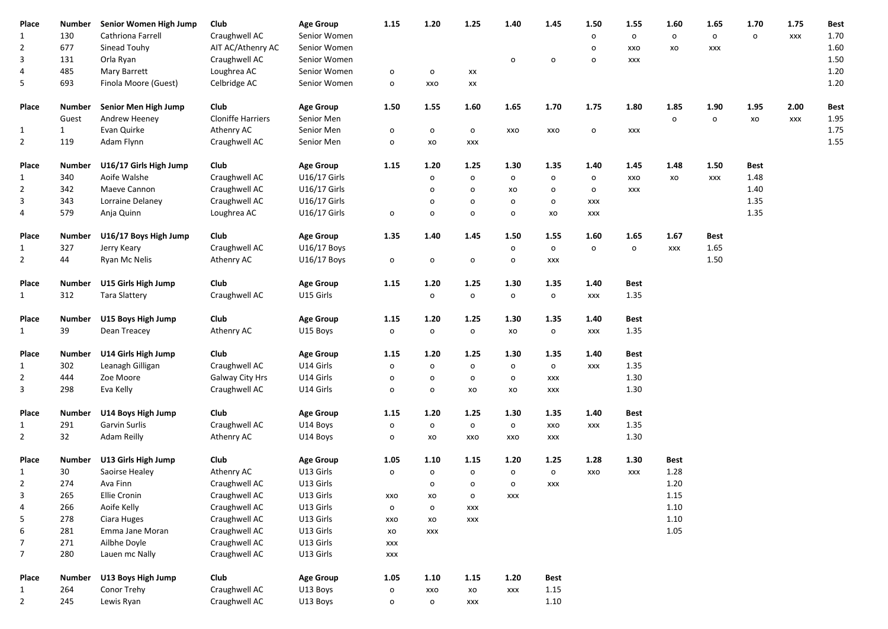| Place          | Number       | Senior Women High Jump    | Club                     | <b>Age Group</b> | 1.15           | 1.20           | 1.25         | 1.40          | 1.45                    | 1.50           | 1.55        | 1.60           | 1.65         | 1.70                | 1.75       | Best |  |
|----------------|--------------|---------------------------|--------------------------|------------------|----------------|----------------|--------------|---------------|-------------------------|----------------|-------------|----------------|--------------|---------------------|------------|------|--|
| $\mathbf{1}$   | 130          | Cathriona Farrell         | Craughwell AC            | Senior Women     |                |                |              |               |                         | $\mathsf{o}\,$ | $\circ$     | $\mathsf{o}\,$ | $\circ$      | $\mathsf{o}\xspace$ | <b>XXX</b> | 1.70 |  |
| $\overline{2}$ | 677          | Sinead Touhy              | AIT AC/Athenry AC        | Senior Women     |                |                |              |               |                         | o              | XXO         | XO             | <b>XXX</b>   |                     |            | 1.60 |  |
| 3              | 131          | Orla Ryan                 | Craughwell AC            | Senior Women     |                |                |              | $\mathsf{o}$  | $\mathsf{o}$            | $\mathsf{o}$   | XXX         |                |              |                     |            | 1.50 |  |
| 4              | 485          | Mary Barrett              | Loughrea AC              | Senior Women     | $\mathsf{o}$   | $\mathsf{o}\,$ | XX           |               |                         |                |             |                |              |                     |            | 1.20 |  |
| 5              | 693          | Finola Moore (Guest)      | Celbridge AC             | Senior Women     | $\mathsf{o}$   | XXO            | XX           |               |                         |                |             |                |              |                     |            | 1.20 |  |
|                |              |                           |                          |                  |                |                |              |               |                         |                |             |                |              |                     |            |      |  |
| Place          | Number       | Senior Men High Jump      | Club                     | <b>Age Group</b> | 1.50           | 1.55           | 1.60         | 1.65          | 1.70                    | 1.75           | 1.80        | 1.85           | 1.90         | 1.95                | 2.00       | Best |  |
|                | Guest        | Andrew Heeney             | <b>Cloniffe Harriers</b> | Senior Men       |                |                |              |               |                         |                |             | $\mathsf{o}$   | $\mathsf{o}$ | XO                  | <b>XXX</b> | 1.95 |  |
| 1              | $\mathbf{1}$ | Evan Quirke               | Athenry AC               | Senior Men       | $\mathsf{o}$   | $\mathsf{o}\,$ | $\circ$      | XXO           | XXO                     | $\mathsf{o}\,$ | XXX         |                |              |                     |            | 1.75 |  |
| $\overline{2}$ | 119          | Adam Flynn                | Craughwell AC            | Senior Men       | $\mathbf{o}$   | XO             | XXX          |               |                         |                |             |                |              |                     |            | 1.55 |  |
| Place          | Number       | U16/17 Girls High Jump    | Club                     | <b>Age Group</b> | 1.15           | 1.20           | 1.25         | 1.30          | 1.35                    | 1.40           | 1.45        | 1.48           | 1.50         | Best                |            |      |  |
| 1              | 340          | Aoife Walshe              | Craughwell AC            | U16/17 Girls     |                | $\mathsf{o}$   | $\mathbf{o}$ | $\mathsf{o}$  | $\mathsf{o}$            | $\mathsf{o}$   | XXO         | xo             | <b>XXX</b>   | 1.48                |            |      |  |
| $\overline{2}$ | 342          | Maeve Cannon              | Craughwell AC            | U16/17 Girls     |                | $\mathsf{o}$   | $\circ$      |               |                         | $\mathsf{o}$   |             |                |              | 1.40                |            |      |  |
| 3              | 343          | Lorraine Delaney          | Craughwell AC            | U16/17 Girls     |                | o              | $\mathsf{o}$ | XO<br>$\circ$ | $\circ$<br>$\mathbf{o}$ | XXX            | XXX         |                |              | 1.35                |            |      |  |
| 4              | 579          | Anja Quinn                | Loughrea AC              | U16/17 Girls     | $\mathsf{o}$   | $\mathsf{o}$   | $\mathsf{o}$ | $\mathsf{o}$  | XO                      |                |             |                |              | 1.35                |            |      |  |
|                |              |                           |                          |                  |                |                |              |               |                         | XXX            |             |                |              |                     |            |      |  |
| Place          | Number       | U16/17 Boys High Jump     | Club                     | <b>Age Group</b> | 1.35           | 1.40           | 1.45         | 1.50          | 1.55                    | 1.60           | 1.65        | 1.67           | Best         |                     |            |      |  |
| 1              | 327          | Jerry Keary               | Craughwell AC            | U16/17 Boys      |                |                |              | $\mathsf{o}$  | $\circ$                 | $\mathsf{o}\,$ | $\circ$     | <b>XXX</b>     | 1.65         |                     |            |      |  |
| $\overline{2}$ | 44           | Ryan Mc Nelis             | Athenry AC               | U16/17 Boys      | $\mathsf{o}$   | $\mathsf{o}\,$ | $\mathsf{o}$ | $\mathsf{o}$  | XXX                     |                |             |                | 1.50         |                     |            |      |  |
|                |              |                           |                          |                  |                |                |              |               |                         |                |             |                |              |                     |            |      |  |
| Place          | Number       | U15 Girls High Jump       | Club                     | <b>Age Group</b> | 1.15           | $1.20\,$       | 1.25         | 1.30          | 1.35                    | 1.40           | <b>Best</b> |                |              |                     |            |      |  |
| $\mathbf{1}$   | 312          | <b>Tara Slattery</b>      | Craughwell AC            | U15 Girls        |                | $\mathsf{o}$   | $\mathbf{o}$ | $\mathsf{o}$  | $\mathbf{o}$            | <b>XXX</b>     | 1.35        |                |              |                     |            |      |  |
| Place          | Number       | U15 Boys High Jump        | Club                     | <b>Age Group</b> | 1.15           | 1.20           | 1.25         | 1.30          | 1.35                    | 1.40           | Best        |                |              |                     |            |      |  |
| $\mathbf{1}$   | 39           | Dean Treacey              | Athenry AC               | U15 Boys         | $\circ$        | $\circ$        | $\circ$      | XO            | $\mathsf{o}$            | <b>XXX</b>     | 1.35        |                |              |                     |            |      |  |
|                |              |                           |                          |                  |                |                |              |               |                         |                |             |                |              |                     |            |      |  |
| Place          | Number       | U14 Girls High Jump       | Club                     | <b>Age Group</b> | 1.15           | 1.20           | 1.25         | 1.30          | 1.35                    | 1.40           | <b>Best</b> |                |              |                     |            |      |  |
| 1              | 302          | Leanagh Gilligan          | Craughwell AC            | U14 Girls        | $\mathsf{o}$   | $\mathsf{o}$   | $\circ$      | $\mathsf{o}$  | $\circ$                 | <b>XXX</b>     | 1.35        |                |              |                     |            |      |  |
| $\overline{2}$ | 444          | Zoe Moore                 | Galway City Hrs          | U14 Girls        | $\mathsf{o}$   | $\mathsf{o}$   | $\circ$      | $\circ$       | XXX                     |                | 1.30        |                |              |                     |            |      |  |
| 3              | 298          | Eva Kelly                 | Craughwell AC            | U14 Girls        | $\mathbf{o}$   | $\mathsf{o}$   | XO           | XO            | XXX                     |                | 1.30        |                |              |                     |            |      |  |
|                |              |                           |                          |                  |                |                |              |               |                         |                |             |                |              |                     |            |      |  |
| Place          |              | Number U14 Boys High Jump | Club                     | <b>Age Group</b> | 1.15           | 1.20           | 1.25         | 1.30          | 1.35                    | 1.40           | <b>Best</b> |                |              |                     |            |      |  |
| 1              | 291          | Garvin Surlis             | Craughwell AC            | U14 Boys         | $\mathsf{o}$   | $\mathbf{o}$   | $\mathbf{o}$ | $\circ$       | xxo                     | XXX            | 1.35        |                |              |                     |            |      |  |
| $\overline{2}$ | 32           | Adam Reilly               | Athenry AC               | U14 Boys         | $\mathsf{o}$   | XO             | XXO          | XXO           | XXX                     |                | 1.30        |                |              |                     |            |      |  |
| Place          | Number       | U13 Girls High Jump       | Club                     | <b>Age Group</b> | 1.05           | 1.10           | 1.15         | 1.20          | 1.25                    | 1.28           | 1.30        | Best           |              |                     |            |      |  |
| 1              | 30           | Saoirse Healey            | Athenry AC               | U13 Girls        | $\circ$        | $\mathsf{o}$   | $\circ$      | $\circ$       | $\circ$                 | XXO            | XXX         | 1.28           |              |                     |            |      |  |
| $\overline{2}$ | 274          | Ava Finn                  | Craughwell AC            | U13 Girls        |                | $\mathsf{o}\,$ | $\mathbf{o}$ | $\circ$       | <b>XXX</b>              |                |             | 1.20           |              |                     |            |      |  |
| 3              | 265          | Ellie Cronin              | Craughwell AC            | U13 Girls        | XXO            | XO             | $\circ$      | <b>XXX</b>    |                         |                |             | 1.15           |              |                     |            |      |  |
| 4              | 266          | Aoife Kelly               | Craughwell AC            | U13 Girls        | $\mathsf{o}\,$ | $\mathsf{o}\,$ | XXX          |               |                         |                |             | 1.10           |              |                     |            |      |  |
| 5              | 278          | Ciara Huges               | Craughwell AC            | U13 Girls        | XXO            | xo             | XXX          |               |                         |                |             | 1.10           |              |                     |            |      |  |
| 6              | 281          | Emma Jane Moran           | Craughwell AC            | U13 Girls        | xo             | <b>XXX</b>     |              |               |                         |                |             | 1.05           |              |                     |            |      |  |
| $\overline{7}$ | 271          | Ailbhe Doyle              | Craughwell AC            | U13 Girls        | XXX            |                |              |               |                         |                |             |                |              |                     |            |      |  |
| $\overline{7}$ | 280          | Lauen mc Nally            | Craughwell AC            | U13 Girls        | XXX            |                |              |               |                         |                |             |                |              |                     |            |      |  |
|                |              |                           |                          |                  |                |                |              |               |                         |                |             |                |              |                     |            |      |  |
| Place          | Number       | U13 Boys High Jump        | Club                     | <b>Age Group</b> | 1.05           | 1.10           | 1.15         | 1.20          | Best                    |                |             |                |              |                     |            |      |  |
| 1              | 264          | Conor Trehy               | Craughwell AC            | U13 Boys         | $\mathsf{o}$   | XXO            | xo           | <b>XXX</b>    | 1.15                    |                |             |                |              |                     |            |      |  |
| $\overline{2}$ | 245          | Lewis Ryan                | Craughwell AC            | U13 Boys         | $\mathsf{o}\,$ | $\circ$        | XXX          |               | 1.10                    |                |             |                |              |                     |            |      |  |